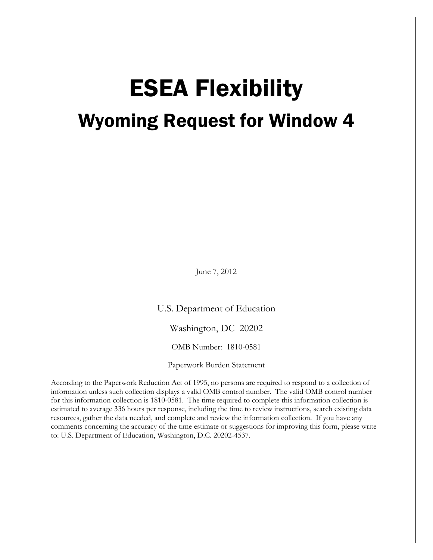# ESEA Flexibility Wyoming Request for Window 4

June 7, 2012

U.S. Department of Education

Washington, DC 20202

OMB Number: 1810-0581

Paperwork Burden Statement

According to the Paperwork Reduction Act of 1995, no persons are required to respond to a collection of information unless such collection displays a valid OMB control number. The valid OMB control number for this information collection is 1810-0581. The time required to complete this information collection is estimated to average 336 hours per response, including the time to review instructions, search existing data resources, gather the data needed, and complete and review the information collection. If you have any comments concerning the accuracy of the time estimate or suggestions for improving this form, please write to: U.S. Department of Education, Washington, D.C. 20202-4537.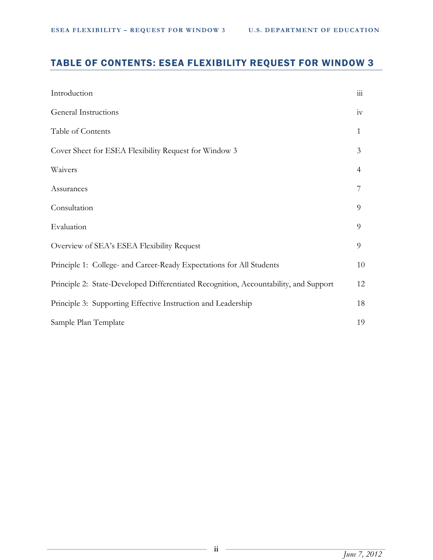# TABLE OF CONTENTS: ESEA FLEXIBILITY REQUEST FOR WINDOW 3

| Introduction                                                                         | 111          |
|--------------------------------------------------------------------------------------|--------------|
| General Instructions                                                                 | iv           |
| Table of Contents                                                                    | $\mathbf{1}$ |
| Cover Sheet for ESEA Flexibility Request for Window 3                                | 3            |
| Waivers                                                                              | 4            |
| Assurances                                                                           |              |
| Consultation                                                                         | 9            |
| Evaluation                                                                           | 9            |
| Overview of SEA's ESEA Flexibility Request                                           | 9            |
| Principle 1: College- and Career-Ready Expectations for All Students                 | 10           |
| Principle 2: State-Developed Differentiated Recognition, Accountability, and Support | 12           |
| Principle 3: Supporting Effective Instruction and Leadership                         | 18           |
| Sample Plan Template                                                                 | 19           |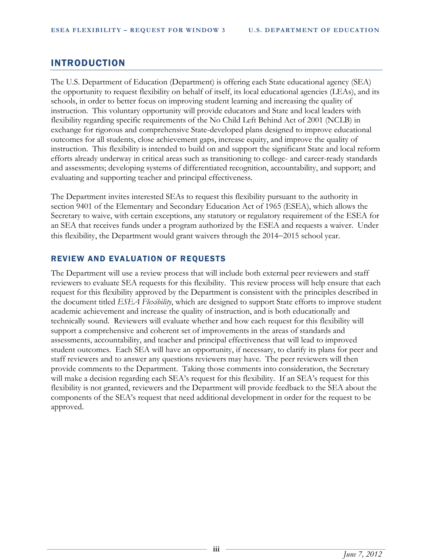# INTRODUCTION

The U.S. Department of Education (Department) is offering each State educational agency (SEA) the opportunity to request flexibility on behalf of itself, its local educational agencies (LEAs), and its schools, in order to better focus on improving student learning and increasing the quality of instruction. This voluntary opportunity will provide educators and State and local leaders with flexibility regarding specific requirements of the No Child Left Behind Act of 2001 (NCLB) in exchange for rigorous and comprehensive State-developed plans designed to improve educational outcomes for all students, close achievement gaps, increase equity, and improve the quality of instruction. This flexibility is intended to build on and support the significant State and local reform efforts already underway in critical areas such as transitioning to college- and career-ready standards and assessments; developing systems of differentiated recognition, accountability, and support; and evaluating and supporting teacher and principal effectiveness.

The Department invites interested SEAs to request this flexibility pursuant to the authority in section 9401 of the Elementary and Secondary Education Act of 1965 (ESEA), which allows the Secretary to waive, with certain exceptions, any statutory or regulatory requirement of the ESEA for an SEA that receives funds under a program authorized by the ESEA and requests a waiver. Under this flexibility, the Department would grant waivers through the 2014−2015 school year.

#### REVIEW AND EVALUATION OF REQUESTS

The Department will use a review process that will include both external peer reviewers and staff reviewers to evaluate SEA requests for this flexibility. This review process will help ensure that each request for this flexibility approved by the Department is consistent with the principles described in the document titled *ESEA Flexibility*, which are designed to support State efforts to improve student academic achievement and increase the quality of instruction, and is both educationally and technically sound. Reviewers will evaluate whether and how each request for this flexibility will support a comprehensive and coherent set of improvements in the areas of standards and assessments, accountability, and teacher and principal effectiveness that will lead to improved student outcomes. Each SEA will have an opportunity, if necessary, to clarify its plans for peer and staff reviewers and to answer any questions reviewers may have. The peer reviewers will then provide comments to the Department. Taking those comments into consideration, the Secretary will make a decision regarding each SEA's request for this flexibility. If an SEA's request for this flexibility is not granted, reviewers and the Department will provide feedback to the SEA about the components of the SEA's request that need additional development in order for the request to be approved.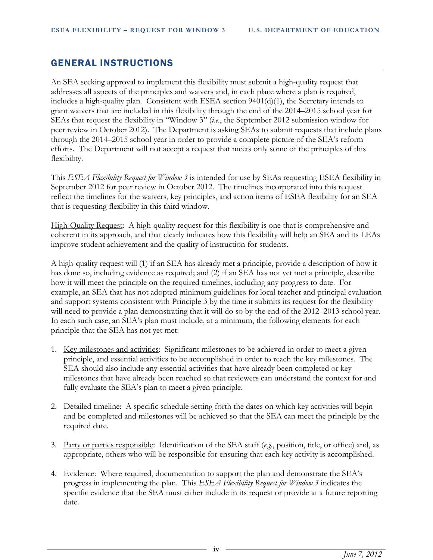# GENERAL INSTRUCTIONS

An SEA seeking approval to implement this flexibility must submit a high-quality request that addresses all aspects of the principles and waivers and, in each place where a plan is required, includes a high-quality plan. Consistent with ESEA section 9401(d)(1), the Secretary intends to grant waivers that are included in this flexibility through the end of the 2014–2015 school year for SEAs that request the flexibility in "Window 3" (*i.e.*, the September 2012 submission window for peer review in October 2012). The Department is asking SEAs to submit requests that include plans through the 2014–2015 school year in order to provide a complete picture of the SEA's reform efforts. The Department will not accept a request that meets only some of the principles of this flexibility.

This *ESEA Flexibility Request for Window 3* is intended for use by SEAs requesting ESEA flexibility in September 2012 for peer review in October 2012. The timelines incorporated into this request reflect the timelines for the waivers, key principles, and action items of ESEA flexibility for an SEA that is requesting flexibility in this third window.

High-Quality Request: A high-quality request for this flexibility is one that is comprehensive and coherent in its approach, and that clearly indicates how this flexibility will help an SEA and its LEAs improve student achievement and the quality of instruction for students.

A high-quality request will (1) if an SEA has already met a principle, provide a description of how it has done so, including evidence as required; and (2) if an SEA has not yet met a principle, describe how it will meet the principle on the required timelines, including any progress to date. For example, an SEA that has not adopted minimum guidelines for local teacher and principal evaluation and support systems consistent with Principle 3 by the time it submits its request for the flexibility will need to provide a plan demonstrating that it will do so by the end of the 2012–2013 school year. In each such case, an SEA's plan must include, at a minimum, the following elements for each principle that the SEA has not yet met:

- 1. Key milestones and activities: Significant milestones to be achieved in order to meet a given principle, and essential activities to be accomplished in order to reach the key milestones. The SEA should also include any essential activities that have already been completed or key milestones that have already been reached so that reviewers can understand the context for and fully evaluate the SEA's plan to meet a given principle.
- 2. Detailed timeline: A specific schedule setting forth the dates on which key activities will begin and be completed and milestones will be achieved so that the SEA can meet the principle by the required date.
- 3. Party or parties responsible: Identification of the SEA staff (*e.g.*, position, title, or office) and, as appropriate, others who will be responsible for ensuring that each key activity is accomplished.
- 4. Evidence: Where required, documentation to support the plan and demonstrate the SEA's progress in implementing the plan. This *ESEA Flexibility Request for Window 3* indicates the specific evidence that the SEA must either include in its request or provide at a future reporting date.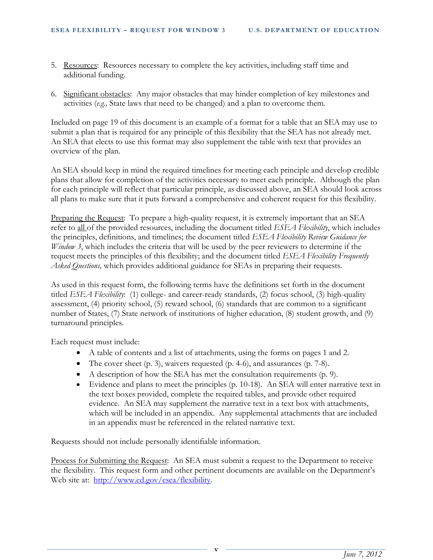- 5. Resources: Resources necessary to complete the key activities, including staff time and additional funding.
- 6. Significant obstacles: Any major obstacles that may hinder completion of key milestones and activities (*e.g.,* State laws that need to be changed) and a plan to overcome them.

Included on page 19 of this document is an example of a format for a table that an SEA may use to submit a plan that is required for any principle of this flexibility that the SEA has not already met. An SEA that elects to use this format may also supplement the table with text that provides an overview of the plan.

An SEA should keep in mind the required timelines for meeting each principle and develop credible plans that allow for completion of the activities necessary to meet each principle. Although the plan for each principle will reflect that particular principle, as discussed above, an SEA should look across all plans to make sure that it puts forward a comprehensive and coherent request for this flexibility.

Preparing the Request: To prepare a high-quality request, it is extremely important that an SEA refer to all of the provided resources, including the document titled *ESEA Flexibility*, which includes the principles, definitions, and timelines; the document titled *ESEA Flexibility Review Guidance for Window 3*, which includes the criteria that will be used by the peer reviewers to determine if the request meets the principles of this flexibility; and the document titled *ESEA Flexibility Frequently Asked Questions,* which provides additional guidance for SEAs in preparing their requests.

As used in this request form, the following terms have the definitions set forth in the document titled *ESEA Flexibility*: (1) college- and career-ready standards, (2) focus school, (3) high-quality assessment, (4) priority school, (5) reward school, (6) standards that are common to a significant number of States, (7) State network of institutions of higher education, (8) student growth, and (9) turnaround principles.

Each request must include:

- A table of contents and a list of attachments, using the forms on pages 1 and 2.
- The cover sheet (p. 3), waivers requested (p. 4-6), and assurances (p. 7-8).
- A description of how the SEA has met the consultation requirements (p. 9).
- Evidence and plans to meet the principles (p. 10-18). An SEA will enter narrative text in the text boxes provided, complete the required tables, and provide other required evidence. An SEA may supplement the narrative text in a text box with attachments, which will be included in an appendix. Any supplemental attachments that are included in an appendix must be referenced in the related narrative text.

Requests should not include personally identifiable information.

Process for Submitting the Request: An SEA must submit a request to the Department to receive the flexibility. This request form and other pertinent documents are available on the Department's Web site at: [http://www.ed.gov/esea/flexibility.](http://www.ed.gov/esea/flexibility)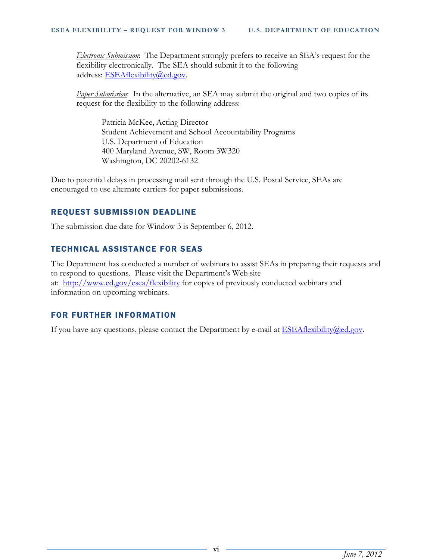*Electronic Submission*:The Department strongly prefers to receive an SEA's request for the flexibility electronically. The SEA should submit it to the following address: [ESEAflexibility@ed.gov.](mailto:ESEAflexibility@ed.gov)

*Paper Submission*: In the alternative, an SEA may submit the original and two copies of its request for the flexibility to the following address:

Patricia McKee, Acting Director Student Achievement and School Accountability Programs U.S. Department of Education 400 Maryland Avenue, SW, Room 3W320 Washington, DC 20202-6132

Due to potential delays in processing mail sent through the U.S. Postal Service, SEAs are encouraged to use alternate carriers for paper submissions.

# REQUEST SUBMISSION DEADLINE

The submission due date for Window 3 is September 6, 2012.

# TECHNICAL ASSISTANCE FOR SEAS

The Department has conducted a number of webinars to assist SEAs in preparing their requests and to respond to questions. Please visit the Department's Web site at: <http://www.ed.gov/esea/flexibility> for copies of previously conducted webinars and information on upcoming webinars.

## FOR FURTHER INFORMATION

If you have any questions, please contact the Department by e-mail at **ESEAflexibility@ed.gov**.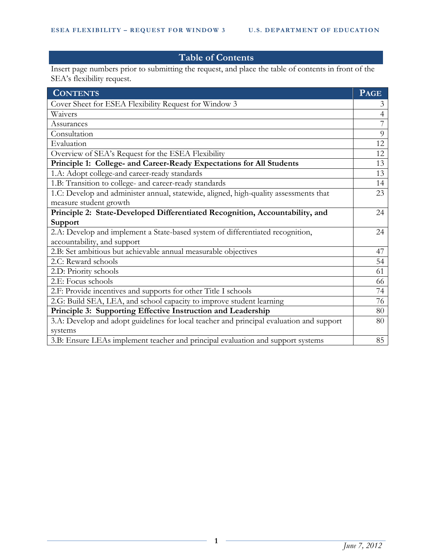# **Table of Contents**

Insert page numbers prior to submitting the request, and place the table of contents in front of the SEA's flexibility request.

| <b>CONTENTS</b>                                                                          | <b>PAGE</b>    |
|------------------------------------------------------------------------------------------|----------------|
| Cover Sheet for ESEA Flexibility Request for Window 3                                    | $\mathfrak{Z}$ |
| Waivers                                                                                  | $\overline{4}$ |
| Assurances                                                                               | 7              |
| Consultation                                                                             | 9              |
| Evaluation                                                                               | 12             |
| Overview of SEA's Request for the ESEA Flexibility                                       | 12             |
| Principle 1: College- and Career-Ready Expectations for All Students                     | 13             |
| 1.A: Adopt college-and career-ready standards                                            | 13             |
| 1.B: Transition to college- and career-ready standards                                   | 14             |
| 1.C: Develop and administer annual, statewide, aligned, high-quality assessments that    | 23             |
| measure student growth                                                                   |                |
| Principle 2: State-Developed Differentiated Recognition, Accountability, and             | 24             |
| Support                                                                                  |                |
| 2.A: Develop and implement a State-based system of differentiated recognition,           | 24             |
| accountability, and support                                                              |                |
| 2.B: Set ambitious but achievable annual measurable objectives                           | 47             |
| 2.C: Reward schools                                                                      | 54             |
| 2.D: Priority schools                                                                    | 61             |
| 2.E: Focus schools                                                                       | 66             |
| 2.F: Provide incentives and supports for other Title I schools                           | 74             |
| 2.G: Build SEA, LEA, and school capacity to improve student learning                     | 76             |
| Principle 3: Supporting Effective Instruction and Leadership                             | 80             |
| 3.A: Develop and adopt guidelines for local teacher and principal evaluation and support | 80             |
| systems                                                                                  |                |
| 3.B: Ensure LEAs implement teacher and principal evaluation and support systems          | 85             |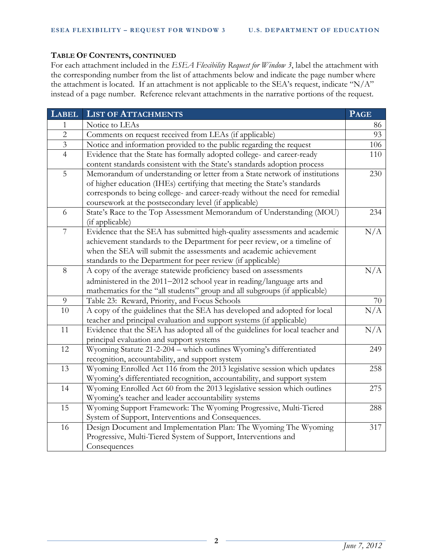#### **TABLE OF CONTENTS, CONTINUED**

For each attachment included in the *ESEA Flexibility Request for Window 3*, label the attachment with the corresponding number from the list of attachments below and indicate the page number where the attachment is located. If an attachment is not applicable to the SEA's request, indicate "N/A" instead of a page number. Reference relevant attachments in the narrative portions of the request.

| <b>LABEL</b>            | <b>LIST OF ATTACHMENTS</b>                                                    | <b>PAGE</b> |
|-------------------------|-------------------------------------------------------------------------------|-------------|
| 1                       | Notice to LEAs                                                                | 86          |
| $\overline{2}$          | Comments on request received from LEAs (if applicable)                        | 93          |
| $\overline{\mathbf{3}}$ | Notice and information provided to the public regarding the request           | 106         |
| $\overline{4}$          | Evidence that the State has formally adopted college- and career-ready        | 110         |
|                         | content standards consistent with the State's standards adoption process      |             |
| 5                       | Memorandum of understanding or letter from a State network of institutions    | 230         |
|                         | of higher education (IHEs) certifying that meeting the State's standards      |             |
|                         | corresponds to being college- and career-ready without the need for remedial  |             |
|                         | coursework at the postsecondary level (if applicable)                         |             |
| 6                       | State's Race to the Top Assessment Memorandum of Understanding (MOU)          | 234         |
|                         | (if applicable)                                                               |             |
| $\overline{7}$          | Evidence that the SEA has submitted high-quality assessments and academic     | N/A         |
|                         | achievement standards to the Department for peer review, or a timeline of     |             |
|                         | when the SEA will submit the assessments and academic achievement             |             |
|                         | standards to the Department for peer review (if applicable)                   |             |
| 8                       | A copy of the average statewide proficiency based on assessments              | N/A         |
|                         | administered in the 2011-2012 school year in reading/language arts and        |             |
|                         | mathematics for the "all students" group and all subgroups (if applicable)    |             |
| 9                       | Table 23: Reward, Priority, and Focus Schools                                 | 70          |
| 10                      | A copy of the guidelines that the SEA has developed and adopted for local     | N/A         |
|                         | teacher and principal evaluation and support systems (if applicable)          |             |
| 11                      | Evidence that the SEA has adopted all of the guidelines for local teacher and | N/A         |
|                         | principal evaluation and support systems                                      |             |
| 12                      | Wyoming Statute 21-2-204 - which outlines Wyoming's differentiated            | 249         |
|                         | recognition, accountability, and support system                               |             |
| 13                      | Wyoming Enrolled Act 116 from the 2013 legislative session which updates      | 258         |
|                         | Wyoming's differentiated recognition, accountability, and support system      |             |
| 14                      | Wyoming Enrolled Act 60 from the 2013 legislative session which outlines      | 275         |
|                         | Wyoming's teacher and leader accountability systems                           |             |
| 15                      | Wyoming Support Framework: The Wyoming Progressive, Multi-Tiered              | 288         |
|                         | System of Support, Interventions and Consequences.                            |             |
| 16                      | Design Document and Implementation Plan: The Wyoming The Wyoming              | 317         |
|                         | Progressive, Multi-Tiered System of Support, Interventions and                |             |
|                         | Consequences                                                                  |             |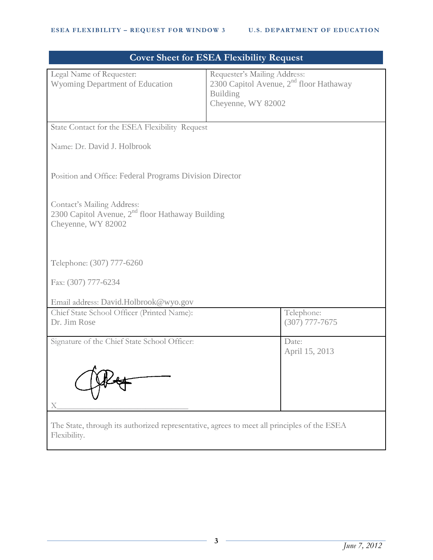|                                                                                                             | <b>Cover Sheet for ESEA Flexibility Request</b>                                                                    |  |  |  |
|-------------------------------------------------------------------------------------------------------------|--------------------------------------------------------------------------------------------------------------------|--|--|--|
| Legal Name of Requester:<br><b>Wyoming Department of Education</b>                                          | Requester's Mailing Address:<br>2300 Capitol Avenue, $2nd$ floor Hathaway<br><b>Building</b><br>Cheyenne, WY 82002 |  |  |  |
| State Contact for the ESEA Flexibility Request                                                              |                                                                                                                    |  |  |  |
| Name: Dr. David J. Holbrook                                                                                 |                                                                                                                    |  |  |  |
| Position and Office: Federal Programs Division Director                                                     |                                                                                                                    |  |  |  |
| Contact's Mailing Address:<br>2300 Capitol Avenue, $2nd$ floor Hathaway Building<br>Cheyenne, WY 82002      |                                                                                                                    |  |  |  |
| Telephone: (307) 777-6260                                                                                   |                                                                                                                    |  |  |  |
| Fax: (307) 777-6234                                                                                         |                                                                                                                    |  |  |  |
| Email address: David.Holbrook@wyo.gov                                                                       |                                                                                                                    |  |  |  |
| Chief State School Officer (Printed Name):<br>Dr. Jim Rose                                                  | Telephone:<br>$(307)$ 777-7675                                                                                     |  |  |  |
| Signature of the Chief State School Officer:<br>A                                                           | Date:<br>April 15, 2013                                                                                            |  |  |  |
| X                                                                                                           |                                                                                                                    |  |  |  |
| The State, through its authorized representative, agrees to meet all principles of the ESEA<br>Flexibility. |                                                                                                                    |  |  |  |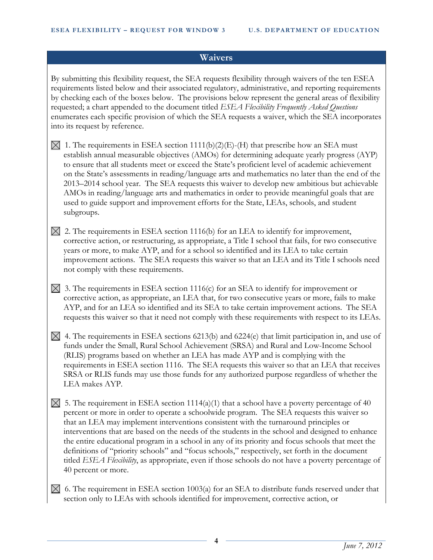#### **Waivers**

By submitting this flexibility request, the SEA requests flexibility through waivers of the ten ESEA requirements listed below and their associated regulatory, administrative, and reporting requirements by checking each of the boxes below. The provisions below represent the general areas of flexibility requested; a chart appended to the document titled *ESEA Flexibility Frequently Asked Questions* enumerates each specific provision of which the SEA requests a waiver, which the SEA incorporates into its request by reference.

- $\boxtimes$  1. The requirements in ESEA section 1111(b)(2)(E)-(H) that prescribe how an SEA must establish annual measurable objectives (AMOs) for determining adequate yearly progress (AYP) to ensure that all students meet or exceed the State's proficient level of academic achievement on the State's assessments in reading/language arts and mathematics no later than the end of the 2013–2014 school year. The SEA requests this waiver to develop new ambitious but achievable AMOs in reading/language arts and mathematics in order to provide meaningful goals that are used to guide support and improvement efforts for the State, LEAs, schools, and student subgroups.
- $\boxtimes$  2. The requirements in ESEA section 1116(b) for an LEA to identify for improvement, corrective action, or restructuring, as appropriate, a Title I school that fails, for two consecutive years or more, to make AYP, and for a school so identified and its LEA to take certain improvement actions. The SEA requests this waiver so that an LEA and its Title I schools need not comply with these requirements.
- $\boxtimes$  3. The requirements in ESEA section 1116(c) for an SEA to identify for improvement or corrective action, as appropriate, an LEA that, for two consecutive years or more, fails to make AYP, and for an LEA so identified and its SEA to take certain improvement actions. The SEA requests this waiver so that it need not comply with these requirements with respect to its LEAs.
- $\boxtimes$  4. The requirements in ESEA sections 6213(b) and 6224(e) that limit participation in, and use of funds under the Small, Rural School Achievement (SRSA) and Rural and Low-Income School (RLIS) programs based on whether an LEA has made AYP and is complying with the requirements in ESEA section 1116. The SEA requests this waiver so that an LEA that receives SRSA or RLIS funds may use those funds for any authorized purpose regardless of whether the LEA makes AYP.
- $\boxtimes$  5. The requirement in ESEA section 1114(a)(1) that a school have a poverty percentage of 40 percent or more in order to operate a schoolwide program. The SEA requests this waiver so that an LEA may implement interventions consistent with the turnaround principles or interventions that are based on the needs of the students in the school and designed to enhance the entire educational program in a school in any of its priority and focus schools that meet the definitions of "priority schools" and "focus schools," respectively, set forth in the document titled *ESEA Flexibility*, as appropriate, even if those schools do not have a poverty percentage of 40 percent or more.
- $\boxtimes$  6. The requirement in ESEA section 1003(a) for an SEA to distribute funds reserved under that section only to LEAs with schools identified for improvement, corrective action, or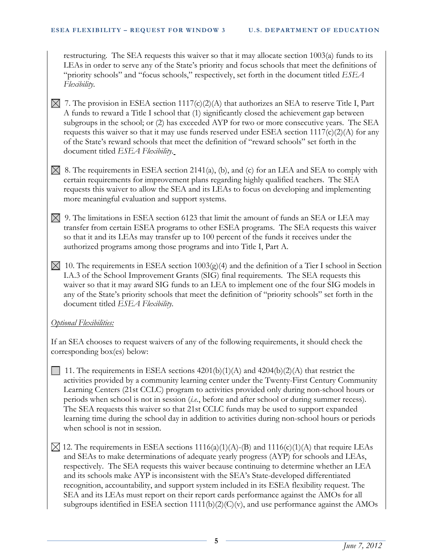restructuring. The SEA requests this waiver so that it may allocate section 1003(a) funds to its LEAs in order to serve any of the State's priority and focus schools that meet the definitions of "priority schools" and "focus schools," respectively, set forth in the document titled *ESEA Flexibility*.

- $\boxtimes$  7. The provision in ESEA section 1117(c)(2)(A) that authorizes an SEA to reserve Title I, Part A funds to reward a Title I school that (1) significantly closed the achievement gap between subgroups in the school; or (2) has exceeded AYP for two or more consecutive years. The SEA requests this waiver so that it may use funds reserved under ESEA section 1117(c)(2)(A) for any of the State's reward schools that meet the definition of "reward schools" set forth in the document titled *ESEA Flexibility*.
- $\boxtimes$  8. The requirements in ESEA section 2141(a), (b), and (c) for an LEA and SEA to comply with certain requirements for improvement plans regarding highly qualified teachers. The SEA requests this waiver to allow the SEA and its LEAs to focus on developing and implementing more meaningful evaluation and support systems.
- $\boxtimes$  9. The limitations in ESEA section 6123 that limit the amount of funds an SEA or LEA may transfer from certain ESEA programs to other ESEA programs. The SEA requests this waiver so that it and its LEAs may transfer up to 100 percent of the funds it receives under the authorized programs among those programs and into Title I, Part A.
- $\boxtimes$  10. The requirements in ESEA section 1003(g)(4) and the definition of a Tier I school in Section I.A.3 of the School Improvement Grants (SIG) final requirements. The SEA requests this waiver so that it may award SIG funds to an LEA to implement one of the four SIG models in any of the State's priority schools that meet the definition of "priority schools" set forth in the document titled *ESEA Flexibility*.

## *Optional Flexibilities:*

If an SEA chooses to request waivers of any of the following requirements, it should check the corresponding box(es) below:

- 11. The requirements in ESEA sections  $4201(b)(1)(A)$  and  $4204(b)(2)(A)$  that restrict the activities provided by a community learning center under the Twenty-First Century Community Learning Centers (21st CCLC) program to activities provided only during non-school hours or periods when school is not in session (*i.e.*, before and after school or during summer recess). The SEA requests this waiver so that 21st CCLC funds may be used to support expanded learning time during the school day in addition to activities during non-school hours or periods when school is not in session.
- $\boxtimes$  12. The requirements in ESEA sections 1116(a)(1)(A)-(B) and 1116(c)(1)(A) that require LEAs and SEAs to make determinations of adequate yearly progress (AYP) for schools and LEAs, respectively. The SEA requests this waiver because continuing to determine whether an LEA and its schools make AYP is inconsistent with the SEA's State-developed differentiated recognition, accountability, and support system included in its ESEA flexibility request. The SEA and its LEAs must report on their report cards performance against the AMOs for all subgroups identified in ESEA section  $1111(b)(2)(C)(v)$ , and use performance against the AMOs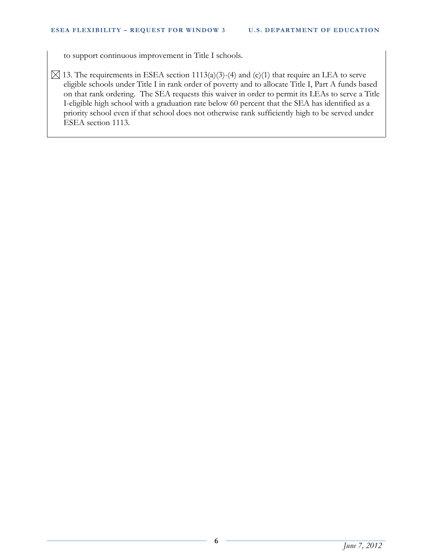to support continuous improvement in Title I schools.

 $\boxtimes$  13. The requirements in ESEA section 1113(a)(3)-(4) and (c)(1) that require an LEA to serve eligible schools under Title I in rank order of poverty and to allocate Title I, Part A funds based on that rank ordering. The SEA requests this waiver in order to permit its LEAs to serve a Title I-eligible high school with a graduation rate below 60 percent that the SEA has identified as a priority school even if that school does not otherwise rank sufficiently high to be served under ESEA section 1113.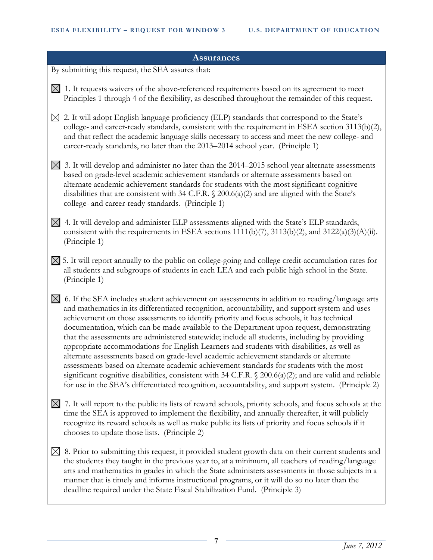#### **Assurances**

By submitting this request, the SEA assures that:

- $\boxtimes$  1. It requests waivers of the above-referenced requirements based on its agreement to meet Principles 1 through 4 of the flexibility, as described throughout the remainder of this request.
- $\boxtimes$  2. It will adopt English language proficiency (ELP) standards that correspond to the State's college- and career-ready standards, consistent with the requirement in ESEA section 3113(b)(2), and that reflect the academic language skills necessary to access and meet the new college- and career-ready standards, no later than the 2013–2014 school year. (Principle 1)
- $\boxtimes$  3. It will develop and administer no later than the 2014–2015 school year alternate assessments based on grade-level academic achievement standards or alternate assessments based on alternate academic achievement standards for students with the most significant cognitive disabilities that are consistent with 34 C.F.R. § 200.6(a)(2) and are aligned with the State's college- and career-ready standards. (Principle 1)
- $\boxtimes$  4. It will develop and administer ELP assessments aligned with the State's ELP standards, consistent with the requirements in ESEA sections 1111(b)(7), 3113(b)(2), and 3122(a)(3)(A)(ii). (Principle 1)
- $\boxtimes$  5. It will report annually to the public on college-going and college credit-accumulation rates for all students and subgroups of students in each LEA and each public high school in the State. (Principle 1)
- $\times$  6. If the SEA includes student achievement on assessments in addition to reading/language arts and mathematics in its differentiated recognition, accountability, and support system and uses achievement on those assessments to identify priority and focus schools, it has technical documentation, which can be made available to the Department upon request, demonstrating that the assessments are administered statewide; include all students, including by providing appropriate accommodations for English Learners and students with disabilities, as well as alternate assessments based on grade-level academic achievement standards or alternate assessments based on alternate academic achievement standards for students with the most significant cognitive disabilities, consistent with 34 C.F.R. § 200.6(a)(2); and are valid and reliable for use in the SEA's differentiated recognition, accountability, and support system. (Principle 2)
- $\boxtimes$  7. It will report to the public its lists of reward schools, priority schools, and focus schools at the time the SEA is approved to implement the flexibility, and annually thereafter, it will publicly recognize its reward schools as well as make public its lists of priority and focus schools if it chooses to update those lists. (Principle 2)
- $\boxtimes$  8. Prior to submitting this request, it provided student growth data on their current students and the students they taught in the previous year to, at a minimum, all teachers of reading/language arts and mathematics in grades in which the State administers assessments in those subjects in a manner that is timely and informs instructional programs, or it will do so no later than the deadline required under the State Fiscal Stabilization Fund. (Principle 3)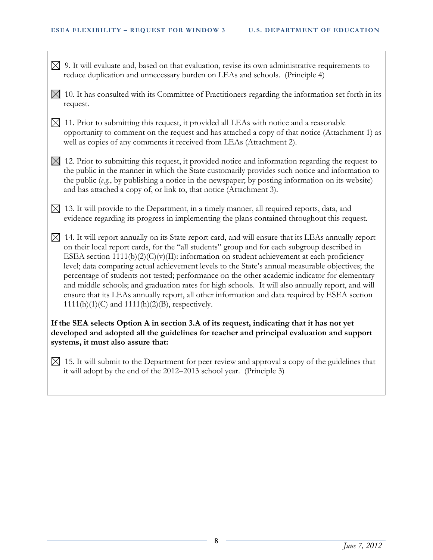- $\boxtimes$  9. It will evaluate and, based on that evaluation, revise its own administrative requirements to reduce duplication and unnecessary burden on LEAs and schools. (Principle 4)
- $\boxtimes$  10. It has consulted with its Committee of Practitioners regarding the information set forth in its request.
- $\boxtimes$  11. Prior to submitting this request, it provided all LEAs with notice and a reasonable opportunity to comment on the request and has attached a copy of that notice (Attachment 1) as well as copies of any comments it received from LEAs (Attachment 2).
- $\boxtimes$  12. Prior to submitting this request, it provided notice and information regarding the request to the public in the manner in which the State customarily provides such notice and information to the public (*e.g.*, by publishing a notice in the newspaper; by posting information on its website) and has attached a copy of, or link to, that notice (Attachment 3).
- $\boxtimes$  13. It will provide to the Department, in a timely manner, all required reports, data, and evidence regarding its progress in implementing the plans contained throughout this request.
- $\boxtimes$  14. It will report annually on its State report card, and will ensure that its LEAs annually report on their local report cards, for the "all students" group and for each subgroup described in ESEA section 1111(b)(2)(C)(v)(II): information on student achievement at each proficiency level; data comparing actual achievement levels to the State's annual measurable objectives; the percentage of students not tested; performance on the other academic indicator for elementary and middle schools; and graduation rates for high schools. It will also annually report, and will ensure that its LEAs annually report, all other information and data required by ESEA section  $1111(h)(1)(C)$  and  $1111(h)(2)(B)$ , respectively.

## **If the SEA selects Option A in section 3.A of its request, indicating that it has not yet developed and adopted all the guidelines for teacher and principal evaluation and support systems, it must also assure that:**

 $\boxtimes$  15. It will submit to the Department for peer review and approval a copy of the guidelines that it will adopt by the end of the 2012–2013 school year. (Principle 3)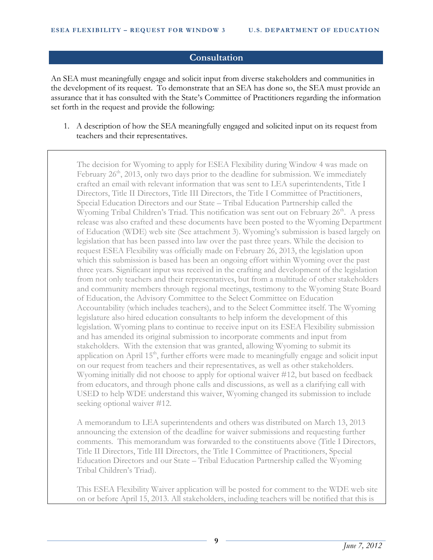#### **Consultation**

An SEA must meaningfully engage and solicit input from diverse stakeholders and communities in the development of its request. To demonstrate that an SEA has done so, the SEA must provide an assurance that it has consulted with the State's Committee of Practitioners regarding the information set forth in the request and provide the following:

1. A description of how the SEA meaningfully engaged and solicited input on its request from teachers and their representatives.

The decision for Wyoming to apply for ESEA Flexibility during Window 4 was made on February  $26<sup>th</sup>$ , 2013, only two days prior to the deadline for submission. We immediately crafted an email with relevant information that was sent to LEA superintendents, Title I Directors, Title II Directors, Title III Directors, the Title I Committee of Practitioners, Special Education Directors and our State – Tribal Education Partnership called the Wyoming Tribal Children's Triad. This notification was sent out on February 26<sup>th</sup>. A press release was also crafted and these documents have been posted to the Wyoming Department of Education (WDE) web site (See attachment 3). Wyoming's submission is based largely on legislation that has been passed into law over the past three years. While the decision to request ESEA Flexibility was officially made on February 26, 2013, the legislation upon which this submission is based has been an ongoing effort within Wyoming over the past three years. Significant input was received in the crafting and development of the legislation from not only teachers and their representatives, but from a multitude of other stakeholders and community members through regional meetings, testimony to the Wyoming State Board of Education, the Advisory Committee to the Select Committee on Education Accountability (which includes teachers), and to the Select Committee itself. The Wyoming legislature also hired education consultants to help inform the development of this legislation. Wyoming plans to continue to receive input on its ESEA Flexibility submission and has amended its original submission to incorporate comments and input from stakeholders. With the extension that was granted, allowing Wyoming to submit its application on April  $15<sup>th</sup>$ , further efforts were made to meaningfully engage and solicit input on our request from teachers and their representatives, as well as other stakeholders. Wyoming initially did not choose to apply for optional waiver #12, but based on feedback from educators, and through phone calls and discussions, as well as a clarifying call with USED to help WDE understand this waiver, Wyoming changed its submission to include seeking optional waiver #12.

A memorandum to LEA superintendents and others was distributed on March 13, 2013 announcing the extension of the deadline for waiver submissions and requesting further comments. This memorandum was forwarded to the constituents above (Title I Directors, Title II Directors, Title III Directors, the Title I Committee of Practitioners, Special Education Directors and our State – Tribal Education Partnership called the Wyoming Tribal Children's Triad).

This ESEA Flexibility Waiver application will be posted for comment to the WDE web site on or before April 15, 2013. All stakeholders, including teachers will be notified that this is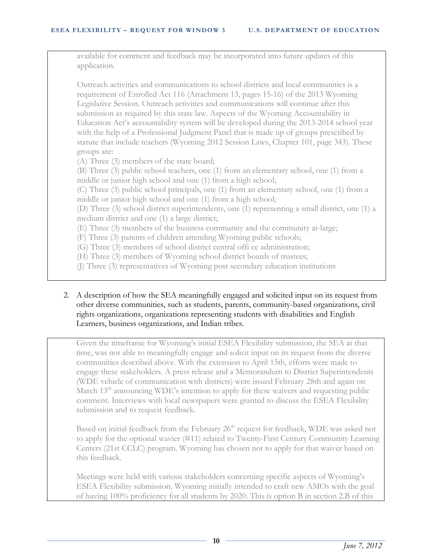available for comment and feedback may be incorporated into future updates of this application.

Outreach activities and communications to school districts and local communities is a requirement of Enrolled Act 116 (Attachment 13, pages 15-16) of the 2013 Wyoming Legislative Session. Outreach activities and communications will continue after this submission as required by this state law. Aspects of the Wyoming Accountability in Education Act's accountability system will be developed during the 2013-2014 school year with the help of a Professional Judgment Panel that is made up of groups prescribed by statute that include teachers (Wyoming 2012 Session Laws, Chapter 101, page 343). These groups are:

(A) Three (3) members of the state board;

(B) Three (3) public school teachers, one (1) from an elementary school, one (1) from a middle or junior high school and one (1) from a high school;

(C) Three (3) public school principals, one (1) from an elementary school, one (1) from a middle or junior high school and one (1) from a high school;

(D) Three (3) school district superintendents, one (1) representing a small district, one (1) a medium district and one (1) a large district;

(E) Three (3) members of the business community and the community at-large;

(F) Three (3) parents of children attending Wyoming public schools;

(G) Three (3) members of school district central offi ce administration;

(H) Three (3) members of Wyoming school district boards of trustees;

(J) Three (3) representatives of Wyoming post secondary education institutions

2. A description of how the SEA meaningfully engaged and solicited input on its request from other diverse communities, such as students, parents, community-based organizations, civil rights organizations, organizations representing students with disabilities and English Learners, business organizations, and Indian tribes.

Given the timeframe for Wyoming's initial ESEA Flexibility submission, the SEA at that time, was not able to meaningfully engage and solicit input on its request from the diverse communities described above. With the extension to April 15th, efforts were made to engage these stakeholders. A press release and a Memorandum to District Superintendents (WDE vehicle of communication with districts) were issued February 28th and again on March  $13<sup>th</sup>$  announcing WDE's intention to apply for these waivers and requesting public comment. Interviews with local newspapers were granted to discuss the ESEA Flexibility submission and to request feedback.

Based on initial feedback from the February 26<sup>th</sup> request for feedback, WDE was asked not to apply for the optional wavier (#11) related to Twenty-First Century Community Learning Centers (21st CCLC) program. Wyoming has chosen not to apply for that waiver based on this feedback.

Meetings were held with various stakeholders concerning specific aspects of Wyoming's ESEA Flexibility submission. Wyoming initially intended to craft new AMOs with the goal of having 100% proficiency for all students by 2020. This is option B in section 2.B of this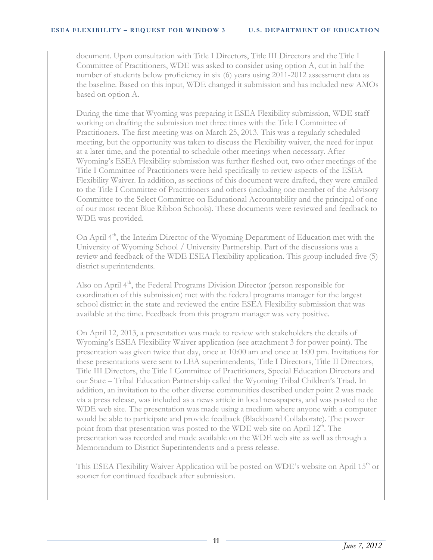document. Upon consultation with Title I Directors, Title III Directors and the Title I Committee of Practitioners, WDE was asked to consider using option A, cut in half the number of students below proficiency in six (6) years using 2011-2012 assessment data as the baseline. Based on this input, WDE changed it submission and has included new AMOs based on option A.

During the time that Wyoming was preparing it ESEA Flexibility submission, WDE staff working on drafting the submission met three times with the Title I Committee of Practitioners. The first meeting was on March 25, 2013. This was a regularly scheduled meeting, but the opportunity was taken to discuss the Flexibility waiver, the need for input at a later time, and the potential to schedule other meetings when necessary. After Wyoming's ESEA Flexibility submission was further fleshed out, two other meetings of the Title I Committee of Practitioners were held specifically to review aspects of the ESEA Flexibility Waiver. In addition, as sections of this document were drafted, they were emailed to the Title I Committee of Practitioners and others (including one member of the Advisory Committee to the Select Committee on Educational Accountability and the principal of one of our most recent Blue Ribbon Schools). These documents were reviewed and feedback to WDE was provided.

On April 4<sup>th</sup>, the Interim Director of the Wyoming Department of Education met with the University of Wyoming School / University Partnership. Part of the discussions was a review and feedback of the WDE ESEA Flexibility application. This group included five (5) district superintendents.

Also on April  $4<sup>th</sup>$ , the Federal Programs Division Director (person responsible for coordination of this submission) met with the federal programs manager for the largest school district in the state and reviewed the entire ESEA Flexibility submission that was available at the time. Feedback from this program manager was very positive.

On April 12, 2013, a presentation was made to review with stakeholders the details of Wyoming's ESEA Flexibility Waiver application (see attachment 3 for power point). The presentation was given twice that day, once at 10:00 am and once at 1:00 pm. Invitations for these presentations were sent to LEA superintendents, Title I Directors, Title II Directors, Title III Directors, the Title I Committee of Practitioners, Special Education Directors and our State – Tribal Education Partnership called the Wyoming Tribal Children's Triad. In addition, an invitation to the other diverse communities described under point 2 was made via a press release, was included as a news article in local newspapers, and was posted to the WDE web site. The presentation was made using a medium where anyone with a computer would be able to participate and provide feedback (Blackboard Collaborate). The power point from that presentation was posted to the WDE web site on April 12<sup>th</sup>. The presentation was recorded and made available on the WDE web site as well as through a Memorandum to District Superintendents and a press release.

This ESEA Flexibility Waiver Application will be posted on WDE's website on April 15<sup>th</sup> or sooner for continued feedback after submission.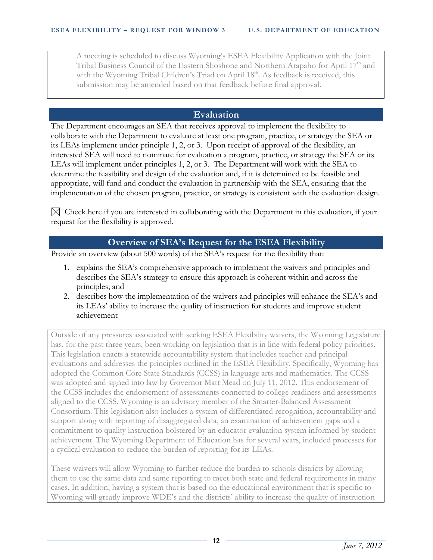A meeting is scheduled to discuss Wyoming's ESEA Flexibility Application with the Joint Tribal Business Council of the Eastern Shoshone and Northern Arapaho for April 17<sup>th</sup> and with the Wyoming Tribal Children's Triad on April 18<sup>th</sup>. As feedback is received, this submission may be amended based on that feedback before final approval.

## **Evaluation**

The Department encourages an SEA that receives approval to implement the flexibility to collaborate with the Department to evaluate at least one program, practice, or strategy the SEA or its LEAs implement under principle 1, 2, or 3. Upon receipt of approval of the flexibility, an interested SEA will need to nominate for evaluation a program, practice, or strategy the SEA or its LEAs will implement under principles 1, 2, or 3. The Department will work with the SEA to determine the feasibility and design of the evaluation and, if it is determined to be feasible and appropriate, will fund and conduct the evaluation in partnership with the SEA, ensuring that the implementation of the chosen program, practice, or strategy is consistent with the evaluation design.

 $\boxtimes$  Check here if you are interested in collaborating with the Department in this evaluation, if your request for the flexibility is approved.

# **Overview of SEA's Request for the ESEA Flexibility**

Provide an overview (about 500 words) of the SEA's request for the flexibility that:

- 1. explains the SEA's comprehensive approach to implement the waivers and principles and describes the SEA's strategy to ensure this approach is coherent within and across the principles; and
- 2. describes how the implementation of the waivers and principles will enhance the SEA's and its LEAs' ability to increase the quality of instruction for students and improve student achievement

Outside of any pressures associated with seeking ESEA Flexibility waivers, the Wyoming Legislature has, for the past three years, been working on legislation that is in line with federal policy priorities. This legislation enacts a statewide accountability system that includes teacher and principal evaluations and addresses the principles outlined in the ESEA Flexibility. Specifically, Wyoming has adopted the Common Core State Standards (CCSS) in language arts and mathematics. The CCSS was adopted and signed into law by Governor Matt Mead on July 11, 2012. This endorsement of the CCSS includes the endorsement of assessments connected to college readiness and assessments aligned to the CCSS. Wyoming is an advisory member of the Smarter-Balanced Assessment Consortium. This legislation also includes a system of differentiated recognition, accountability and support along with reporting of disaggregated data, an examination of achievement gaps and a commitment to quality instruction bolstered by an educator evaluation system informed by student achievement. The Wyoming Department of Education has for several years, included processes for a cyclical evaluation to reduce the burden of reporting for its LEAs.

These waivers will allow Wyoming to further reduce the burden to schools districts by allowing them to use the same data and same reporting to meet both state and federal requirements in many cases. In addition, having a system that is based on the educational environment that is specific to Wyoming will greatly improve WDE's and the districts' ability to increase the quality of instruction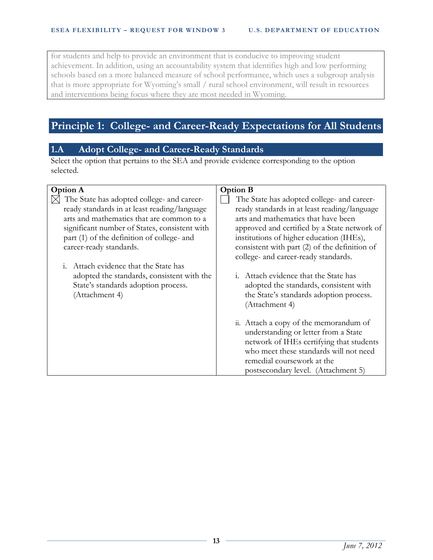for students and help to provide an environment that is conducive to improving student achievement. In addition, using an accountability system that identifies high and low performing schools based on a more balanced measure of school performance, which uses a subgroup analysis that is more appropriate for Wyoming's small / rural school environment, will result in resources and interventions being focus where they are most needed in Wyoming.

# **Principle 1: College- and Career-Ready Expectations for All Students**

# **1.A Adopt College- and Career-Ready Standards**

Select the option that pertains to the SEA and provide evidence corresponding to the option selected.

| <b>Option A</b>                                                                                     | <b>Option B</b>                                                                                                                                                                                                                           |
|-----------------------------------------------------------------------------------------------------|-------------------------------------------------------------------------------------------------------------------------------------------------------------------------------------------------------------------------------------------|
| The State has adopted college- and career-                                                          | The State has adopted college- and career-                                                                                                                                                                                                |
| ready standards in at least reading/language                                                        | ready standards in at least reading/language                                                                                                                                                                                              |
| arts and mathematics that are common to a                                                           | arts and mathematics that have been                                                                                                                                                                                                       |
| significant number of States, consistent with                                                       | approved and certified by a State network of                                                                                                                                                                                              |
| part (1) of the definition of college- and                                                          | institutions of higher education (IHEs),                                                                                                                                                                                                  |
| career-ready standards.                                                                             | consistent with part (2) of the definition of                                                                                                                                                                                             |
|                                                                                                     | college- and career-ready standards.                                                                                                                                                                                                      |
| i. Attach evidence that the State has                                                               |                                                                                                                                                                                                                                           |
| adopted the standards, consistent with the<br>State's standards adoption process.<br>(Attachment 4) | i. Attach evidence that the State has<br>adopted the standards, consistent with<br>the State's standards adoption process.<br>(Attachment 4)                                                                                              |
|                                                                                                     | ii. Attach a copy of the memorandum of<br>understanding or letter from a State<br>network of IHEs certifying that students<br>who meet these standards will not need<br>remedial coursework at the<br>postsecondary level. (Attachment 5) |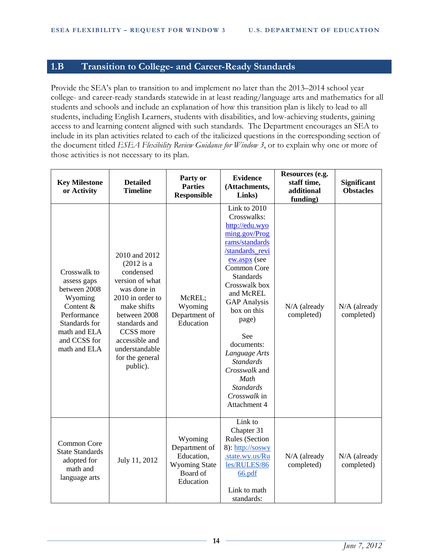# **1.B Transition to College- and Career-Ready Standards**

Provide the SEA's plan to transition to and implement no later than the 2013–2014 school year college- and career-ready standards statewide in at least reading/language arts and mathematics for all students and schools and include an explanation of how this transition plan is likely to lead to all students, including English Learners, students with disabilities, and low-achieving students, gaining access to and learning content aligned with such standards. The Department encourages an SEA to include in its plan activities related to each of the italicized questions in the corresponding section of the document titled *ESEA Flexibility Review Guidance for Window 3*, or to explain why one or more of those activities is not necessary to its plan.

| <b>Key Milestone</b><br>or Activity                                                                                                                 | <b>Detailed</b><br><b>Timeline</b>                                                                                                                                                                                               | Party or<br><b>Parties</b><br>Responsible                                               | <b>Evidence</b><br>(Attachments,<br>Links)                                                                                                                                                                                                                                                                                                                                 | Resources (e.g.<br>staff time,<br>additional<br>funding) | Significant<br><b>Obstacles</b> |
|-----------------------------------------------------------------------------------------------------------------------------------------------------|----------------------------------------------------------------------------------------------------------------------------------------------------------------------------------------------------------------------------------|-----------------------------------------------------------------------------------------|----------------------------------------------------------------------------------------------------------------------------------------------------------------------------------------------------------------------------------------------------------------------------------------------------------------------------------------------------------------------------|----------------------------------------------------------|---------------------------------|
| Crosswalk to<br>assess gaps<br>between 2008<br>Wyoming<br>Content &<br>Performance<br>Standards for<br>math and ELA<br>and CCSS for<br>math and ELA | 2010 and 2012<br>$(2012$ is a<br>condensed<br>version of what<br>was done in<br>2010 in order to<br>make shifts<br>between 2008<br>standards and<br>CCSS more<br>accessible and<br>understandable<br>for the general<br>public). | McREL;<br>Wyoming<br>Department of<br>Education                                         | Link to 2010<br>Crosswalks:<br>http://edu.wyo<br>ming.gov/Prog<br>rams/standards<br>/standards revi<br>ew.aspx (see<br>Common Core<br><b>Standards</b><br>Crosswalk box<br>and McREL<br><b>GAP</b> Analysis<br>box on this<br>page)<br>See<br>documents:<br>Language Arts<br><b>Standards</b><br>Crosswalk and<br>Math<br><b>Standards</b><br>Crosswalk in<br>Attachment 4 | N/A (already<br>completed)                               | N/A (already<br>completed)      |
| Common Core<br><b>State Standards</b><br>adopted for<br>math and<br>language arts                                                                   | July 11, 2012                                                                                                                                                                                                                    | Wyoming<br>Department of<br>Education,<br><b>Wyoming State</b><br>Board of<br>Education | Link to<br>Chapter 31<br>Rules (Section<br>8): http://soswy<br>.state.wy.us/Ru<br>les/RULES/86<br>66.pdf<br>Link to math<br>standards:                                                                                                                                                                                                                                     | N/A (already<br>completed)                               | N/A (already<br>completed)      |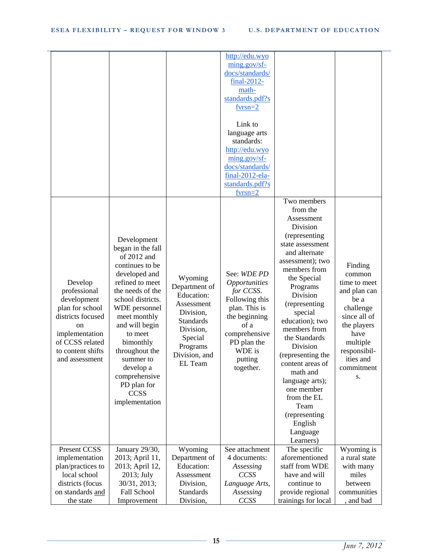|                                                                                                                                                                  |                                                                                                                                                                                                                                                                                                                                         |                                                                                                                                                              | http://edu.wyo<br>ming.gov/sf-<br>docs/standards/<br>final-2012-<br>math-<br>standards.pdf?s<br>$fyrsn = 2$<br>Link to<br>language arts<br>standards:<br>http://edu.wyo<br>ming.gov/sf-<br>docs/standards/<br>final-2012-ela-<br>standards.pdf?s<br>$fyrsn=2$ |                                                                                                                                                                                                                                                                                                                                                                                                                                                  |                                                                                                                                                                            |
|------------------------------------------------------------------------------------------------------------------------------------------------------------------|-----------------------------------------------------------------------------------------------------------------------------------------------------------------------------------------------------------------------------------------------------------------------------------------------------------------------------------------|--------------------------------------------------------------------------------------------------------------------------------------------------------------|---------------------------------------------------------------------------------------------------------------------------------------------------------------------------------------------------------------------------------------------------------------|--------------------------------------------------------------------------------------------------------------------------------------------------------------------------------------------------------------------------------------------------------------------------------------------------------------------------------------------------------------------------------------------------------------------------------------------------|----------------------------------------------------------------------------------------------------------------------------------------------------------------------------|
| Develop<br>professional<br>development<br>plan for school<br>districts focused<br>on<br>implementation<br>of CCSS related<br>to content shifts<br>and assessment | Development<br>began in the fall<br>of 2012 and<br>continues to be<br>developed and<br>refined to meet<br>the needs of the<br>school districts.<br>WDE personnel<br>meet monthly<br>and will begin<br>to meet<br>bimonthly<br>throughout the<br>summer to<br>develop a<br>comprehensive<br>PD plan for<br><b>CCSS</b><br>implementation | Wyoming<br>Department of<br><b>Education:</b><br>Assessment<br>Division,<br><b>Standards</b><br>Division,<br>Special<br>Programs<br>Division, and<br>EL Team | See: WDE PD<br><i><b>Opportunities</b></i><br>for CCSS.<br>Following this<br>plan. This is<br>the beginning<br>of a<br>comprehensive<br>PD plan the<br>WDE is<br>putting<br>together.                                                                         | Two members<br>from the<br>Assessment<br>Division<br>(representing<br>state assessment<br>and alternate<br>assessment); two<br>members from<br>the Special<br>Programs<br>Division<br>(representing<br>special<br>education); two<br>members from<br>the Standards<br>Division<br>(representing the<br>content areas of<br>math and<br>language arts);<br>one member<br>from the EL<br>Team<br>(representing<br>English<br>Language<br>Learners) | Finding<br>common<br>time to meet<br>and plan can<br>be a<br>challenge<br>since all of<br>the players<br>have<br>multiple<br>responsibil-<br>ities and<br>commitment<br>S. |
| Present CCSS                                                                                                                                                     | January 29/30,                                                                                                                                                                                                                                                                                                                          | Wyoming                                                                                                                                                      | See attachment                                                                                                                                                                                                                                                | The specific                                                                                                                                                                                                                                                                                                                                                                                                                                     | Wyoming is                                                                                                                                                                 |
| implementation                                                                                                                                                   | 2013; April 11,                                                                                                                                                                                                                                                                                                                         | Department of                                                                                                                                                | 4 documents:                                                                                                                                                                                                                                                  | aforementioned                                                                                                                                                                                                                                                                                                                                                                                                                                   | a rural state                                                                                                                                                              |
| plan/practices to                                                                                                                                                | 2013; April 12,                                                                                                                                                                                                                                                                                                                         | Education:                                                                                                                                                   | Assessing                                                                                                                                                                                                                                                     | staff from WDE                                                                                                                                                                                                                                                                                                                                                                                                                                   | with many                                                                                                                                                                  |
| local school                                                                                                                                                     | 2013; July                                                                                                                                                                                                                                                                                                                              | Assessment                                                                                                                                                   | <b>CCSS</b>                                                                                                                                                                                                                                                   | have and will                                                                                                                                                                                                                                                                                                                                                                                                                                    | miles                                                                                                                                                                      |
| districts (focus                                                                                                                                                 | 30/31, 2013;                                                                                                                                                                                                                                                                                                                            | Division,                                                                                                                                                    | Language Arts,                                                                                                                                                                                                                                                | continue to                                                                                                                                                                                                                                                                                                                                                                                                                                      | between                                                                                                                                                                    |
| on standards and                                                                                                                                                 | Fall School                                                                                                                                                                                                                                                                                                                             | <b>Standards</b>                                                                                                                                             | Assessing<br>CCSS                                                                                                                                                                                                                                             | provide regional                                                                                                                                                                                                                                                                                                                                                                                                                                 | communities                                                                                                                                                                |
| the state                                                                                                                                                        | Improvement                                                                                                                                                                                                                                                                                                                             | Division,                                                                                                                                                    |                                                                                                                                                                                                                                                               | trainings for local                                                                                                                                                                                                                                                                                                                                                                                                                              | , and bad                                                                                                                                                                  |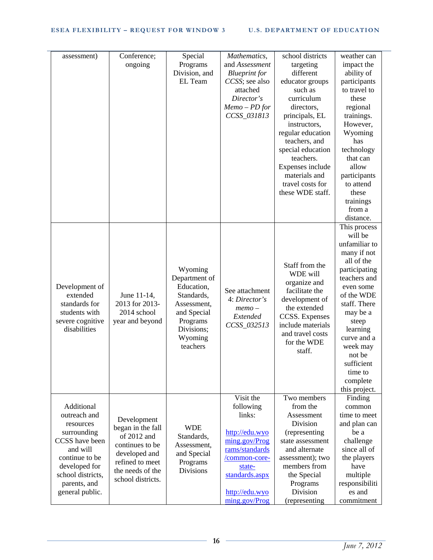| assessment)       | Conference;       | Special          | Mathematics,         | school districts  | weather can    |
|-------------------|-------------------|------------------|----------------------|-------------------|----------------|
|                   | ongoing           | Programs         | and Assessment       | targeting         | impact the     |
|                   |                   | Division, and    | <b>Blueprint</b> for | different         | ability of     |
|                   |                   | EL Team          | CCSS; see also       | educator groups   | participants   |
|                   |                   |                  | attached             | such as           | to travel to   |
|                   |                   |                  | Director's           | curriculum        | these          |
|                   |                   |                  | $Memo - PD for$      | directors,        | regional       |
|                   |                   |                  | CCSS_031813          | principals, EL    | trainings.     |
|                   |                   |                  |                      | instructors,      | However,       |
|                   |                   |                  |                      | regular education | Wyoming        |
|                   |                   |                  |                      | teachers, and     | has            |
|                   |                   |                  |                      | special education | technology     |
|                   |                   |                  |                      | teachers.         | that can       |
|                   |                   |                  |                      | Expenses include  | allow          |
|                   |                   |                  |                      | materials and     | participants   |
|                   |                   |                  |                      | travel costs for  | to attend      |
|                   |                   |                  |                      | these WDE staff.  | these          |
|                   |                   |                  |                      |                   | trainings      |
|                   |                   |                  |                      |                   | from a         |
|                   |                   |                  |                      |                   | distance.      |
|                   |                   |                  |                      |                   | This process   |
|                   |                   |                  |                      |                   | will be        |
|                   |                   |                  |                      |                   | unfamiliar to  |
|                   |                   |                  |                      |                   | many if not    |
|                   |                   |                  |                      |                   | all of the     |
|                   |                   | Wyoming          |                      | Staff from the    | participating  |
|                   |                   | Department of    |                      | WDE will          | teachers and   |
| Development of    |                   | Education,       |                      | organize and      | even some      |
| extended          | June 11-14,       | Standards,       | See attachment       | facilitate the    | of the WDE     |
| standards for     | 2013 for 2013-    | Assessment,      | 4: Director's        | development of    | staff. There   |
| students with     | 2014 school       | and Special      | $memo-$              | the extended      | may be a       |
| severe cognitive  | year and beyond   | Programs         | Extended             | CCSS. Expenses    | steep          |
| disabilities      |                   | Divisions;       | CCSS_032513          | include materials | learning       |
|                   |                   | Wyoming          |                      | and travel costs  | curve and a    |
|                   |                   | teachers         |                      | for the WDE       | week may       |
|                   |                   |                  |                      | staff.            | not be         |
|                   |                   |                  |                      |                   | sufficient     |
|                   |                   |                  |                      |                   | time to        |
|                   |                   |                  |                      |                   | complete       |
|                   |                   |                  |                      |                   | this project.  |
|                   |                   |                  | Visit the            | Two members       | Finding        |
| Additional        |                   |                  | following            | from the          | common         |
| outreach and      |                   |                  | links:               | Assessment        | time to meet   |
| resources         | Development       |                  |                      | Division          | and plan can   |
| surrounding       | began in the fall | <b>WDE</b>       | http://edu.wyo       | (representing     | be a           |
| CCSS have been    | of 2012 and       | Standards,       | ming.gov/Prog        | state assessment  | challenge      |
| and will          | continues to be   | Assessment,      | rams/standards       | and alternate     | since all of   |
| continue to be    | developed and     | and Special      | /common-core-        | assessment); two  | the players    |
| developed for     | refined to meet   | Programs         | state-               | members from      | have           |
| school districts, | the needs of the  | <b>Divisions</b> | standards.aspx       | the Special       | multiple       |
|                   | school districts. |                  |                      |                   |                |
| parents, and      |                   |                  |                      | Programs          | responsibiliti |
| general public.   |                   |                  | http://edu.wyo       | Division          | es and         |
|                   |                   |                  | ming.gov/Prog        | (representing     | commitment     |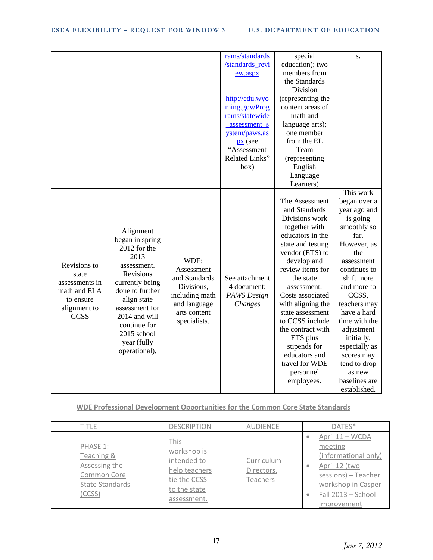|                                                                                                     |                                                                                                                                                                                                                                         |                                                                                                                     | rams/standards<br>/standards_revi<br>ew.aspx<br>http://edu.wyo<br>ming.gov/Prog<br>rams/statewide<br>assessment s<br>ystem/paws.as<br>$\mathbf{p}$ (see<br>"Assessment<br>Related Links"<br>box) | special<br>education); two<br>members from<br>the Standards<br>Division<br>(representing the<br>content areas of<br>math and<br>language arts);<br>one member<br>from the EL<br>Team<br>(representing<br>English<br>Language<br>Learners)                                                                                                                                                    | S.<br>This work                                                                                                                                                                                                                                                                                                                 |
|-----------------------------------------------------------------------------------------------------|-----------------------------------------------------------------------------------------------------------------------------------------------------------------------------------------------------------------------------------------|---------------------------------------------------------------------------------------------------------------------|--------------------------------------------------------------------------------------------------------------------------------------------------------------------------------------------------|----------------------------------------------------------------------------------------------------------------------------------------------------------------------------------------------------------------------------------------------------------------------------------------------------------------------------------------------------------------------------------------------|---------------------------------------------------------------------------------------------------------------------------------------------------------------------------------------------------------------------------------------------------------------------------------------------------------------------------------|
| Revisions to<br>state<br>assessments in<br>math and ELA<br>to ensure<br>alignment to<br><b>CCSS</b> | Alignment<br>began in spring<br>2012 for the<br>2013<br>assessment.<br>Revisions<br>currently being<br>done to further<br>align state<br>assessment for<br>2014 and will<br>continue for<br>2015 school<br>year (fully<br>operational). | WDE:<br>Assessment<br>and Standards<br>Divisions,<br>including math<br>and language<br>arts content<br>specialists. | See attachment<br>4 document:<br>PAWS Design<br>Changes                                                                                                                                          | The Assessment<br>and Standards<br>Divisions work<br>together with<br>educators in the<br>state and testing<br>vendor (ETS) to<br>develop and<br>review items for<br>the state<br>assessment.<br>Costs associated<br>with aligning the<br>state assessment<br>to CCSS include<br>the contract with<br>ETS plus<br>stipends for<br>educators and<br>travel for WDE<br>personnel<br>employees. | began over a<br>year ago and<br>is going<br>smoothly so<br>far.<br>However, as<br>the<br>assessment<br>continues to<br>shift more<br>and more to<br>CCSS,<br>teachers may<br>have a hard<br>time with the<br>adjustment<br>initially,<br>especially as<br>scores may<br>tend to drop<br>as new<br>baselines are<br>established. |

**WDE Professional Development Opportunities for the Common Core State Standards**

| title                                                                               | <b>DESCRIPTION</b>                                                                                 | <b>AUDIENCE</b>                      | DATES*                                                                                                                                                                       |
|-------------------------------------------------------------------------------------|----------------------------------------------------------------------------------------------------|--------------------------------------|------------------------------------------------------------------------------------------------------------------------------------------------------------------------------|
| PHASE 1:<br>Teaching &<br>Assessing the<br>Common Core<br>State Standards<br>(CCSS) | This<br>workshop is<br>intended to<br>help teachers<br>tie the CCSS<br>to the state<br>assessment. | Curriculum<br>Directors,<br>Teachers | April 11 - WCDA<br>۰<br>meeting<br>(informational only)<br>April 12 (two<br>۰<br>sessions) - Teacher<br>workshop in Casper<br>Fall 2013 - School<br>$\bullet$<br>Improvement |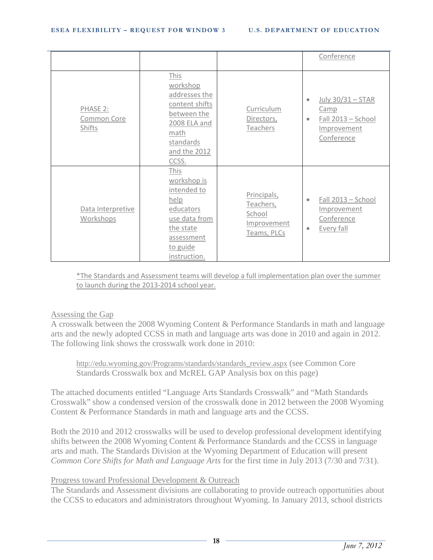|                                   |                                                                                                                                  |                                                                  | Conference                                                                                             |
|-----------------------------------|----------------------------------------------------------------------------------------------------------------------------------|------------------------------------------------------------------|--------------------------------------------------------------------------------------------------------|
| PHASE 2:<br>Common Core<br>Shifts | This<br>workshop<br>addresses the<br>content shifts<br>between the<br>2008 ELA and<br>math<br>standards<br>and the 2012<br>CCSS. | Curriculum<br>Directors,<br>Teachers                             | July 30/31 - STAR<br>$\bullet$<br>Camp<br>Fall 2013 - School<br>$\bullet$<br>Improvement<br>Conference |
| Data Interpretive<br>Workshops    | This<br>workshop is<br>intended to<br>help<br>educators<br>use data from<br>the state<br>assessment<br>to guide<br>instruction.  | Principals,<br>Teachers,<br>School<br>Improvement<br>Teams, PLCs | Fall 2013 - School<br>$\bullet$<br>Improvement<br>Conference<br>Every fall<br>$\bullet$                |

\*The Standards and Assessment teams will develop a full implementation plan over the summer to launch during the 2013-2014 school year.

#### Assessing the Gap

A crosswalk between the 2008 Wyoming Content & Performance Standards in math and language arts and the newly adopted CCSS in math and language arts was done in 2010 and again in 2012. The following link shows the crosswalk work done in 2010:

[http://edu.wyoming.gov/Programs/standards/standards\\_review.aspx](http://edu.wyoming.gov/Programs/standards/standards_review.aspx) (see Common Core Standards Crosswalk box and McREL GAP Analysis box on this page)

The attached documents entitled "Language Arts Standards Crosswalk" and "Math Standards Crosswalk" show a condensed version of the crosswalk done in 2012 between the 2008 Wyoming Content & Performance Standards in math and language arts and the CCSS.

Both the 2010 and 2012 crosswalks will be used to develop professional development identifying shifts between the 2008 Wyoming Content & Performance Standards and the CCSS in language arts and math. The Standards Division at the Wyoming Department of Education will present *Common Core Shifts for Math and Language Arts* for the first time in July 2013 (7/30 and 7/31).

#### Progress toward Professional Development & Outreach

The Standards and Assessment divisions are collaborating to provide outreach opportunities about the CCSS to educators and administrators throughout Wyoming. In January 2013, school districts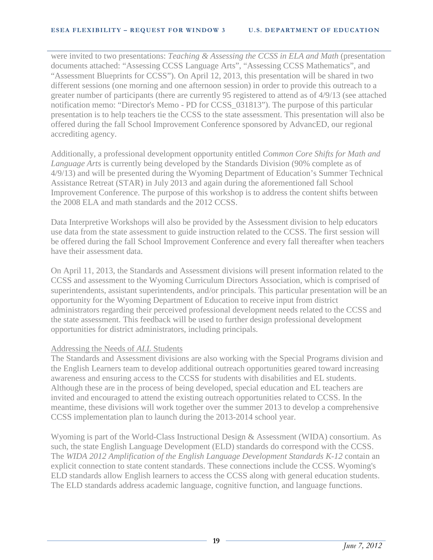were invited to two presentations: *Teaching & Assessing the CCSS in ELA and Math* (presentation documents attached: "Assessing CCSS Language Arts", "Assessing CCSS Mathematics", and "Assessment Blueprints for CCSS"). On April 12, 2013, this presentation will be shared in two different sessions (one morning and one afternoon session) in order to provide this outreach to a greater number of participants (there are currently 95 registered to attend as of 4/9/13 (see attached notification memo: "Director's Memo - PD for CCSS\_031813"). The purpose of this particular presentation is to help teachers tie the CCSS to the state assessment. This presentation will also be offered during the fall School Improvement Conference sponsored by AdvancED, our regional accrediting agency.

Additionally, a professional development opportunity entitled *Common Core Shifts for Math and Language Arts* is currently being developed by the Standards Division (90% complete as of 4/9/13) and will be presented during the Wyoming Department of Education's Summer Technical Assistance Retreat (STAR) in July 2013 and again during the aforementioned fall School Improvement Conference. The purpose of this workshop is to address the content shifts between the 2008 ELA and math standards and the 2012 CCSS.

Data Interpretive Workshops will also be provided by the Assessment division to help educators use data from the state assessment to guide instruction related to the CCSS. The first session will be offered during the fall School Improvement Conference and every fall thereafter when teachers have their assessment data.

On April 11, 2013, the Standards and Assessment divisions will present information related to the CCSS and assessment to the Wyoming Curriculum Directors Association, which is comprised of superintendents, assistant superintendents, and/or principals. This particular presentation will be an opportunity for the Wyoming Department of Education to receive input from district administrators regarding their perceived professional development needs related to the CCSS and the state assessment. This feedback will be used to further design professional development opportunities for district administrators, including principals.

#### Addressing the Needs of *ALL* Students

The Standards and Assessment divisions are also working with the Special Programs division and the English Learners team to develop additional outreach opportunities geared toward increasing awareness and ensuring access to the CCSS for students with disabilities and EL students. Although these are in the process of being developed, special education and EL teachers are invited and encouraged to attend the existing outreach opportunities related to CCSS. In the meantime, these divisions will work together over the summer 2013 to develop a comprehensive CCSS implementation plan to launch during the 2013-2014 school year.

Wyoming is part of the World-Class Instructional Design & Assessment (WIDA) consortium. As such, the state English Language Development (ELD) standards do correspond with the CCSS. The *WIDA 2012 Amplification of the English Language Development Standards K-12* contain an explicit connection to state content standards. These connections include the CCSS. Wyoming's ELD standards allow English learners to access the CCSS along with general education students. The ELD standards address academic language, cognitive function, and language functions.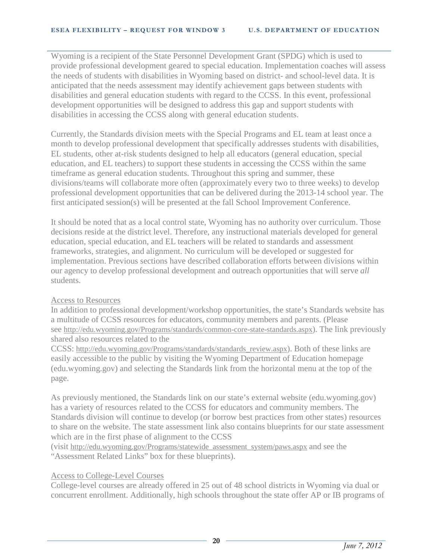Wyoming is a recipient of the State Personnel Development Grant (SPDG) which is used to provide professional development geared to special education. Implementation coaches will assess the needs of students with disabilities in Wyoming based on district- and school-level data. It is anticipated that the needs assessment may identify achievement gaps between students with disabilities and general education students with regard to the CCSS. In this event, professional development opportunities will be designed to address this gap and support students with disabilities in accessing the CCSS along with general education students.

Currently, the Standards division meets with the Special Programs and EL team at least once a month to develop professional development that specifically addresses students with disabilities, EL students, other at-risk students designed to help all educators (general education, special education, and EL teachers) to support these students in accessing the CCSS within the same timeframe as general education students. Throughout this spring and summer, these divisions/teams will collaborate more often (approximately every two to three weeks) to develop professional development opportunities that can be delivered during the 2013-14 school year. The first anticipated session(s) will be presented at the fall School Improvement Conference.

It should be noted that as a local control state, Wyoming has no authority over curriculum. Those decisions reside at the district level. Therefore, any instructional materials developed for general education, special education, and EL teachers will be related to standards and assessment frameworks, strategies, and alignment. No curriculum will be developed or suggested for implementation. Previous sections have described collaboration efforts between divisions within our agency to develop professional development and outreach opportunities that will serve *all* students.

#### Access to Resources

In addition to professional development/workshop opportunities, the state's Standards website has a multitude of CCSS resources for educators, community members and parents. (Please see [http://edu.wyoming.gov/Programs/standards/common-core-state-standards.aspx\)](http://edu.wyoming.gov/Programs/standards/common-core-state-standards.aspx). The link previously shared also resources related to the

CCSS: [http://edu.wyoming.gov/Programs/standards/standards\\_review.aspx\)](http://edu.wyoming.gov/Programs/standards/standards_review.aspx). Both of these links are easily accessible to the public by visiting the Wyoming Department of Education homepage (edu.wyoming.gov) and selecting the Standards link from the horizontal menu at the top of the page.

As previously mentioned, the Standards link on our state's external website (edu.wyoming.gov) has a variety of resources related to the CCSS for educators and community members. The Standards division will continue to develop (or borrow best practices from other states) resources to share on the website. The state assessment link also contains blueprints for our state assessment which are in the first phase of alignment to the CCSS

(visit [http://edu.wyoming.gov/Programs/statewide\\_assessment\\_system/paws.aspx](http://edu.wyoming.gov/Programs/statewide_assessment_system/paws.aspx) and see the "Assessment Related Links" box for these blueprints).

#### Access to College-Level Courses

College-level courses are already offered in 25 out of 48 school districts in Wyoming via dual or concurrent enrollment. Additionally, high schools throughout the state offer AP or IB programs of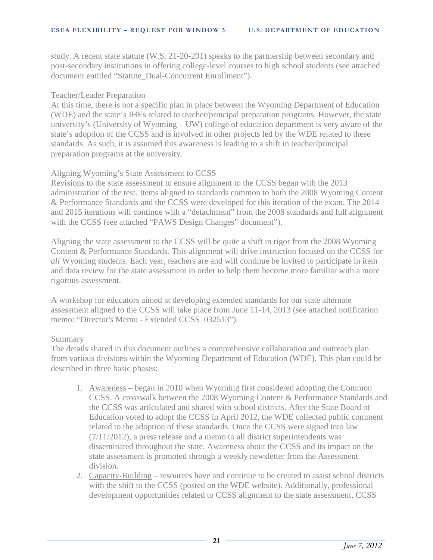study. A recent state statute (W.S. 21-20-201) speaks to the partnership between secondary and post-secondary institutions in offering college-level courses to high school students (see attached document entitled "Statute\_Dual-Concurrent Enrollment").

#### Teacher/Leader Preparation

At this time, there is not a specific plan in place between the Wyoming Department of Education (WDE) and the state's IHEs related to teacher/principal preparation programs. However, the state university's (University of Wyoming – UW) college of education department is very aware of the state's adoption of the CCSS and is involved in other projects led by the WDE related to these standards. As such, it is assumed this awareness is leading to a shift in teacher/principal preparation programs at the university.

#### Aligning Wyoming's State Assessment to CCSS

Revisions to the state assessment to ensure alignment to the CCSS began with the 2013 administration of the test. Items aligned to standards common to both the 2008 Wyoming Content & Performance Standards and the CCSS were developed for this iteration of the exam. The 2014 and 2015 iterations will continue with a "detachment" from the 2008 standards and full alignment with the CCSS (see attached "PAWS Design Changes" document").

Aligning the state assessment to the CCSS will be quite a shift in rigor from the 2008 Wyoming Content & Performance Standards. This alignment will drive instruction focused on the CCSS for *all* Wyoming students. Each year, teachers are and will continue be invited to participate in item and data review for the state assessment in order to help them become more familiar with a more rigorous assessment.

A workshop for educators aimed at developing extended standards for our state alternate assessment aligned to the CCSS will take place from June 11-14, 2013 (see attached notification memo: "Director's Memo - Extended CCSS 032513").

#### Summary

The details shared in this document outlines a comprehensive collaboration and outreach plan from various divisions within the Wyoming Department of Education (WDE). This plan could be described in three basic phases:

- 1. Awareness began in 2010 when Wyoming first considered adopting the Common CCSS. A crosswalk between the 2008 Wyoming Content & Performance Standards and the CCSS was articulated and shared with school districts. After the State Board of Education voted to adopt the CCSS in April 2012, the WDE collected public comment related to the adoption of these standards. Once the CCSS were signed into law (7/11/2012), a press release and a memo to all district superintendents was disseminated throughout the state. Awareness about the CCSS and its impact on the state assessment is promoted through a weekly newsletter from the Assessment division.
- 2. Capacity-Building resources have and continue to be created to assist school districts with the shift to the CCSS (posted on the WDE website). Additionally, professional development opportunities related to CCSS alignment to the state assessment, CCSS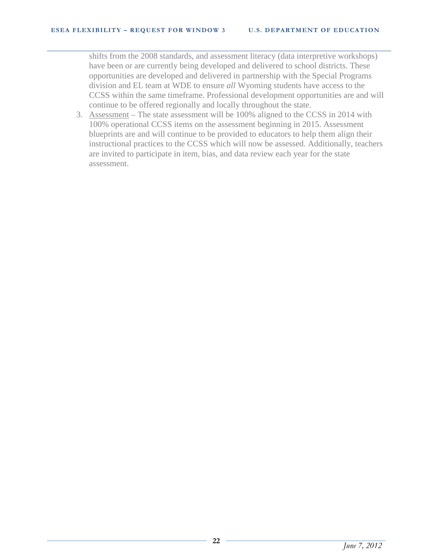shifts from the 2008 standards, and assessment literacy (data interpretive workshops) have been or are currently being developed and delivered to school districts. These opportunities are developed and delivered in partnership with the Special Programs division and EL team at WDE to ensure *all* Wyoming students have access to the CCSS within the same timeframe. Professional development opportunities are and will continue to be offered regionally and locally throughout the state.

3. Assessment – The state assessment will be 100% aligned to the CCSS in 2014 with 100% operational CCSS items on the assessment beginning in 2015. Assessment blueprints are and will continue to be provided to educators to help them align their instructional practices to the CCSS which will now be assessed. Additionally, teachers are invited to participate in item, bias, and data review each year for the state assessment.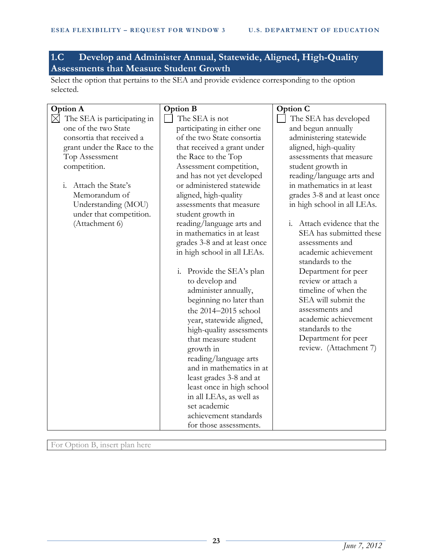# **1.C Develop and Administer Annual, Statewide, Aligned, High-Quality Assessments that Measure Student Growth**

Select the option that pertains to the SEA and provide evidence corresponding to the option selected.

| <b>Option A</b>                            | <b>Option B</b>              | Option C                     |
|--------------------------------------------|------------------------------|------------------------------|
| $\boxtimes$<br>The SEA is participating in | The SEA is not               | The SEA has developed        |
| one of the two State                       | participating in either one  | and begun annually           |
| consortia that received a                  | of the two State consortia   | administering statewide      |
| grant under the Race to the                | that received a grant under  | aligned, high-quality        |
| Top Assessment                             | the Race to the Top          | assessments that measure     |
| competition.                               | Assessment competition,      | student growth in            |
|                                            | and has not yet developed    | reading/language arts and    |
| $\mathbf{i}$ .<br>Attach the State's       | or administered statewide    | in mathematics in at least   |
| Memorandum of                              | aligned, high-quality        | grades 3-8 and at least once |
| Understanding (MOU)                        | assessments that measure     | in high school in all LEAs.  |
| under that competition.                    | student growth in            |                              |
| (Attachment 6)                             | reading/language arts and    | i. Attach evidence that the  |
|                                            | in mathematics in at least   | SEA has submitted these      |
|                                            | grades 3-8 and at least once | assessments and              |
|                                            | in high school in all LEAs.  | academic achievement         |
|                                            |                              | standards to the             |
|                                            | i. Provide the SEA's plan    | Department for peer          |
|                                            | to develop and               | review or attach a           |
|                                            | administer annually,         | timeline of when the         |
|                                            | beginning no later than      | SEA will submit the          |
|                                            | the 2014-2015 school         | assessments and              |
|                                            | year, statewide aligned,     | academic achievement         |
|                                            | high-quality assessments     | standards to the             |
|                                            | that measure student         | Department for peer          |
|                                            | growth in                    | review. (Attachment 7)       |
|                                            | reading/language arts        |                              |
|                                            | and in mathematics in at     |                              |
|                                            | least grades 3-8 and at      |                              |
|                                            | least once in high school    |                              |
|                                            | in all LEAs, as well as      |                              |
|                                            | set academic                 |                              |
|                                            | achievement standards        |                              |
|                                            | for those assessments.       |                              |

For Option B, insert plan here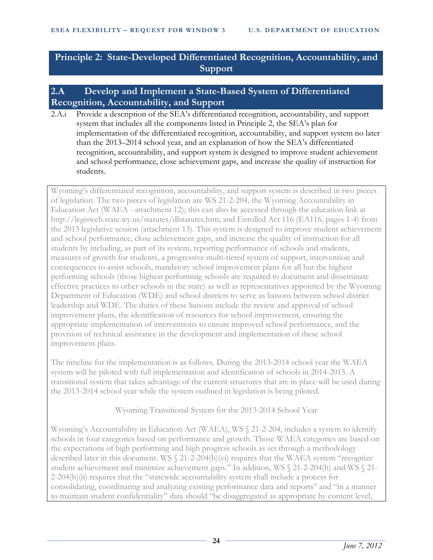# **Principle 2: State-Developed Differentiated Recognition, Accountability, and Support**

# **2.A Develop and Implement a State-Based System of Differentiated Recognition, Accountability, and Support**

2.A.i Provide a description of the SEA's differentiated recognition, accountability, and support system that includes all the components listed in Principle 2, the SEA's plan for implementation of the differentiated recognition, accountability, and support system no later than the 2013–2014 school year, and an explanation of how the SEA's differentiated recognition, accountability, and support system is designed to improve student achievement and school performance, close achievement gaps, and increase the quality of instruction for students.

Wyoming's differentiated recognition, accountability, and support system is described in two pieces of legislation. The two pieces of legislation are WS 21-2-204, the Wyoming Accountability in Education Act (WAEA - attachment 12); this can also be accessed through the education link at http://legisweb.state.wy.us/statutes/dlstatutes.htm; and Enrolled Act 116 (EA116, pages 1-4) from the 2013 legislative session (attachment 13). This system is designed to improve student achievement and school performance, close achievement gaps, and increase the quality of instruction for all students by including, as part of its system, reporting performance of schools and students, measures of growth for students, a progressive multi-tiered system of support, intervention and consequences to assist schools, mandatory school improvement plans for all but the highest performing schools (those highest performing schools are required to document and disseminate effective practices to other schools in the state) as well as representatives appointed by the Wyoming Department of Education (WDE) and school districts to serve as liaisons between school district leadership and WDE. The duties of these liaisons include the review and approval of school improvement plans, the identification of resources for school improvement, ensuring the appropriate implementation of interventions to ensure improved school performance, and the provision of technical assistance in the development and implementation of these school improvement plans.

The timeline for the implementation is as follows. During the 2013-2014 school year the WAEA system will be piloted with full implementation and identification of schools in 2014-2015. A transitional system that takes advantage of the current structures that are in place will be used during the 2013-2014 school year while the system outlined in legislation is being piloted.

Wyoming Transitional System for the 2013-2014 School Year

Wyoming's Accountability in Education Act (WAEA), WS § 21-2-204, includes a system to identify schools in four categories based on performance and growth. Those WAEA categories are based on the expectations of high performing and high progress schools as set through a methodology described later in this document. WS § 21-2-204(b)(vi) requires that the WAEA system "recognize student achievement and minimize achievement gaps." In addition, WS § 21-2-204(h) and WS § 21- 2-204(h)(ii) requires that the "statewide accountability system shall include a process for consolidating, coordinating and analyzing existing performance data and reports" and "in a manner to maintain student confidentiality" data should "be disaggregated as appropriate by content level,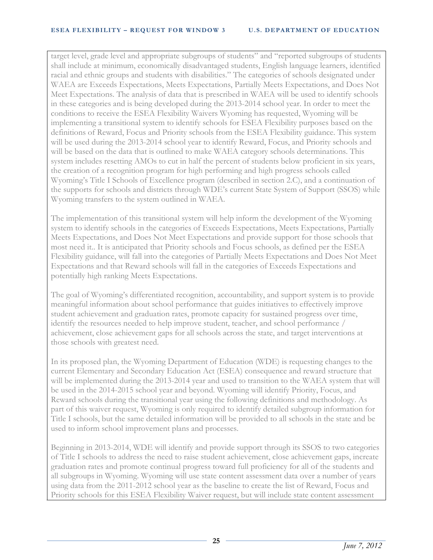target level, grade level and appropriate subgroups of students" and "reported subgroups of students shall include at minimum, economically disadvantaged students, English language learners, identified racial and ethnic groups and students with disabilities." The categories of schools designated under WAEA are Exceeds Expectations, Meets Expectations, Partially Meets Expectations, and Does Not Meet Expectations. The analysis of data that is prescribed in WAEA will be used to identify schools in these categories and is being developed during the 2013-2014 school year. In order to meet the conditions to receive the ESEA Flexibility Waivers Wyoming has requested, Wyoming will be implementing a transitional system to identify schools for ESEA Flexibility purposes based on the definitions of Reward, Focus and Priority schools from the ESEA Flexibility guidance. This system will be used during the 2013-2014 school year to identify Reward, Focus, and Priority schools and will be based on the data that is outlined to make WAEA category schools determinations. This system includes resetting AMOs to cut in half the percent of students below proficient in six years, the creation of a recognition program for high performing and high progress schools called Wyoming's Title I Schools of Excellence program (described in section 2.C), and a continuation of the supports for schools and districts through WDE's current State System of Support (SSOS) while Wyoming transfers to the system outlined in WAEA.

The implementation of this transitional system will help inform the development of the Wyoming system to identify schools in the categories of Exceeds Expectations, Meets Expectations, Partially Meets Expectations, and Does Not Meet Expectations and provide support for those schools that most need it.. It is anticipated that Priority schools and Focus schools, as defined per the ESEA Flexibility guidance, will fall into the categories of Partially Meets Expectations and Does Not Meet Expectations and that Reward schools will fall in the categories of Exceeds Expectations and potentially high ranking Meets Expectations.

The goal of Wyoming's differentiated recognition, accountability, and support system is to provide meaningful information about school performance that guides initiatives to effectively improve student achievement and graduation rates, promote capacity for sustained progress over time, identify the resources needed to help improve student, teacher, and school performance / achievement, close achievement gaps for all schools across the state, and target interventions at those schools with greatest need.

In its proposed plan, the Wyoming Department of Education (WDE) is requesting changes to the current Elementary and Secondary Education Act (ESEA) consequence and reward structure that will be implemented during the 2013-2014 year and used to transition to the WAEA system that will be used in the 2014-2015 school year and beyond. Wyoming will identify Priority, Focus, and Reward schools during the transitional year using the following definitions and methodology. As part of this waiver request, Wyoming is only required to identify detailed subgroup information for Title I schools, but the same detailed information will be provided to all schools in the state and be used to inform school improvement plans and processes.

Beginning in 2013-2014, WDE will identify and provide support through its SSOS to two categories of Title I schools to address the need to raise student achievement, close achievement gaps, increate graduation rates and promote continual progress toward full proficiency for all of the students and all subgroups in Wyoming. Wyoming will use state content assessment data over a number of years using data from the 2011-2012 school year as the baseline to create the list of Reward, Focus and Priority schools for this ESEA Flexibility Waiver request, but will include state content assessment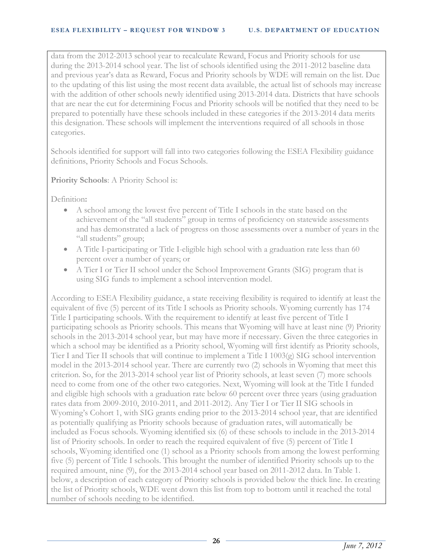data from the 2012-2013 school year to recalculate Reward, Focus and Priority schools for use during the 2013-2014 school year. The list of schools identified using the 2011-2012 baseline data and previous year's data as Reward, Focus and Priority schools by WDE will remain on the list. Due to the updating of this list using the most recent data available, the actual list of schools may increase with the addition of other schools newly identified using 2013-2014 data. Districts that have schools that are near the cut for determining Focus and Priority schools will be notified that they need to be prepared to potentially have these schools included in these categories if the 2013-2014 data merits this designation. These schools will implement the interventions required of all schools in those categories.

Schools identified for support will fall into two categories following the ESEA Flexibility guidance definitions, Priority Schools and Focus Schools.

**Priority Schools**: A Priority School is:

Definition**:**

- A school among the lowest five percent of Title I schools in the state based on the achievement of the "all students" group in terms of proficiency on statewide assessments and has demonstrated a lack of progress on those assessments over a number of years in the "all students" group;
- A Title I-participating or Title I-eligible high school with a graduation rate less than 60 percent over a number of years; or
- A Tier I or Tier II school under the School Improvement Grants (SIG) program that is using SIG funds to implement a school intervention model.

According to ESEA Flexibility guidance, a state receiving flexibility is required to identify at least the equivalent of five (5) percent of its Title I schools as Priority schools. Wyoming currently has 174 Title I participating schools. With the requirement to identify at least five percent of Title I participating schools as Priority schools. This means that Wyoming will have at least nine (9) Priority schools in the 2013-2014 school year, but may have more if necessary. Given the three categories in which a school may be identified as a Priority school, Wyoming will first identify as Priority schools, Tier I and Tier II schools that will continue to implement a Title I 1003(g) SIG school intervention model in the 2013-2014 school year. There are currently two (2) schools in Wyoming that meet this criterion. So, for the 2013-2014 school year list of Priority schools, at least seven (7) more schools need to come from one of the other two categories. Next, Wyoming will look at the Title I funded and eligible high schools with a graduation rate below 60 percent over three years (using graduation rates data from 2009-2010, 2010-2011, and 2011-2012). Any Tier I or Tier II SIG schools in Wyoming's Cohort 1, with SIG grants ending prior to the 2013-2014 school year, that are identified as potentially qualifying as Priority schools because of graduation rates, will automatically be included as Focus schools. Wyoming identified six (6) of these schools to include in the 2013-2014 list of Priority schools. In order to reach the required equivalent of five (5) percent of Title I schools, Wyoming identified one (1) school as a Priority schools from among the lowest performing five (5) percent of Title I schools. This brought the number of identified Priority schools up to the required amount, nine (9), for the 2013-2014 school year based on 2011-2012 data. In Table 1. below, a description of each category of Priority schools is provided below the thick line. In creating the list of Priority schools, WDE went down this list from top to bottom until it reached the total number of schools needing to be identified.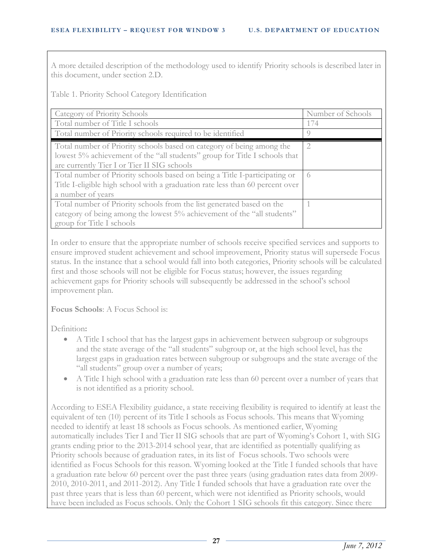A more detailed description of the methodology used to identify Priority schools is described later in this document, under section 2.D.

Table 1. Priority School Category Identification

| Category of Priority Schools                                                                                                                                                                       | Number of Schools |
|----------------------------------------------------------------------------------------------------------------------------------------------------------------------------------------------------|-------------------|
| Total number of Title I schools                                                                                                                                                                    | 174               |
| Total number of Priority schools required to be identified                                                                                                                                         | <sup>()</sup>     |
| Total number of Priority schools based on category of being among the<br>lowest 5% achievement of the "all students" group for Title I schools that<br>are currently Tier I or Tier II SIG schools | $\overline{2}$    |
| Total number of Priority schools based on being a Title I-participating or<br>Title I-eligible high school with a graduation rate less than 60 percent over<br>a number of years                   | $\bigcirc$        |
| Total number of Priority schools from the list generated based on the<br>category of being among the lowest 5% achievement of the "all students"<br>group for Title I schools                      |                   |

In order to ensure that the appropriate number of schools receive specified services and supports to ensure improved student achievement and school improvement, Priority status will supersede Focus status. In the instance that a school would fall into both categories, Priority schools will be calculated first and those schools will not be eligible for Focus status; however, the issues regarding achievement gaps for Priority schools will subsequently be addressed in the school's school improvement plan.

**Focus Schools**: A Focus School is:

Definition**:**

- A Title I school that has the largest gaps in achievement between subgroup or subgroups and the state average of the "all students" subgroup or, at the high school level, has the largest gaps in graduation rates between subgroup or subgroups and the state average of the "all students" group over a number of years;
- A Title I high school with a graduation rate less than 60 percent over a number of years that is not identified as a priority school.

According to ESEA Flexibility guidance, a state receiving flexibility is required to identify at least the equivalent of ten (10) percent of its Title I schools as Focus schools. This means that Wyoming needed to identify at least 18 schools as Focus schools. As mentioned earlier, Wyoming automatically includes Tier I and Tier II SIG schools that are part of Wyoming's Cohort 1, with SIG grants ending prior to the 2013-2014 school year, that are identified as potentially qualifying as Priority schools because of graduation rates, in its list of Focus schools. Two schools were identified as Focus Schools for this reason. Wyoming looked at the Title I funded schools that have a graduation rate below 60 percent over the past three years (using graduation rates data from 2009- 2010, 2010-2011, and 2011-2012). Any Title I funded schools that have a graduation rate over the past three years that is less than 60 percent, which were not identified as Priority schools, would have been included as Focus schools. Only the Cohort 1 SIG schools fit this category. Since there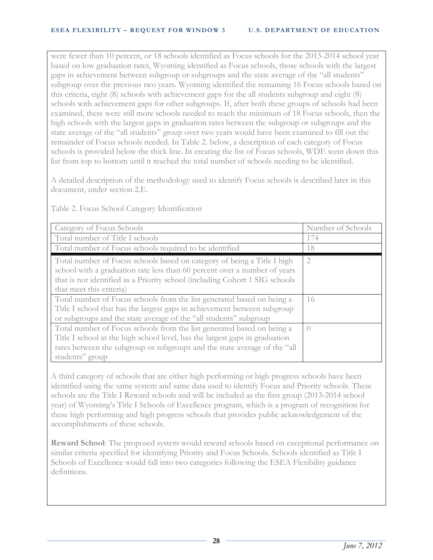were fewer than 10 percent, or 18 schools identified as Focus schools for the 2013-2014 school year based on low graduation rates, Wyoming identified as Focus schools, those schools with the largest gaps in achievement between subgroup or subgroups and the state average of the "all students" subgroup over the previous two years. Wyoming identified the remaining 16 Focus schools based on this criteria, eight (8) schools with achievement gaps for the all students subgroup and eight (8) schools with achievement gaps for other subgroups. If, after both these groups of schools had been examined, there were still more schools needed to reach the minimum of 18 Focus schools, then the high schools with the largest gaps in graduation rates between the subgroup or subgroups and the state average of the "all students" group over two years would have been examined to fill out the remainder of Focus schools needed. In Table 2. below, a description of each category of Focus schools is provided below the thick line. In creating the list of Focus schools, WDE went down this list from top to bottom until it reached the total number of schools needing to be identified.

A detailed description of the methodology used to identify Focus schools is described later in this document, under section 2.E.

| Category of Focus Schools                                                                                                                                                                                                                                       | Number of Schools |
|-----------------------------------------------------------------------------------------------------------------------------------------------------------------------------------------------------------------------------------------------------------------|-------------------|
| Total number of Title I schools                                                                                                                                                                                                                                 | 174               |
| Total number of Focus schools required to be identified                                                                                                                                                                                                         | 18                |
| Total number of Focus schools based on category of being a Title I high<br>school with a graduation rate less than 60 percent over a number of years<br>that is not identified as a Priority school (including Cohort 1 SIG schools<br>that meet this criteria) | $\overline{2}$    |
| Total number of Focus schools from the list generated based on being a<br>Title I school that has the largest gaps in achievement between subgroup<br>or subgroups and the state average of the "all students" subgroup                                         | 16                |
| Total number of Focus schools from the list generated based on being a<br>Title I school at the high school level, has the largest gaps in graduation<br>rates between the subgroup or subgroups and the state average of the "all<br>students" group           | $\bigcap$         |

Table 2. Focus School Category Identification

A third category of schools that are either high performing or high progress schools have been identified using the same system and same data used to identify Focus and Priority schools. These schools are the Title I Reward schools and will be included as the first group (2013-2014 school year) of Wyoming's Title I Schools of Excellence program, which is a program of recognition for these high performing and high progress schools that provides public acknowledgement of the accomplishments of these schools.

**Reward School**: The proposed system would reward schools based on exceptional performance on similar criteria specified for identifying Priority and Focus Schools. Schools identified as Title I Schools of Excellence would fall into two categories following the ESEA Flexibility guidance definitions.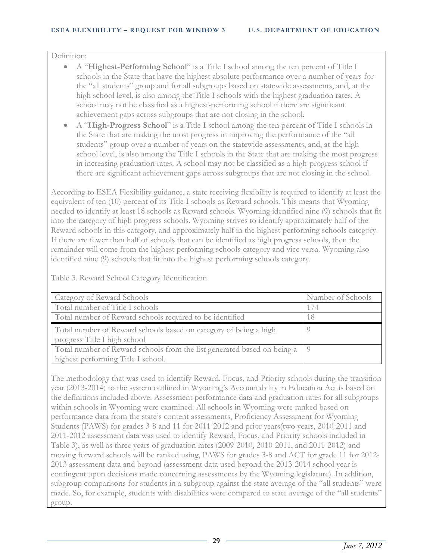#### Definition:

- A "**Highest-Performing School**" is a Title I school among the ten percent of Title I schools in the State that have the highest absolute performance over a number of years for the "all students" group and for all subgroups based on statewide assessments, and, at the high school level, is also among the Title I schools with the highest graduation rates. A school may not be classified as a highest-performing school if there are significant achievement gaps across subgroups that are not closing in the school.
- A "**High-Progress School**" is a Title I school among the ten percent of Title I schools in the State that are making the most progress in improving the performance of the "all students" group over a number of years on the statewide assessments, and, at the high school level, is also among the Title I schools in the State that are making the most progress in increasing graduation rates. A school may not be classified as a high-progress school if there are significant achievement gaps across subgroups that are not closing in the school.

According to ESEA Flexibility guidance, a state receiving flexibility is required to identify at least the equivalent of ten (10) percent of its Title I schools as Reward schools. This means that Wyoming needed to identify at least 18 schools as Reward schools. Wyoming identified nine (9) schools that fit into the category of high progress schools. Wyoming strives to identify approximately half of the Reward schools in this category, and approximately half in the highest performing schools category. If there are fewer than half of schools that can be identified as high progress schools, then the remainder will come from the highest performing schools category and vice versa. Wyoming also identified nine (9) schools that fit into the highest performing schools category.

Table 3. Reward School Category Identification

| Category of Reward Schools                                                  | Number of Schools |
|-----------------------------------------------------------------------------|-------------------|
| Total number of Title I schools                                             | 174               |
| Total number of Reward schools required to be identified                    |                   |
| Total number of Reward schools based on category of being a high            |                   |
| progress Title I high school                                                |                   |
| Total number of Reward schools from the list generated based on being a   9 |                   |
| highest performing Title I school.                                          |                   |

The methodology that was used to identify Reward, Focus, and Priority schools during the transition year (2013-2014) to the system outlined in Wyoming's Accountability in Education Act is based on the definitions included above. Assessment performance data and graduation rates for all subgroups within schools in Wyoming were examined. All schools in Wyoming were ranked based on performance data from the state's content assessments, Proficiency Assessment for Wyoming Students (PAWS) for grades 3-8 and 11 for 2011-2012 and prior years(two years, 2010-2011 and 2011-2012 assessment data was used to identify Reward, Focus, and Priority schools included in Table 3), as well as three years of graduation rates (2009-2010, 2010-2011, and 2011-2012) and moving forward schools will be ranked using, PAWS for grades 3-8 and ACT for grade 11 for 2012- 2013 assessment data and beyond (assessment data used beyond the 2013-2014 school year is contingent upon decisions made concerning assessments by the Wyoming legislature). In addition, subgroup comparisons for students in a subgroup against the state average of the "all students" were made. So, for example, students with disabilities were compared to state average of the "all students" group.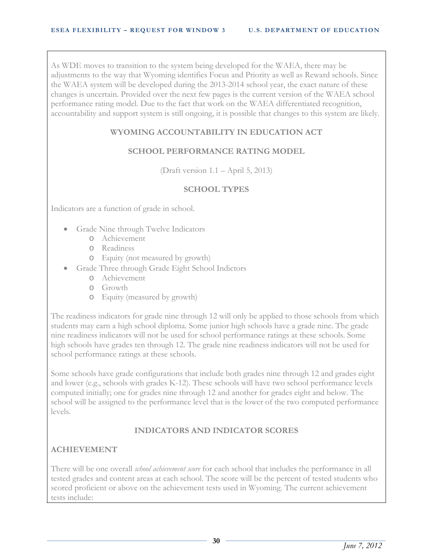As WDE moves to transition to the system being developed for the WAEA, there may be adjustments to the way that Wyoming identifies Focus and Priority as well as Reward schools. Since the WAEA system will be developed during the 2013-2014 school year, the exact nature of these changes is uncertain. Provided over the next few pages is the current version of the WAEA school performance rating model. Due to the fact that work on the WAEA differentiated recognition, accountability and support system is still ongoing, it is possible that changes to this system are likely.

## **WYOMING ACCOUNTABILITY IN EDUCATION ACT**

#### **SCHOOL PERFORMANCE RATING MODEL**

(Draft version 1.1 – April 5, 2013)

#### **SCHOOL TYPES**

Indicators are a function of grade in school.

- Grade Nine through Twelve Indicators
	- o Achievement
	- o Readiness
	- o Equity (not measured by growth)
- Grade Three through Grade Eight School Indictors
	- o Achievement
	- o Growth
	- o Equity (measured by growth)

The readiness indicators for grade nine through 12 will only be applied to those schools from which students may earn a high school diploma. Some junior high schools have a grade nine. The grade nine readiness indicators will not be used for school performance ratings at these schools. Some high schools have grades ten through 12. The grade nine readiness indicators will not be used for school performance ratings at these schools.

Some schools have grade configurations that include both grades nine through 12 and grades eight and lower (e.g., schools with grades K-12). These schools will have two school performance levels computed initially; one for grades nine through 12 and another for grades eight and below. The school will be assigned to the performance level that is the lower of the two computed performance levels.

#### **INDICATORS AND INDICATOR SCORES**

#### **ACHIEVEMENT**

There will be one overall *school achievement score* for each school that includes the performance in all tested grades and content areas at each school. The score will be the percent of tested students who scored proficient or above on the achievement tests used in Wyoming. The current achievement tests include: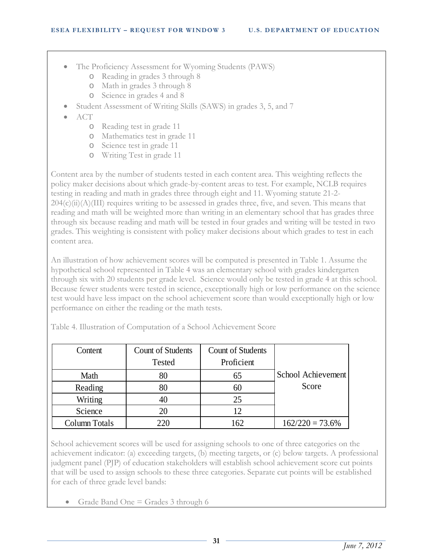- The Proficiency Assessment for Wyoming Students (PAWS)
	- o Reading in grades 3 through 8
	- o Math in grades 3 through 8
	- o Science in grades 4 and 8
- Student Assessment of Writing Skills (SAWS) in grades 3, 5, and 7
- ACT
	- o Reading test in grade 11
	- o Mathematics test in grade 11
	- o Science test in grade 11
	- o Writing Test in grade 11

Content area by the number of students tested in each content area. This weighting reflects the policy maker decisions about which grade-by-content areas to test. For example, NCLB requires testing in reading and math in grades three through eight and 11. Wyoming statute 21-2-  $204(c)(ii)(A)(III)$  requires writing to be assessed in grades three, five, and seven. This means that reading and math will be weighted more than writing in an elementary school that has grades three through six because reading and math will be tested in four grades and writing will be tested in two grades. This weighting is consistent with policy maker decisions about which grades to test in each content area.

An illustration of how achievement scores will be computed is presented in Table 1. Assume the hypothetical school represented in Table 4 was an elementary school with grades kindergarten through six with 20 students per grade level. Science would only be tested in grade 4 at this school. Because fewer students were tested in science, exceptionally high or low performance on the science test would have less impact on the school achievement score than would exceptionally high or low performance on either the reading or the math tests.

| Content       | <b>Count of Students</b> | <b>Count of Students</b> |                    |
|---------------|--------------------------|--------------------------|--------------------|
|               | <b>Tested</b>            | Proficient               |                    |
| Math          | 80                       | 65                       | School Achievement |
| Reading       | 80                       | 60                       | Score              |
| Writing       | 40                       | 25                       |                    |
| Science       | 20                       | 12                       |                    |
| Column Totals | 220                      | 162                      | $162/220 = 73.6\%$ |

Table 4. Illustration of Computation of a School Achievement Score

School achievement scores will be used for assigning schools to one of three categories on the achievement indicator: (a) exceeding targets, (b) meeting targets, or (c) below targets. A professional judgment panel (PJP) of education stakeholders will establish school achievement score cut points that will be used to assign schools to these three categories. Separate cut points will be established for each of three grade level bands:

• Grade Band One = Grades 3 through 6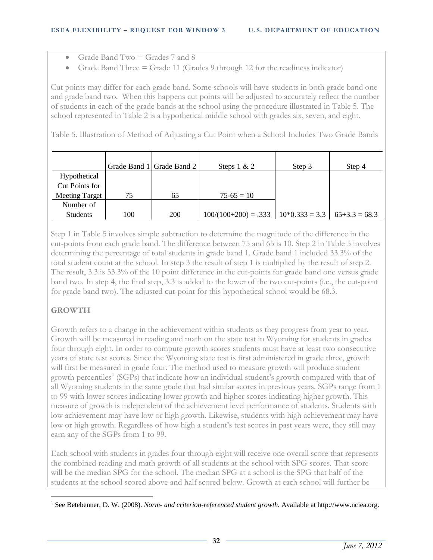- Grade Band Two  $=$  Grades 7 and 8
- Grade Band Three  $=$  Grade 11 (Grades 9 through 12 for the readiness indicator)

Cut points may differ for each grade band. Some schools will have students in both grade band one and grade band two. When this happens cut points will be adjusted to accurately reflect the number of students in each of the grade bands at the school using the procedure illustrated in Table 5. The school represented in Table 2 is a hypothetical middle school with grades six, seven, and eight.

Table 5. Illustration of Method of Adjusting a Cut Point when a School Includes Two Grade Bands

|                       |     | Grade Band 1 Grade Band 2 | Steps $1 & 2$          | Step 3                             | Step 4 |
|-----------------------|-----|---------------------------|------------------------|------------------------------------|--------|
| Hypothetical          |     |                           |                        |                                    |        |
| Cut Points for        |     |                           |                        |                                    |        |
| <b>Meeting Target</b> | 75  | 65                        | $75-65=10$             |                                    |        |
| Number of             |     |                           |                        |                                    |        |
| Students              | 100 | 200                       | $100/(100+200) = .333$ | $10*0.333 = 3.3$   $65+3.3 = 68.3$ |        |

Step 1 in Table 5 involves simple subtraction to determine the magnitude of the difference in the cut-points from each grade band. The difference between 75 and 65 is 10. Step 2 in Table 5 involves determining the percentage of total students in grade band 1. Grade band 1 included 33.3% of the total student count at the school. In step 3 the result of step 1 is multiplied by the result of step 2. The result, 3.3 is 33.3% of the 10 point difference in the cut-points for grade band one versus grade band two. In step 4, the final step, 3.3 is added to the lower of the two cut-points (i.e., the cut-point for grade band two). The adjusted cut-point for this hypothetical school would be 68.3.

# **GROWTH**

Growth refers to a change in the achievement within students as they progress from year to year. Growth will be measured in reading and math on the state test in Wyoming for students in grades four through eight. In order to compute growth scores students must have at least two consecutive years of state test scores. Since the Wyoming state test is first administered in grade three, growth will first be measured in grade four. The method used to measure growth will produce student growth percentiles<sup>[1](#page-0-0)</sup> (SGPs) that indicate how an individual student's growth compared with that of all Wyoming students in the same grade that had similar scores in previous years. SGPs range from 1 to 99 with lower scores indicating lower growth and higher scores indicating higher growth. This measure of growth is independent of the achievement level performance of students. Students with low achievement may have low or high growth. Likewise, students with high achievement may have low or high growth. Regardless of how high a student's test scores in past years were, they still may earn any of the SGPs from 1 to 99.

<span id="page-37-0"></span>Each school with students in grades four through eight will receive one overall score that represents the combined reading and math growth of all students at the school with SPG scores. That score will be the median SPG for the school. The median SPG at a school is the SPG that half of the students at the school scored above and half scored below. Growth at each school will further be

 <sup>1</sup> See Betebenner, D. W. (2008). *Norm- and criterion-referenced student growth.* Available at http://www.nciea.org.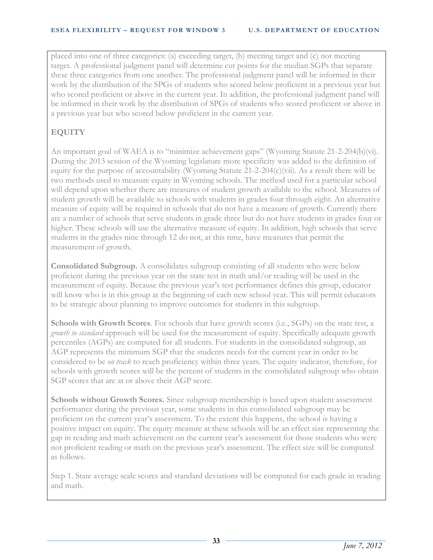placed into one of three categories: (a) exceeding target, (b) meeting target and (c) not meeting target. A professional judgment panel will determine cut points for the median SGPs that separate these three categories from one another. The professional judgment panel will be informed in their work by the distribution of the SPGs of students who scored below proficient in a previous year but who scored proficient or above in the current year. In addition, the professional judgment panel will be informed in their work by the distribution of SPGs of students who scored proficient or above in a previous year but who scored below proficient in the current year.

# **EQUITY**

An important goal of WAEA is to "minimize achievement gaps" (Wyoming Statute 21-2-204(b)(vi). During the 2013 session of the Wyoming legislature more specificity was added to the definition of equity for the purpose of accountability (Wyoming Statute 21-2-204(c)(vii). As a result there will be two methods used to measure equity in Wyoming schools. The method used for a particular school will depend upon whether there are measures of student growth available to the school. Measures of student growth will be available to schools with students in grades four through eight. An alternative measure of equity will be required in schools that do not have a measure of growth. Currently there are a number of schools that serve students in grade three but do not have students in grades four or higher. These schools will use the alternative measure of equity. In addition, high schools that serve students in the grades nine through 12 do not, at this time, have measures that permit the measurement of growth.

**Consolidated Subgroup.** A consolidates subgroup consisting of all students who were below proficient during the previous year on the state test in math and/or reading will be used in the measurement of equity. Because the previous year's test performance defines this group, educator will know who is in this group at the beginning of each new school year. This will permit educators to be strategic about planning to improve outcomes for students in this subgroup.

**Schools with Growth Scores**. For schools that have growth scores (i.e., SGPs) on the state test, a *growth to standard* approach will be used for the measurement of equity. Specifically adequate growth percentiles (AGPs) are computed for all students. For students in the consolidated subgroup, an AGP represents the minimum SGP that the students needs for the current year in order to be considered to be *on track* to reach proficiency within three years. The equity indicator, therefore, for schools with growth scores will be the percent of students in the consolidated subgroup who obtain SGP scores that are at or above their AGP score.

**Schools without Growth Scores.** Since subgroup membership is based upon student assessment performance during the previous year, some students in this consolidated subgroup may be proficient on the current year's assessment. To the extent this happens, the school is having a positive impact on equity. The equity measure at these schools will be an effect size representing the gap in reading and math achievement on the current year's assessment for those students who were not proficient reading or math on the previous year's assessment. The effect size will be computed as follows.

Step 1. State average scale scores and standard deviations will be computed for each grade in reading and math.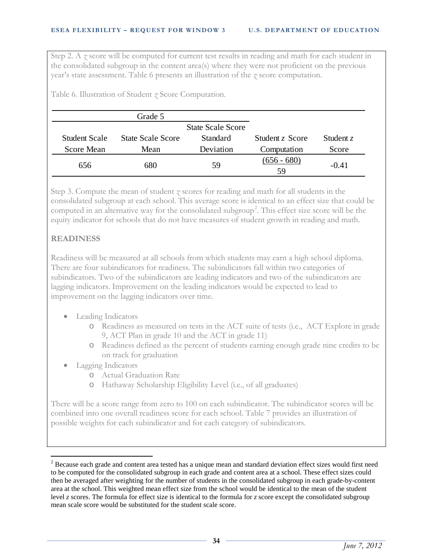Step 2. A *z* score will be computed for current test results in reading and math for each student in the consolidated subgroup in the content area(s) where they were not proficient on the previous year's state assessment. Table 6 presents an illustration of the *z* score computation.

Table 6. Illustration of Student *z* Score Computation.

|               | Grade 5                  |                          |                     |             |
|---------------|--------------------------|--------------------------|---------------------|-------------|
|               |                          | <b>State Scale Score</b> |                     |             |
| Student Scale | <b>State Scale Score</b> | <b>Standard</b>          | Student z Score     | Student $z$ |
| Score Mean    | Mean                     | Deviation                | Computation         | Score       |
| 656           | 680                      | 59                       | $(656 - 680)$<br>59 | $-0.41$     |

Step 3. Compute the mean of student *z* scores for reading and math for all students in the consolidated subgroup at each school. This average score is identical to an effect size that could be computed in an alternative way for the consolidated subgroup<sup>[2](#page-37-0)</sup>. This effect size score will be the equity indicator for schools that do not have measures of student growth in reading and math.

## **READINESS**

Readiness will be measured at all schools from which students may earn a high school diploma. There are four subindicators for readiness. The subindicators fall within two categories of subindicators. Two of the subindicators are leading indicators and two of the subindicators are lagging indicators. Improvement on the leading indicators would be expected to lead to improvement on the lagging indicators over time.

- Leading Indicators
	- o Readiness as measured on tests in the ACT suite of tests (i.e., ACT Explore in grade 9, ACT Plan in grade 10 and the ACT in grade 11)
	- o Readiness defined as the percent of students earning enough grade nine credits to be on track for graduation
- Lagging Indicators
	- o Actual Graduation Rate
	- o Hathaway Scholarship Eligibility Level (i.e., of all graduates)

There will be a score range from zero to 100 on each subindicator. The subindicator scores will be combined into one overall readiness score for each school. Table 7 provides an illustration of possible weights for each subindicator and for each category of subindicators.

<span id="page-39-0"></span><sup>&</sup>lt;sup>2</sup> Because each grade and content area tested has a unique mean and standard deviation effect sizes would first need to be computed for the consolidated subgroup in each grade and content area at a school. These effect sizes could then be averaged after weighting for the number of students in the consolidated subgroup in each grade-by-content area at the school. This weighted mean effect size from the school would be identical to the mean of the student level *z* scores. The formula for effect size is identical to the formula for *z* score except the consolidated subgroup mean scale score would be substituted for the student scale score.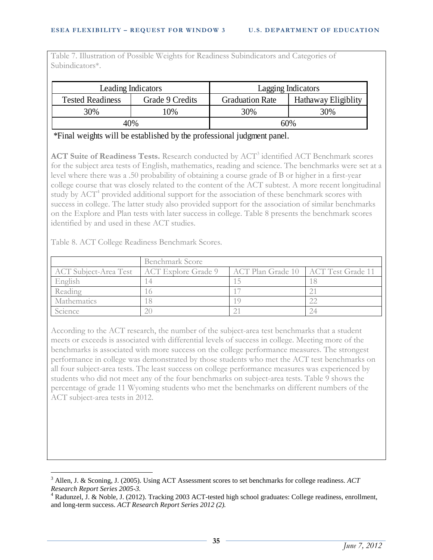Table 7. Illustration of Possible Weights for Readiness Subindicators and Categories of Subindicators\*.

| Leading Indicators      |                 | <b>Lagging Indicators</b>                     |  |
|-------------------------|-----------------|-----------------------------------------------|--|
| <b>Tested Readiness</b> | Grade 9 Credits | <b>Graduation Rate</b><br>Hathaway Eligiblity |  |
| 30%                     | 0%              | 30%<br>30%                                    |  |
| 40%                     |                 | 60%                                           |  |

\*Final weights will be established by the professional judgment panel.

ACT Suite of Readiness Tests. Research conducted by ACT<sup>[3](#page-39-0)</sup> identified ACT Benchmark scores for the subject area tests of English, mathematics, reading and science. The benchmarks were set at a level where there was a .50 probability of obtaining a course grade of B or higher in a first-year college course that was closely related to the content of the ACT subtest. A more recent longitudinal study by ACT<sup>[4](#page-40-0)</sup> provided additional support for the association of these benchmark scores with success in college. The latter study also provided support for the association of similar benchmarks on the Explore and Plan tests with later success in college. Table 8 presents the benchmark scores identified by and used in these ACT studies.

Table 8. ACT College Readiness Benchmark Scores.

|                                             | Benchmark Score |                                       |  |  |
|---------------------------------------------|-----------------|---------------------------------------|--|--|
| ACT Subject-Area Test   ACT Explore Grade 9 |                 | ACT Plan Grade 10   ACT Test Grade 11 |  |  |
| English                                     |                 |                                       |  |  |
| Reading                                     |                 |                                       |  |  |
| Mathematics                                 |                 |                                       |  |  |
| Science                                     |                 |                                       |  |  |

According to the ACT research, the number of the subject-area test benchmarks that a student meets or exceeds is associated with differential levels of success in college. Meeting more of the benchmarks is associated with more success on the college performance measures. The strongest performance in college was demonstrated by those students who met the ACT test benchmarks on all four subject-area tests. The least success on college performance measures was experienced by students who did not meet any of the four benchmarks on subject-area tests. Table 9 shows the percentage of grade 11 Wyoming students who met the benchmarks on different numbers of the ACT subject-area tests in 2012.

<span id="page-40-1"></span> <sup>3</sup> Allen, J. & Sconing, J. (2005). Using ACT Assessment scores to set benchmarks for college readiness. *ACT* 

<span id="page-40-0"></span>*Research Report Series 2005-3.* <sup>4</sup> Radunzel, J. & Noble, J. (2012). Tracking 2003 ACT-tested high school graduates: College readiness, enrollment, and long-term success. *ACT Research Report Series 2012 (2).*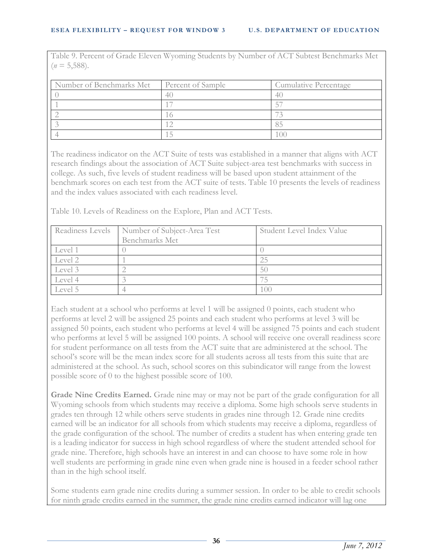Table 9. Percent of Grade Eleven Wyoming Students by Number of ACT Subtest Benchmarks Met  $(n = 5,588)$ .

| Number of Benchmarks Met | Percent of Sample | Cumulative Percentage |
|--------------------------|-------------------|-----------------------|
|                          | 41                |                       |
|                          |                   |                       |
|                          |                   |                       |
|                          |                   |                       |
|                          |                   |                       |

The readiness indicator on the ACT Suite of tests was established in a manner that aligns with ACT research findings about the association of ACT Suite subject-area test benchmarks with success in college. As such, five levels of student readiness will be based upon student attainment of the benchmark scores on each test from the ACT suite of tests. Table 10 presents the levels of readiness and the index values associated with each readiness level.

Table 10. Levels of Readiness on the Explore, Plan and ACT Tests.

| Readiness Levels | Number of Subject-Area Test | Student Level Index Value |
|------------------|-----------------------------|---------------------------|
|                  | Benchmarks Met              |                           |
| Level 1          |                             |                           |
| Level 2          |                             | 25                        |
| Level 3          |                             | 50                        |
| Level 4          |                             |                           |
| Level 5          |                             |                           |

Each student at a school who performs at level 1 will be assigned 0 points, each student who performs at level 2 will be assigned 25 points and each student who performs at level 3 will be assigned 50 points, each student who performs at level 4 will be assigned 75 points and each student who performs at level 5 will be assigned 100 points. A school will receive one overall readiness score for student performance on all tests from the ACT suite that are administered at the school. The school's score will be the mean index score for all students across all tests from this suite that are administered at the school. As such, school scores on this subindicator will range from the lowest possible score of 0 to the highest possible score of 100.

**Grade Nine Credits Earned.** Grade nine may or may not be part of the grade configuration for all Wyoming schools from which students may receive a diploma. Some high schools serve students in grades ten through 12 while others serve students in grades nine through 12. Grade nine credits earned will be an indicator for all schools from which students may receive a diploma, regardless of the grade configuration of the school. The number of credits a student has when entering grade ten is a leading indicator for success in high school regardless of where the student attended school for grade nine. Therefore, high schools have an interest in and can choose to have some role in how well students are performing in grade nine even when grade nine is housed in a feeder school rather than in the high school itself.

Some students earn grade nine credits during a summer session. In order to be able to credit schools for ninth grade credits earned in the summer, the grade nine credits earned indicator will lag one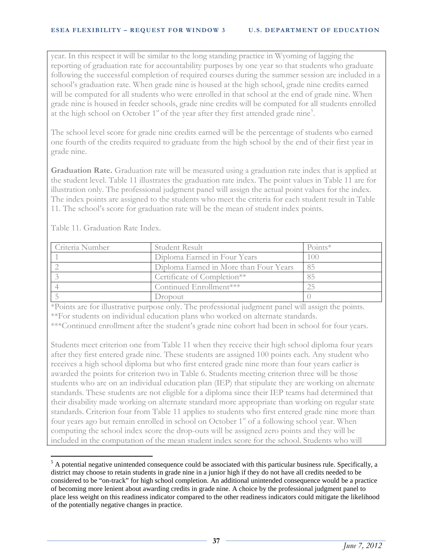year. In this respect it will be similar to the long standing practice in Wyoming of lagging the reporting of graduation rate for accountability purposes by one year so that students who graduate following the successful completion of required courses during the summer session are included in a school's graduation rate. When grade nine is housed at the high school, grade nine credits earned will be computed for all students who were enrolled in that school at the end of grade nine. When grade nine is housed in feeder schools, grade nine credits will be computed for all students enrolled at the high school on October  $1<sup>st</sup>$  of the year after they first attended grade nine<sup>[5](#page-40-1)</sup>.

The school level score for grade nine credits earned will be the percentage of students who earned one fourth of the credits required to graduate from the high school by the end of their first year in grade nine.

**Graduation Rate.** Graduation rate will be measured using a graduation rate index that is applied at the student level. Table 11 illustrates the graduation rate index. The point values in Table 11 are for illustration only. The professional judgment panel will assign the actual point values for the index. The index points are assigned to the students who meet the criteria for each student result in Table 11. The school's score for graduation rate will be the mean of student index points.

| Criteria Number | Student Result                         | $Points*$ |
|-----------------|----------------------------------------|-----------|
|                 | Diploma Earned in Four Years           | (0()      |
|                 | Diploma Earned in More than Four Years | 85        |
|                 | Certificate of Completion**            |           |
|                 | Continued Enrollment***                |           |
|                 | <b>C</b> ropout                        |           |

Table 11. Graduation Rate Index.

\*Points are for illustrative purpose only. The professional judgment panel will assign the points. \*\*For students on individual education plans who worked on alternate standards.

\*\*\*Continued enrollment after the student's grade nine cohort had been in school for four years.

Students meet criterion one from Table 11 when they receive their high school diploma four years after they first entered grade nine. These students are assigned 100 points each. Any student who receives a high school diploma but who first entered grade nine more than four years earlier is awarded the points for criterion two in Table 6. Students meeting criterion three will be those students who are on an individual education plan (IEP) that stipulate they are working on alternate standards. These students are not eligible for a diploma since their IEP teams had determined that their disability made working on alternate standard more appropriate than working on regular state standards. Criterion four from Table 11 applies to students who first entered grade nine more than four years ago but remain enrolled in school on October 1<sup>st</sup> of a following school year. When computing the school index score the drop-outs will be assigned zero points and they will be included in the computation of the mean student index score for the school. Students who will

 $<sup>5</sup>$  A potential negative unintended consequence could be associated with this particular business rule. Specifically, a</sup> district may choose to retain students in grade nine in a junior high if they do not have all credits needed to be considered to be "on-track" for high school completion. An additional unintended consequence would be a practice of becoming more lenient about awarding credits in grade nine. A choice by the professional judgment panel to place less weight on this readiness indicator compared to the other readiness indicators could mitigate the likelihood of the potentially negative changes in practice.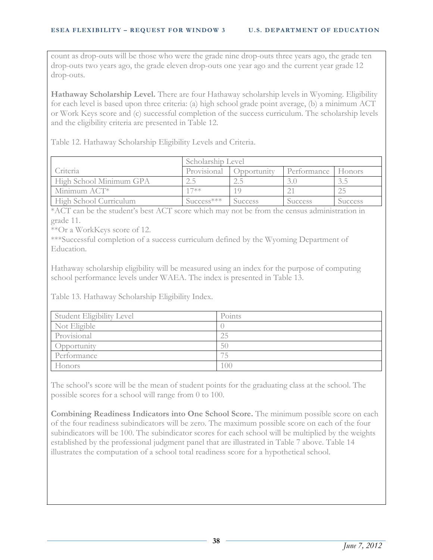count as drop-outs will be those who were the grade nine drop-outs three years ago, the grade ten drop-outs two years ago, the grade eleven drop-outs one year ago and the current year grade 12 drop-outs.

Hathaway Scholarship Level. There are four Hathaway scholarship levels in Wyoming. Eligibility for each level is based upon three criteria: (a) high school grade point average, (b) a minimum ACT or Work Keys score and (c) successful completion of the success curriculum. The scholarship levels and the eligibility criteria are presented in Table 12.

Table 12. Hathaway Scholarship Eligibility Levels and Criteria.

|                         | Scholarship Level |                    |                    |         |
|-------------------------|-------------------|--------------------|--------------------|---------|
| Criteria                | Provisional       | <i>Coportunity</i> | Performance Honors |         |
| High School Minimum GPA |                   |                    |                    | 3.5     |
| Minimum ACT*            | $17**$            |                    |                    |         |
| High School Curriculum  | $Success***$      | Success            | Success            | Success |

\*ACT can be the student's best ACT score which may not be from the census administration in grade 11.

\*\*Or a WorkKeys score of 12.

\*\*\*Successful completion of a success curriculum defined by the Wyoming Department of Education.

Hathaway scholarship eligibility will be measured using an index for the purpose of computing school performance levels under WAEA. The index is presented in Table 13.

Table 13. Hathaway Scholarship Eligibility Index.

| Student Eligibility Level | Points |
|---------------------------|--------|
| Not Eligible              |        |
| Provisional               | 25     |
| Opportunity               | 50     |
| Performance               |        |
| Honors                    | 100    |

The school's score will be the mean of student points for the graduating class at the school. The possible scores for a school will range from 0 to 100.

**Combining Readiness Indicators into One School Score.** The minimum possible score on each of the four readiness subindicators will be zero. The maximum possible score on each of the four subindicators will be 100. The subindicator scores for each school will be multiplied by the weights established by the professional judgment panel that are illustrated in Table 7 above. Table 14 illustrates the computation of a school total readiness score for a hypothetical school.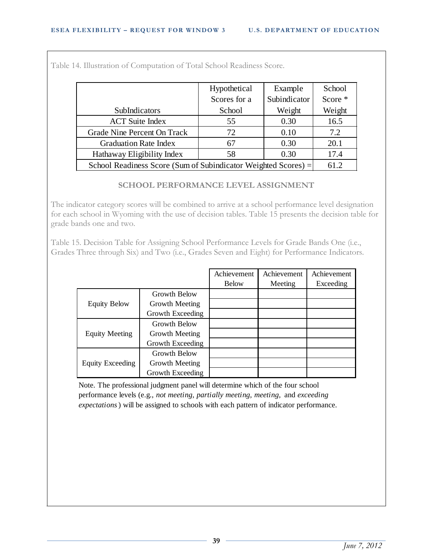|                              | Hypothetical                                                   | Example      | School  |  |  |
|------------------------------|----------------------------------------------------------------|--------------|---------|--|--|
|                              | Scores for a                                                   | Subindicator | Score * |  |  |
| SubIndicators                | School                                                         | Weight       | Weight  |  |  |
| <b>ACT</b> Suite Index       | 55                                                             | 0.30         | 16.5    |  |  |
| Grade Nine Percent On Track  | 72                                                             | 0.10         | 7.2     |  |  |
| <b>Graduation Rate Index</b> | 67                                                             | 0.30         | 20.1    |  |  |
| Hathaway Eligibility Index   | 58                                                             | 0.30         | 17.4    |  |  |
|                              | School Readiness Score (Sum of Subindicator Weighted Scores) = |              |         |  |  |

Table 14. Illustration of Computation of Total School Readiness Score.

## **SCHOOL PERFORMANCE LEVEL ASSIGNMENT**

The indicator category scores will be combined to arrive at a school performance level designation for each school in Wyoming with the use of decision tables. Table 15 presents the decision table for grade bands one and two.

Table 15. Decision Table for Assigning School Performance Levels for Grade Bands One (i.e., Grades Three through Six) and Two (i.e., Grades Seven and Eight) for Performance Indicators.  $\frac{1}{2}$ 

|                       |                  | Achievement  | Achievement | Achievement |
|-----------------------|------------------|--------------|-------------|-------------|
|                       |                  | <b>Below</b> | Meeting     | Exceeding   |
|                       | Growth Below     |              |             |             |
| <b>Equity Below</b>   | Growth Meeting   |              |             |             |
|                       | Growth Exceeding |              |             |             |
|                       | Growth Below     |              |             |             |
| <b>Equity Meeting</b> | Growth Meeting   |              |             |             |
|                       | Growth Exceeding |              |             |             |
|                       | Growth Below     |              |             |             |
| Equity Exceeding      | Growth Meeting   |              |             |             |
|                       | Growth Exceeding |              |             |             |

Note. The professional judgment panel will determine which of the four school performance levels (e.g., *not meeting, partially meeting, meeting,* and *exceeding expectations*) will be assigned to schools with each pattern of indicator performance.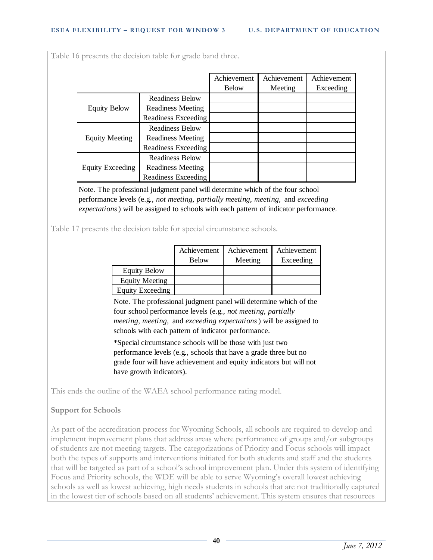| <b>Readiness Below</b><br><b>Equity Below</b><br><b>Readiness Meeting</b><br><b>Readiness Exceeding</b><br><b>Readiness Below</b>                                                                                                                          | <b>Below</b> | Meeting | Exceeding |
|------------------------------------------------------------------------------------------------------------------------------------------------------------------------------------------------------------------------------------------------------------|--------------|---------|-----------|
|                                                                                                                                                                                                                                                            |              |         |           |
|                                                                                                                                                                                                                                                            |              |         |           |
|                                                                                                                                                                                                                                                            |              |         |           |
|                                                                                                                                                                                                                                                            |              |         |           |
|                                                                                                                                                                                                                                                            |              |         |           |
| <b>Equity Meeting</b><br><b>Readiness Meeting</b>                                                                                                                                                                                                          |              |         |           |
| Readiness Exceeding                                                                                                                                                                                                                                        |              |         |           |
| <b>Readiness Below</b>                                                                                                                                                                                                                                     |              |         |           |
| <b>Equity Exceeding</b><br><b>Readiness Meeting</b>                                                                                                                                                                                                        |              |         |           |
| Readiness Exceeding                                                                                                                                                                                                                                        |              |         |           |
| Note. The professional judgment panel will determine which of the four school<br>performance levels (e.g., not meeting, partially meeting, meeting, and exceeding<br>expectations) will be assigned to schools with each pattern of indicator performance. |              |         |           |

|                         | Achievement  | Achievement | Achievement |
|-------------------------|--------------|-------------|-------------|
|                         | <b>Below</b> | Meeting     | Exceeding   |
| <b>Equity Below</b>     |              |             |             |
| <b>Equity Meeting</b>   |              |             |             |
| <b>Equity Exceeding</b> |              |             |             |

Note. The professional judgment panel will determine which of the four school performance levels (e.g., *not meeting, partially meeting, meeting,* and *exceeding expectations*) will be assigned to schools with each pattern of indicator performance.

\*Special circumstance schools will be those with just two performance levels (e.g., schools that have a grade three but no grade four will have achievement and equity indicators but will not have growth indicators).

This ends the outline of the WAEA school performance rating model.

## **Support for Schools**

As part of the accreditation process for Wyoming Schools, all schools are required to develop and implement improvement plans that address areas where performance of groups and/or subgroups of students are not meeting targets. The categorizations of Priority and Focus schools will impact both the types of supports and interventions initiated for both students and staff and the students that will be targeted as part of a school's school improvement plan. Under this system of identifying Focus and Priority schools, the WDE will be able to serve Wyoming's overall lowest achieving schools as well as lowest achieving, high needs students in schools that are not traditionally captured in the lowest tier of schools based on all students' achievement. This system ensures that resources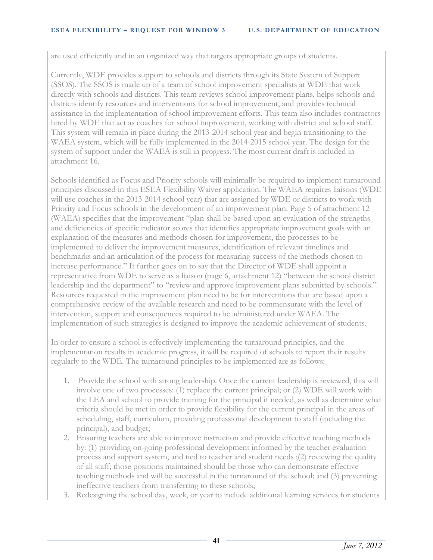are used efficiently and in an organized way that targets appropriate groups of students.

Currently, WDE provides support to schools and districts through its State System of Support (SSOS). The SSOS is made up of a team of school improvement specialists at WDE that work directly with schools and districts. This team reviews school improvement plans, helps schools and districts identify resources and interventions for school improvement, and provides technical assistance in the implementation of school improvement efforts. This team also includes contractors hired by WDE that act as coaches for school improvement, working with district and school staff. This system will remain in place during the 2013-2014 school year and begin transitioning to the WAEA system, which will be fully implemented in the 2014-2015 school year. The design for the system of support under the WAEA is still in progress. The most current draft is included in attachment 16.

Schools identified as Focus and Priority schools will minimally be required to implement turnaround principles discussed in this ESEA Flexibility Waiver application. The WAEA requires liaisons (WDE will use coaches in the 2013-2014 school year) that are assigned by WDE or districts to work with Priority and Focus schools in the development of an improvement plan. Page 5 of attachment 12 (WAEA) specifies that the improvement "plan shall be based upon an evaluation of the strengths and deficiencies of specific indicator scores that identifies appropriate improvement goals with an explanation of the measures and methods chosen for improvement, the processes to be implemented to deliver the improvement measures, identification of relevant timelines and benchmarks and an articulation of the process for measuring success of the methods chosen to increase performance." It further goes on to say that the Director of WDE shall appoint a representative from WDE to serve as a liaison (page 6, attachment 12) "between the school district leadership and the department" to "review and approve improvement plans submitted by schools." Resources requested in the improvement plan need to be for interventions that are based upon a comprehensive review of the available research and need to be commensurate with the level of intervention, support and consequences required to be administered under WAEA. The implementation of such strategies is designed to improve the academic achievement of students.

In order to ensure a school is effectively implementing the turnaround principles, and the implementation results in academic progress, it will be required of schools to report their results regularly to the WDE. The turnaround principles to be implemented are as follows:

- 1. Provide the school with strong leadership. Once the current leadership is reviewed, this will involve one of two processes: (1) replace the current principal; or (2) WDE will work with the LEA and school to provide training for the principal if needed, as well as determine what criteria should be met in order to provide flexibility for the current principal in the areas of scheduling, staff, curriculum, providing professional development to staff (including the principal), and budget;
- 2. Ensuring teachers are able to improve instruction and provide effective teaching methods by: (1) providing on-going professional development informed by the teacher evaluation process and support system, and tied to teacher and student needs ;(2) reviewing the quality of all staff; those positions maintained should be those who can demonstrate effective teaching methods and will be successful in the turnaround of the school; and (3) preventing ineffective teachers from transferring to these schools;
- 3. Redesigning the school day, week, or year to include additional learning services for students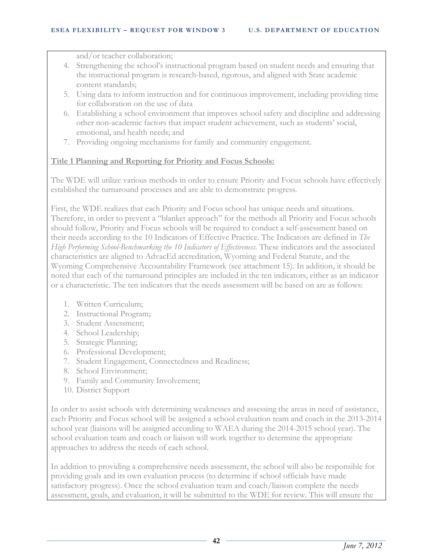and/or teacher collaboration;

- 4. Strengthening the school's instructional program based on student needs and ensuring that the instructional program is research-based, rigorous, and aligned with State academic content standards;
- 5. Using data to inform instruction and for continuous improvement, including providing time for collaboration on the use of data
- 6. Establishing a school environment that improves school safety and discipline and addressing other non-academic factors that impact student achievement, such as students' social, emotional, and health needs; and
- 7. Providing ongoing mechanisms for family and community engagement.

## **Title 1 Planning and Reporting for Priority and Focus Schools:**

The WDE will utilize various methods in order to ensure Priority and Focus schools have effectively established the turnaround processes and are able to demonstrate progress.

First, the WDE realizes that each Priority and Focus school has unique needs and situations. Therefore, in order to prevent a "blanket approach" for the methods all Priority and Focus schools should follow, Priority and Focus schools will be required to conduct a self-assessment based on their needs according to the 10 Indicators of Effective Practice. The Indicators are defined in *The High Performing School-Benchmarking the 10 Indicators of Effectiveness*. These indicators and the associated characteristics are aligned to AdvacEd accreditation, Wyoming and Federal Statute, and the Wyoming Comprehensive Accountability Framework (see attachment 15). In addition, it should be noted that each of the turnaround principles are included in the ten indicators, either as an indicator or a characteristic. The ten indicators that the needs assessment will be based on are as follows:

- 1. Written Curriculum;
- 2. Instructional Program;
- 3. Student Assessment;
- 4. School Leadership;
- 5. Strategic Planning;
- 6. Professional Development;
- 7. Student Engagement, Connectedness and Readiness;
- 8. School Environment;
- 9. Family and Community Involvement;
- 10. District Support

In order to assist schools with determining weaknesses and assessing the areas in need of assistance, each Priority and Focus school will be assigned a school evaluation team and coach in the 2013-2014 school year (liaisons will be assigned according to WAEA during the 2014-2015 school year). The school evaluation team and coach or liaison will work together to determine the appropriate approaches to address the needs of each school.

In addition to providing a comprehensive needs assessment, the school will also be responsible for providing goals and its own evaluation process (to determine if school officials have made satisfactory progress). Once the school evaluation team and coach/liaison complete the needs assessment, goals, and evaluation, it will be submitted to the WDE for review. This will ensure the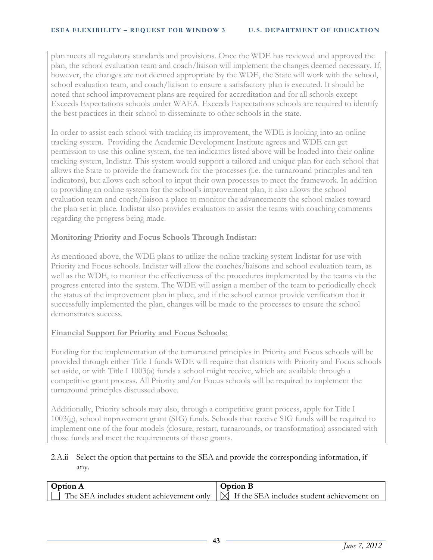plan meets all regulatory standards and provisions. Once the WDE has reviewed and approved the plan, the school evaluation team and coach/liaison will implement the changes deemed necessary. If, however, the changes are not deemed appropriate by the WDE, the State will work with the school, school evaluation team, and coach/liaison to ensure a satisfactory plan is executed. It should be noted that school improvement plans are required for accreditation and for all schools except Exceeds Expectations schools under WAEA. Exceeds Expectations schools are required to identify the best practices in their school to disseminate to other schools in the state.

In order to assist each school with tracking its improvement, the WDE is looking into an online tracking system. Providing the Academic Development Institute agrees and WDE can get permission to use this online system, the ten indicators listed above will be loaded into their online tracking system, Indistar. This system would support a tailored and unique plan for each school that allows the State to provide the framework for the processes (i.e. the turnaround principles and ten indicators), but allows each school to input their own processes to meet the framework. In addition to providing an online system for the school's improvement plan, it also allows the school evaluation team and coach/liaison a place to monitor the advancements the school makes toward the plan set in place. Indistar also provides evaluators to assist the teams with coaching comments regarding the progress being made.

## **Monitoring Priority and Focus Schools Through Indistar:**

As mentioned above, the WDE plans to utilize the online tracking system Indistar for use with Priority and Focus schools. Indistar will allow the coaches/liaisons and school evaluation team, as well as the WDE, to monitor the effectiveness of the procedures implemented by the teams via the progress entered into the system. The WDE will assign a member of the team to periodically check the status of the improvement plan in place, and if the school cannot provide verification that it successfully implemented the plan, changes will be made to the processes to ensure the school demonstrates success.

## **Financial Support for Priority and Focus Schools:**

Funding for the implementation of the turnaround principles in Priority and Focus schools will be provided through either Title I funds WDE will require that districts with Priority and Focus schools set aside, or with Title I 1003(a) funds a school might receive, which are available through a competitive grant process. All Priority and/or Focus schools will be required to implement the turnaround principles discussed above.

Additionally, Priority schools may also, through a competitive grant process, apply for Title I 1003(g), school improvement grant (SIG) funds. Schools that receive SIG funds will be required to implement one of the four models (closure, restart, turnarounds, or transformation) associated with those funds and meet the requirements of those grants.

## 2.A.ii Select the option that pertains to the SEA and provide the corresponding information, if any.

| <b>Option A</b>                                                                                    | <b>Option B</b> |
|----------------------------------------------------------------------------------------------------|-----------------|
| $\Box$ The SEA includes student achievement only $\Box$ If the SEA includes student achievement on |                 |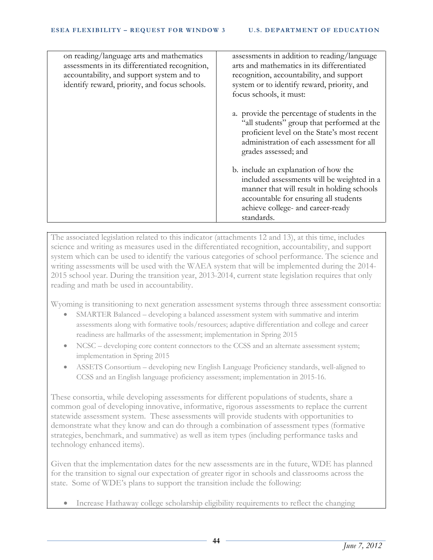| on reading/language arts and mathematics<br>assessments in its differentiated recognition,<br>accountability, and support system and to<br>identify reward, priority, and focus schools. | assessments in addition to reading/language<br>arts and mathematics in its differentiated<br>recognition, accountability, and support<br>system or to identify reward, priority, and<br>focus schools, it must:              |
|------------------------------------------------------------------------------------------------------------------------------------------------------------------------------------------|------------------------------------------------------------------------------------------------------------------------------------------------------------------------------------------------------------------------------|
|                                                                                                                                                                                          | a. provide the percentage of students in the<br>"all students" group that performed at the<br>proficient level on the State's most recent<br>administration of each assessment for all<br>grades assessed; and               |
|                                                                                                                                                                                          | b. include an explanation of how the<br>included assessments will be weighted in a<br>manner that will result in holding schools<br>accountable for ensuring all students<br>achieve college- and career-ready<br>standards. |

The associated legislation related to this indicator (attachments 12 and 13), at this time, includes science and writing as measures used in the differentiated recognition, accountability, and support system which can be used to identify the various categories of school performance. The science and writing assessments will be used with the WAEA system that will be implemented during the 2014- 2015 school year. During the transition year, 2013-2014, current state legislation requires that only reading and math be used in accountability.

Wyoming is transitioning to next generation assessment systems through three assessment consortia:

- SMARTER Balanced developing a balanced assessment system with summative and interim assessments along with formative tools/resources; adaptive differentiation and college and career readiness are hallmarks of the assessment; implementation in Spring 2015
- NCSC developing core content connectors to the CCSS and an alternate assessment system; implementation in Spring 2015
- ASSETS Consortium developing new English Language Proficiency standards, well-aligned to CCSS and an English language proficiency assessment; implementation in 2015-16.

These consortia, while developing assessments for different populations of students, share a common goal of developing innovative, informative, rigorous assessments to replace the current statewide assessment system. These assessments will provide students with opportunities to demonstrate what they know and can do through a combination of assessment types (formative strategies, benchmark, and summative) as well as item types (including performance tasks and technology enhanced items).

Given that the implementation dates for the new assessments are in the future, WDE has planned for the transition to signal our expectation of greater rigor in schools and classrooms across the state. Some of WDE's plans to support the transition include the following:

• Increase Hathaway college scholarship eligibility requirements to reflect the changing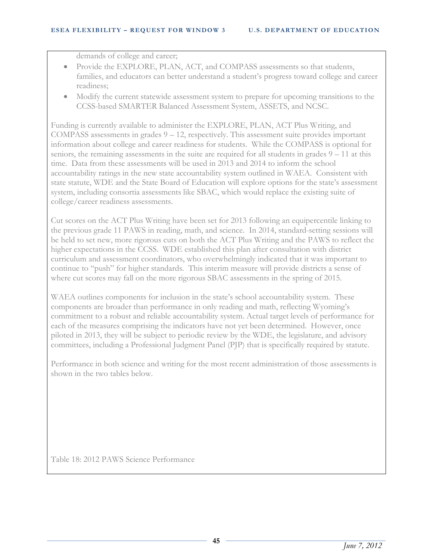demands of college and career;

- Provide the EXPLORE, PLAN, ACT, and COMPASS assessments so that students, families, and educators can better understand a student's progress toward college and career readiness;
- Modify the current statewide assessment system to prepare for upcoming transitions to the CCSS-based SMARTER Balanced Assessment System, ASSETS, and NCSC.

Funding is currently available to administer the EXPLORE, PLAN, ACT Plus Writing, and COMPASS assessments in grades 9 – 12, respectively. This assessment suite provides important information about college and career readiness for students. While the COMPASS is optional for seniors, the remaining assessments in the suite are required for all students in grades  $9 - 11$  at this time. Data from these assessments will be used in 2013 and 2014 to inform the school accountability ratings in the new state accountability system outlined in WAEA. Consistent with state statute, WDE and the State Board of Education will explore options for the state's assessment system, including consortia assessments like SBAC, which would replace the existing suite of college/career readiness assessments.

Cut scores on the ACT Plus Writing have been set for 2013 following an equipercentile linking to the previous grade 11 PAWS in reading, math, and science. In 2014, standard-setting sessions will be held to set new, more rigorous cuts on both the ACT Plus Writing and the PAWS to reflect the higher expectations in the CCSS. WDE established this plan after consultation with district curriculum and assessment coordinators, who overwhelmingly indicated that it was important to continue to "push" for higher standards. This interim measure will provide districts a sense of where cut scores may fall on the more rigorous SBAC assessments in the spring of 2015.

WAEA outlines components for inclusion in the state's school accountability system. These components are broader than performance in only reading and math, reflecting Wyoming's commitment to a robust and reliable accountability system. Actual target levels of performance for each of the measures comprising the indicators have not yet been determined. However, once piloted in 2013, they will be subject to periodic review by the WDE, the legislature, and advisory committees, including a Professional Judgment Panel (PJP) that is specifically required by statute.

Performance in both science and writing for the most recent administration of those assessments is shown in the two tables below.

Table 18: 2012 PAWS Science Performance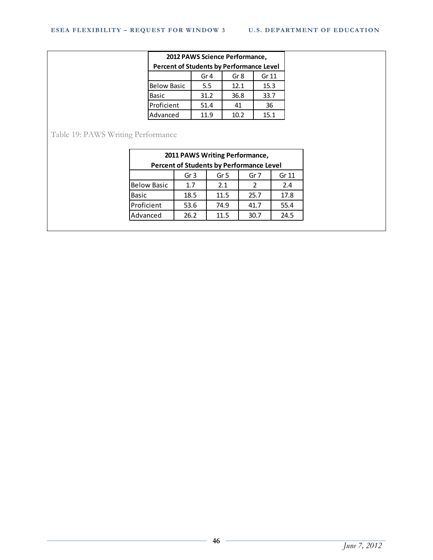|                                          | 2012 PAWS Science Performance, |                 |       |
|------------------------------------------|--------------------------------|-----------------|-------|
| Percent of Students by Performance Level |                                |                 |       |
|                                          | Gr <sub>4</sub>                | Gr <sub>8</sub> | Gr 11 |
| <b>Below Basic</b>                       | 5.5                            | 12.1            | 15.3  |
| <b>Basic</b>                             | 31.2                           | 36.8            | 33.7  |
| Proficient                               | 51.4                           | 41              | 36    |
| Advanced                                 | 11.9                           | 10.2            | 15.1  |

Table 19: PAWS Writing Performance

|                    |                 | 2011 PAWS Writing Performance,                  |               |       |
|--------------------|-----------------|-------------------------------------------------|---------------|-------|
|                    |                 | <b>Percent of Students by Performance Level</b> |               |       |
|                    | Gr <sub>3</sub> | Gr <sub>5</sub>                                 | Gr 7          | Gr 11 |
| <b>Below Basic</b> | 1.7             | 2.1                                             | $\mathcal{P}$ | 2.4   |
| <b>Basic</b>       | 18.5            | 11.5                                            | 25.7          | 17.8  |
| Proficient         | 53.6            | 74.9                                            | 41.7          | 55.4  |
| Advanced           | 26.2            | 11.5                                            | 30.7          | 24.5  |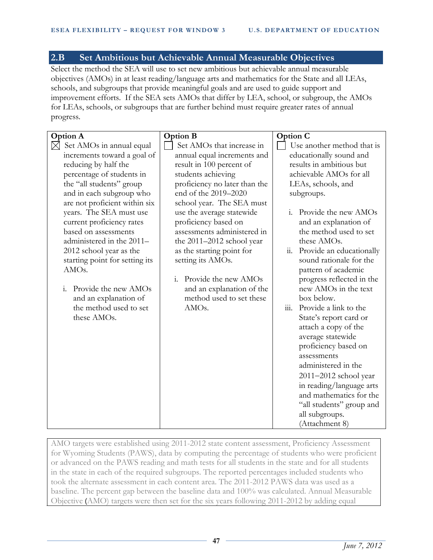## **2.B Set Ambitious but Achievable Annual Measurable Objectives**

Select the method the SEA will use to set new ambitious but achievable annual measurable objectives (AMOs) in at least reading/language arts and mathematics for the State and all LEAs, schools, and subgroups that provide meaningful goals and are used to guide support and improvement efforts. If the SEA sets AMOs that differ by LEA, school, or subgroup, the AMOs for LEAs, schools, or subgroups that are further behind must require greater rates of annual progress.

| <b>Option A</b>                 | <b>Option B</b>                        | <b>Option C</b>                 |
|---------------------------------|----------------------------------------|---------------------------------|
| Set AMOs in annual equal<br>IХI | Set AMOs that increase in              | Use another method that is      |
| increments toward a goal of     | annual equal increments and            | educationally sound and         |
| reducing by half the            | result in 100 percent of               | results in ambitious but        |
| percentage of students in       | students achieving                     | achievable AMOs for all         |
| the "all students" group        | proficiency no later than the          | LEAs, schools, and              |
| and in each subgroup who        | end of the 2019-2020                   | subgroups.                      |
| are not proficient within six   | school year. The SEA must              |                                 |
| years. The SEA must use         | use the average statewide              | i. Provide the new AMOs         |
| current proficiency rates       | proficiency based on                   | and an explanation of           |
| based on assessments            | assessments administered in            | the method used to set          |
| administered in the 2011-       | the 2011-2012 school year              | these AMOs.                     |
| 2012 school year as the         | as the starting point for              | Provide an educationally<br>11. |
| starting point for setting its  | setting its AMOs.                      | sound rationale for the         |
| AMO <sub>s</sub> .              |                                        | pattern of academic             |
|                                 | Provide the new AMOs<br>$\mathbf{i}$ . | progress reflected in the       |
| Provide the new AMOs<br>i.      | and an explanation of the              | new AMOs in the text            |
| and an explanation of           | method used to set these               | box below.                      |
| the method used to set          | AMO <sub>s</sub> .                     | Provide a link to the<br>111.   |
| these AMOs.                     |                                        | State's report card or          |
|                                 |                                        | attach a copy of the            |
|                                 |                                        | average statewide               |
|                                 |                                        | proficiency based on            |
|                                 |                                        | assessments                     |
|                                 |                                        | administered in the             |
|                                 |                                        | $2011 - 2012$ school year       |
|                                 |                                        | in reading/language arts        |
|                                 |                                        | and mathematics for the         |
|                                 |                                        | "all students" group and        |
|                                 |                                        | all subgroups.                  |
|                                 |                                        | (Attachment 8)                  |

AMO targets were established using 2011-2012 state content assessment, Proficiency Assessment for Wyoming Students (PAWS), data by computing the percentage of students who were proficient or advanced on the PAWS reading and math tests for all students in the state and for all students in the state in each of the required subgroups. The reported percentages included students who took the alternate assessment in each content area. The 2011-2012 PAWS data was used as a baseline. The percent gap between the baseline data and 100% was calculated. Annual Measurable Objective (AMO) targets were then set for the six years following 2011-2012 by adding equal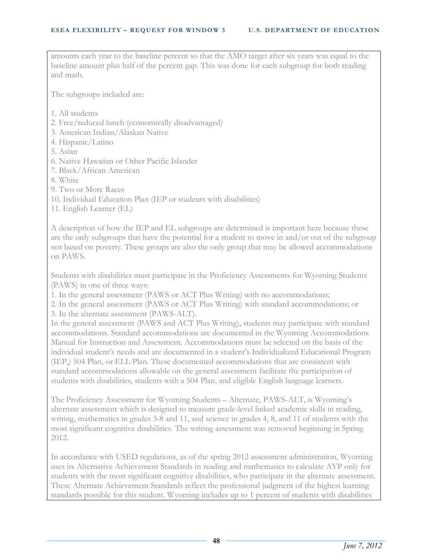amounts each year to the baseline percent so that the AMO target after six years was equal to the baseline amount plus half of the percent gap. This was done for each subgroup for both reading and math.

The subgroups included are:

- 1. All students
- 2. Free/reduced lunch (economically disadvantaged)
- 3. American Indian/Alaskan Native
- 4. Hispanic/Latino
- 5. Asian
- 6. Native Hawaiian or Other Pacific Islander
- 7. Black/African American
- 8. White
- 9. Two or More Races
- 10. Individual Education Plan (IEP or students with disabilities)
- 11. English Learner (EL)

A description of how the IEP and EL subgroups are determined is important here because these are the only subgroups that have the potential for a student to move in and/or out of the subgroup not based on poverty. These groups are also the only group that may be allowed accommodations on PAWS.

Students with disabilities must participate in the Proficiency Assessments for Wyoming Students (PAWS) in one of three ways:

1. In the general assessment (PAWS or ACT Plus Writing) with no accommodations;

2. In the general assessment (PAWS or ACT Plus Writing) with standard accommodations; or 3. In the alternate assessment (PAWS-ALT).

In the general assessment (PAWS and ACT Plus Writing), students may participate with standard accommodations. Standard accommodations are documented in the Wyoming Accommodations Manual for Instruction and Assessment. Accommodations must be selected on the basis of the individual student's needs and are documented in a student's Individualized Educational Program (IEP,) 504 Plan, or ELL Plan. These documented accommodations that are consistent with standard accommodations allowable on the general assessment facilitate the participation of students with disabilities, students with a 504 Plan, and eligible English language learners.

The Proficiency Assessment for Wyoming Students – Alternate, PAWS-ALT, is Wyoming's alternate assessment which is designed to measure grade-level linked academic skills in reading, writing, mathematics in grades 3-8 and 11, and science in grades 4, 8, and 11 of students with the most significant cognitive disabilities. The writing assessment was removed beginning in Spring 2012.

In accordance with USED regulations, as of the spring 2012 assessment administration, Wyoming uses its Alternative Achievement Standards in reading and mathematics to calculate AYP only for students with the most significant cognitive disabilities, who participate in the alternate assessment. These Alternate Achievement Standards reflect the professional judgment of the highest learning standards possible for this student. Wyoming includes up to 1 percent of students with disabilities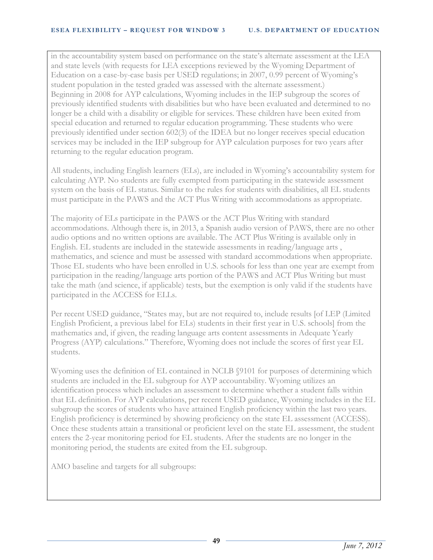in the accountability system based on performance on the state's alternate assessment at the LEA and state levels (with requests for LEA exceptions reviewed by the Wyoming Department of Education on a case-by-case basis per USED regulations; in 2007, 0.99 percent of Wyoming's student population in the tested graded was assessed with the alternate assessment.) Beginning in 2008 for AYP calculations, Wyoming includes in the IEP subgroup the scores of previously identified students with disabilities but who have been evaluated and determined to no longer be a child with a disability or eligible for services. These children have been exited from special education and returned to regular education programming. These students who were previously identified under section 602(3) of the IDEA but no longer receives special education services may be included in the IEP subgroup for AYP calculation purposes for two years after returning to the regular education program.

All students, including English learners (ELs), are included in Wyoming's accountability system for calculating AYP. No students are fully exempted from participating in the statewide assessment system on the basis of EL status. Similar to the rules for students with disabilities, all EL students must participate in the PAWS and the ACT Plus Writing with accommodations as appropriate.

The majority of ELs participate in the PAWS or the ACT Plus Writing with standard accommodations. Although there is, in 2013, a Spanish audio version of PAWS, there are no other audio options and no written options are available. The ACT Plus Writing is available only in English. EL students are included in the statewide assessments in reading/language arts , mathematics, and science and must be assessed with standard accommodations when appropriate. Those EL students who have been enrolled in U.S. schools for less than one year are exempt from participation in the reading/language arts portion of the PAWS and ACT Plus Writing but must take the math (and science, if applicable) tests, but the exemption is only valid if the students have participated in the ACCESS for ELLs.

Per recent USED guidance, "States may, but are not required to, include results [of LEP (Limited English Proficient, a previous label for ELs) students in their first year in U.S. schools] from the mathematics and, if given, the reading language arts content assessments in Adequate Yearly Progress (AYP) calculations." Therefore, Wyoming does not include the scores of first year EL students.

Wyoming uses the definition of EL contained in NCLB §9101 for purposes of determining which students are included in the EL subgroup for AYP accountability. Wyoming utilizes an identification process which includes an assessment to determine whether a student falls within that EL definition. For AYP calculations, per recent USED guidance, Wyoming includes in the EL subgroup the scores of students who have attained English proficiency within the last two years. English proficiency is determined by showing proficiency on the state EL assessment (ACCESS). Once these students attain a transitional or proficient level on the state EL assessment, the student enters the 2-year monitoring period for EL students. After the students are no longer in the monitoring period, the students are exited from the EL subgroup.

AMO baseline and targets for all subgroups: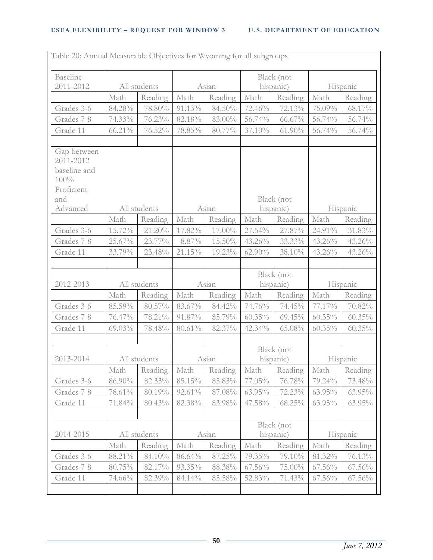| <b>Baseline</b><br>2011-2012                                   |           | All students |           | Asian   |           | Black (not<br>hispanic) |           | Hispanic  |
|----------------------------------------------------------------|-----------|--------------|-----------|---------|-----------|-------------------------|-----------|-----------|
|                                                                | Math      | Reading      | Math      | Reading | Math      | Reading                 | Math      | Reading   |
| Grades 3-6                                                     | 84.28%    | 78.80%       | 91.13%    | 84.50%  | 72.46%    | 72.13%                  | 75.09%    | 68.17%    |
| Grades 7-8                                                     | 74.33%    | 76.23%       | 82.18%    | 83.00%  | 56.74%    | $66.67\%$               | 56.74%    | 56.74%    |
| Grade 11                                                       | 66.21%    | 76.52%       | 78.85%    | 80.77%  | 37.10%    | $61.90\%$               | 56.74%    | 56.74%    |
| Gap between<br>2011-2012<br>baseline and<br>100%<br>Proficient |           |              |           |         |           |                         |           |           |
| and                                                            |           |              |           |         |           | Black (not              |           |           |
| Advanced                                                       |           | All students |           | Asian   |           | hispanic)               |           | Hispanic  |
|                                                                | Math      | Reading      | Math      | Reading | Math      | Reading                 | Math      | Reading   |
| Grades 3-6                                                     | 15.72%    | 21.20%       | 17.82%    | 17.00%  | 27.54%    | 27.87%                  | 24.91%    | 31.83%    |
| Grades 7-8                                                     | 25.67%    | 23.77%       | 8.87%     | 15.50%  | 43.26%    | 33.33%                  | 43.26%    | 43.26%    |
| Grade 11                                                       | 33.79%    | 23.48%       | 21.15%    | 19.23%  | $62.90\%$ | 38.10%                  | 43.26%    | 43.26%    |
|                                                                |           |              |           |         |           |                         |           |           |
| 2012-2013                                                      |           | All students |           | Asian   |           | Black (not<br>hispanic) |           | Hispanic  |
|                                                                | Math      | Reading      | Math      | Reading | Math      | Reading                 | Math      | Reading   |
| Grades 3-6                                                     | 85.59%    | 80.57%       | 83.67%    | 84.42%  | 74.76%    | 74.45%                  | 77.17%    | 70.82%    |
| Grades 7-8                                                     | 76.47%    | 78.21%       | 91.87%    | 85.79%  | $60.35\%$ | $69.45\%$               | $60.35\%$ | $60.35\%$ |
| Grade 11                                                       | $69.03\%$ | 78.48%       | $80.61\%$ | 82.37%  | 42.34%    | 65.08%                  | $60.35\%$ | $60.35\%$ |
|                                                                |           |              |           |         |           |                         |           |           |
| 2013-2014                                                      |           | All students |           | Asian   |           | Black (not<br>hispanic) |           | Hispanic  |
|                                                                | Math      | Reading      | Math      | Reading | Math      | Reading                 | Math      | Reading   |
| Grades 3-6                                                     | 86.90%    | 82.33%       | 85.15%    | 85.83%  | 77.05%    | 76.78%                  | 79.24%    | 73.48%    |
| Grades 7-8                                                     | 78.61%    | 80.19%       | 92.61%    | 87.08%  | $63.95\%$ | 72.23%                  | $63.95\%$ | 63.95%    |
| Grade 11                                                       | 71.84%    | 80.43%       | 82.38%    | 83.98%  | 47.58%    | $68.25\%$               | 63.95%    | 63.95%    |
|                                                                |           |              |           |         |           |                         |           |           |
| 2014-2015                                                      |           | All students |           | Asian   |           | Black (not<br>hispanic) |           | Hispanic  |
|                                                                | Math      | Reading      | Math      | Reading | Math      | Reading                 | Math      | Reading   |
| Grades 3-6                                                     | 88.21%    | 84.10%       | 86.64%    | 87.25%  | 79.35%    | 79.10%                  | 81.32%    | 76.13%    |
| Grades 7-8                                                     | 80.75%    | 82.17%       | 93.35%    | 88.38%  | $67.56\%$ | 75.00%                  | $67.56\%$ | $67.56\%$ |
| Grade 11                                                       | 74.66%    | 82.39%       | 84.14%    | 85.58%  | 52.83%    | 71.43%                  | $67.56\%$ | $67.56\%$ |
|                                                                |           |              |           |         |           |                         |           |           |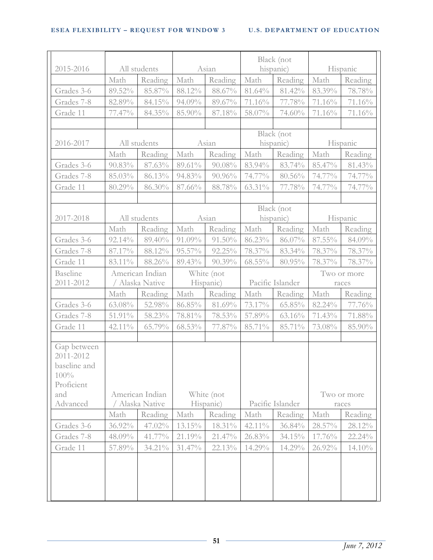| 2015-2016                                                      |           | All students    |           | Asian      |           | Black (not<br>hispanic) |        | Hispanic    |
|----------------------------------------------------------------|-----------|-----------------|-----------|------------|-----------|-------------------------|--------|-------------|
|                                                                | Math      | Reading         | Math      | Reading    | Math      | Reading                 | Math   | Reading     |
| Grades 3-6                                                     | $89.52\%$ | 85.87%          | $88.12\%$ | $88.67\%$  | 81.64%    | 81.42%                  | 83.39% | 78.78%      |
| Grades 7-8                                                     | 82.89%    | 84.15%          | 94.09%    | 89.67%     | 71.16%    | 77.78%                  | 71.16% | 71.16%      |
| Grade 11                                                       | 77.47%    | 84.35%          | 85.90%    | 87.18%     | 58.07%    | 74.60%                  | 71.16% | 71.16%      |
|                                                                |           |                 |           |            |           |                         |        |             |
|                                                                |           |                 |           |            |           | Black (not              |        |             |
| 2016-2017                                                      |           | All students    |           | Asian      |           | hispanic)               |        | Hispanic    |
|                                                                | Math      | Reading         | Math      | Reading    | Math      | Reading                 | Math   | Reading     |
| Grades 3-6                                                     | 90.83%    | 87.63%          | 89.61%    | 90.08%     | 83.94%    | 83.74%                  | 85.47% | 81.43%      |
| Grades 7-8                                                     | 85.03%    | 86.13%          | 94.83%    | 90.96%     | 74.77%    | $80.56\%$               | 74.77% | 74.77%      |
| Grade 11                                                       | 80.29%    | $86.30\%$       | 87.66%    | 88.78%     | 63.31%    | 77.78%                  | 74.77% | 74.77%      |
|                                                                |           |                 |           |            |           |                         |        |             |
| 2017-2018                                                      |           | All students    |           | Asian      |           | Black (not<br>hispanic) |        | Hispanic    |
|                                                                | Math      | Reading         | Math      | Reading    | Math      | Reading                 | Math   | Reading     |
| Grades 3-6                                                     | 92.14%    | 89.40%          | 91.09%    | $91.50\%$  | 86.23%    | 86.07%                  | 87.55% | 84.09%      |
| Grades 7-8                                                     | 87.17%    | 88.12%          | 95.57%    | $92.25\%$  | 78.37%    | 83.34%                  | 78.37% | 78.37%      |
| Grade 11                                                       | 83.11%    | 88.26%          | 89.43%    | $90.39\%$  | $68.55\%$ | 80.95%                  | 78.37% | 78.37%      |
| Baseline                                                       |           | American Indian |           | White (not |           |                         |        | Two or more |
| 2011-2012                                                      |           | / Alaska Native |           | Hispanic)  |           | Pacific Islander        |        | races       |
|                                                                | Math      | Reading         | Math      | Reading    | Math      | Reading                 | Math   | Reading     |
| Grades 3-6                                                     | 63.08%    | 52.98%          | 86.85%    | 81.69%     | 73.17%    | $65.85\%$               | 82.24% | 77.76%      |
| Grades 7-8                                                     | 51.91%    | 58.23%          | 78.81%    | 78.53%     | $57.89\%$ | 63.16%                  | 71.43% | 71.88%      |
| Grade 11                                                       | 42.11%    | 65.79%          | 68.53%    | 77.87%     | 85.71%    | 85.71%                  | 73.08% | 85.90%      |
| Gap between<br>2011-2012<br>baseline and<br>100%<br>Proficient |           |                 |           |            |           |                         |        |             |
| and                                                            |           | American Indian |           | White (not |           |                         |        | Two or more |
| Advanced                                                       |           | Alaska Native   |           | Hispanic)  |           | Pacific Islander        |        | races       |
|                                                                | Math      | Reading         | Math      | Reading    | Math      | Reading                 | Math   | Reading     |
| Grades 3-6                                                     | 36.92%    | 47.02%          | 13.15%    | 18.31%     | 42.11%    | 36.84%                  | 28.57% | 28.12%      |
| Grades 7-8                                                     | 48.09%    | 41.77%          | 21.19%    | 21.47%     | 26.83%    | $34.15\%$               | 17.76% | 22.24%      |
| Grade 11                                                       | 57.89%    | 34.21%          | 31.47%    | 22.13%     | 14.29%    | 14.29%                  | 26.92% | $14.10\%$   |
|                                                                |           |                 |           |            |           |                         |        |             |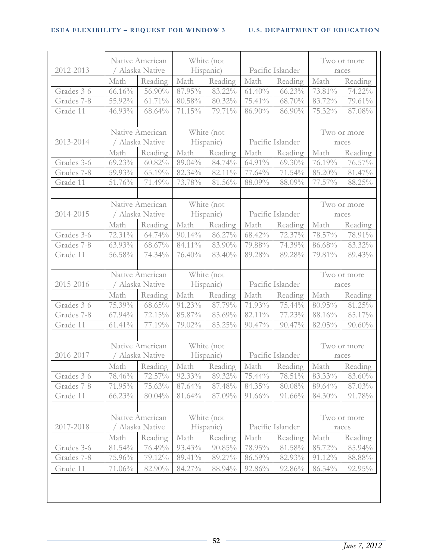| 2012-2013  |           | Native American<br>/ Alaska Native |            | White (not<br>Hispanic) | Pacific Islander |                                                     |        | Two or more<br>races |
|------------|-----------|------------------------------------|------------|-------------------------|------------------|-----------------------------------------------------|--------|----------------------|
|            | Math      | Reading                            | Math       | Reading                 | Math             | Reading                                             | Math   | Reading              |
| Grades 3-6 | $66.16\%$ | 56.90%                             | 87.95%     | 83.22%                  | $61.40\%$        | $66.23\%$                                           | 73.81% | 74.22%               |
| Grades 7-8 | 55.92%    | 61.71%                             | $80.58\%$  | 80.32%                  | 75.41%           | 68.70%                                              | 83.72% | 79.61%               |
| Grade 11   | 46.93%    | $68.64\%$                          | 71.15%     | 79.71%                  | 86.90%           | 86.90%                                              | 75.32% | $87.08\%$            |
|            |           |                                    |            |                         |                  |                                                     |        |                      |
|            |           | Native American                    |            | White (not              |                  |                                                     |        | Two or more          |
| 2013-2014  |           | / Alaska Native                    |            | Hispanic)               | Pacific Islander |                                                     |        | races                |
|            | Math      | Reading                            | Math       | Reading                 | Math             | Reading                                             | Math   | Reading              |
| Grades 3-6 | 69.23%    | $60.82\%$                          | 89.04%     | 84.74%                  | 64.91%           | $69.30\%$                                           | 76.19% | $76.57\%$            |
| Grades 7-8 | 59.93%    | 65.19%                             | 82.34%     | 82.11%                  | 77.64%           | $71.54\%$                                           | 85.20% | 81.47%               |
| Grade 11   | 51.76%    | 71.49%                             | 73.78%     | 81.56%                  | 88.09%           | 88.09%                                              | 77.57% | 88.25%               |
|            |           |                                    |            |                         |                  |                                                     |        |                      |
|            |           | Native American                    |            | White (not              |                  |                                                     |        | Two or more          |
| 2014-2015  |           | / Alaska Native                    |            | Hispanic)               | Pacific Islander |                                                     |        | races                |
|            | Math      | Reading                            | Math       | Reading                 | Math             | Reading                                             | Math   | Reading              |
| Grades 3-6 | 72.31%    | 64.74%                             | $90.14\%$  | 86.27%                  | $68.42\%$        | 72.37%                                              | 78.57% | 78.91%               |
| Grades 7-8 | 63.93%    | 68.67%                             | 84.11%     | 83.90%                  | 79.88%           | 74.39%                                              | 86.68% | 83.32%               |
| Grade 11   | 56.58%    | 74.34%                             | 76.40%     | 83.40%                  | 89.28%           | 89.28%                                              | 79.81% | 89.43%               |
|            |           |                                    |            |                         |                  |                                                     |        |                      |
|            |           | Native American                    |            | White (not              |                  |                                                     |        | Two or more          |
| 2015-2016  |           | / Alaska Native                    |            | Hispanic)               |                  | Pacific Islander                                    |        | races                |
|            | Math      | Reading                            | Math       | Reading                 | Math             | Reading                                             | Math   | Reading              |
| Grades 3-6 | 75.39%    | $68.65\%$                          | $91.23\%$  | 87.79%                  | 71.93%           | 75.44%                                              | 80.95% | 81.25%               |
| Grades 7-8 | 67.94%    | 72.15%                             | 85.87%     | $85.69\%$               | 82.11%           | $77.23\%$                                           | 88.16% | 85.17%               |
| Grade 11   | $61.41\%$ | 77.19%                             | 79.02%     | $85.25\%$               | $90.47\%$        | 90.47%                                              | 82.05% | $90.60\%$            |
|            |           |                                    |            |                         |                  |                                                     |        |                      |
|            |           | Native American                    | White (not |                         |                  |                                                     |        | Two or more          |
| 2016-2017  |           | / Alaska Native                    | Hispanic)  |                         | Pacific Islander |                                                     | races  |                      |
|            |           |                                    |            |                         |                  | Math Reading Math Reading Math Reading Math Reading |        |                      |
| Grades 3-6 | 78.46%    | 72.57%                             | 92.33%     | 89.32%                  | 75.44%           | 78.51%                                              | 83.33% | 83.60%               |
| Grades 7-8 | 71.95%    | 75.63%                             | 87.64%     | 87.48%                  | $84.35\%$        | 80.08%                                              | 89.64% | 87.03%               |
| Grade 11   | $66.23\%$ | $80.04\%$                          | 81.64%     | 87.09%                  | $91.66\%$        | 91.66%                                              | 84.30% | 91.78%               |
|            |           |                                    |            |                         |                  |                                                     |        |                      |
|            |           | Native American                    |            | White (not              |                  |                                                     |        | Two or more          |
| 2017-2018  |           | Alaska Native                      |            | Hispanic)               |                  | Pacific Islander                                    |        | races                |
|            | Math      | Reading                            | Math       | Reading                 | Math             | Reading                                             | Math   | Reading              |
| Grades 3-6 | 81.54%    | 76.49%                             | $93.43\%$  | $90.85\%$               | 78.95%           | 81.58%                                              | 85.72% | 85.94%               |
|            | 75.96%    | 79.12%                             | 89.41%     | 89.27%                  | $86.59\%$        | 82.93%                                              | 91.12% | 88.88%               |
| Grades 7-8 |           |                                    |            |                         |                  |                                                     |        |                      |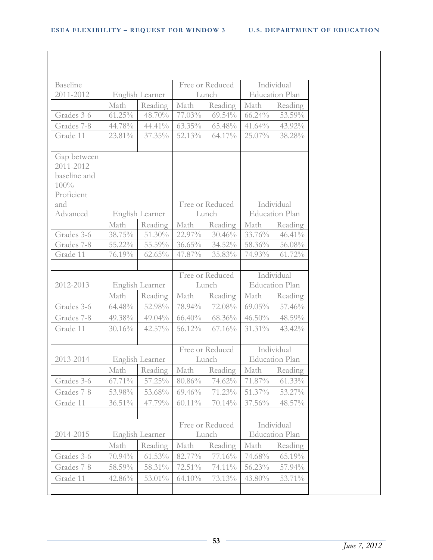| <b>Baseline</b> |           |                 |           | Free or Reduced |                       | Individual            |
|-----------------|-----------|-----------------|-----------|-----------------|-----------------------|-----------------------|
| 2011-2012       |           | English Learner |           | Lunch           |                       | <b>Education Plan</b> |
|                 | Math      | Reading         | Math      | Reading         | Math                  | Reading               |
| Grades 3-6      | $61.25\%$ | 48.70%          | 77.03%    | $69.54\%$       | $66.24\%$             | 53.59%                |
| Grades 7-8      | 44.78%    | 44.41%          | $63.35\%$ | 65.48%          | 41.64%                | 43.92%                |
| Grade 11        | 23.81%    | 37.35%          | 52.13%    | 64.17%          | 25.07%                | 38.28%                |
|                 |           |                 |           |                 |                       |                       |
| Gap between     |           |                 |           |                 |                       |                       |
| 2011-2012       |           |                 |           |                 |                       |                       |
| baseline and    |           |                 |           |                 |                       |                       |
| 100%            |           |                 |           |                 |                       |                       |
| Proficient      |           |                 |           |                 |                       |                       |
| and             |           |                 |           | Free or Reduced |                       | Individual            |
| Advanced        |           | English Learner |           | Lunch           |                       | <b>Education Plan</b> |
|                 | Math      | Reading         | Math      | Reading         | Math                  | Reading               |
| Grades 3-6      | 38.75%    | 51.30%          | 22.97%    | 30.46%          | 33.76%                | 46.41%                |
| Grades 7-8      | $55.22\%$ | 55.59%          | $36.65\%$ | 34.52%          | 58.36%                | 56.08%                |
| Grade 11        | 76.19%    | 62.65%          | 47.87%    | 35.83%          | 74.93%                | 61.72%                |
|                 |           |                 |           |                 |                       |                       |
|                 |           |                 |           | Free or Reduced |                       | Individual            |
| 2012-2013       |           | English Learner |           | Lunch           |                       | <b>Education Plan</b> |
|                 | Math      | Reading         | Math      | Reading         | Math                  | Reading               |
| Grades 3-6      | 64.48%    | 52.98%          | 78.94%    | 72.08%          | $69.05\%$             | 57.46%                |
| Grades 7-8      | 49.38%    | 49.04%          | 66.40%    | 68.36%          | 46.50%                | 48.59%                |
| Grade 11        | 30.16%    | 42.57%          | 56.12%    | 67.16%          | 31.31%                | 43.42%                |
|                 |           |                 |           |                 |                       |                       |
|                 |           |                 |           | Free or Reduced |                       | Individual            |
| 2013-2014       |           | English Learner | Lunch     |                 | <b>Education Plan</b> |                       |
|                 | Math      | Reading         | Math      | Reading         | Math                  | Reading               |
| Grades 3-6      | $67.71\%$ | 57.25%          | 80.86%    | 74.62%          | 71.87%                | $61.33\%$             |
| Grades 7-8      | 53.98%    | 53.68%          | $69.46\%$ | 71.23%          | 51.37%                | 53.27%                |
| Grade 11        | $36.51\%$ | 47.79%          | $60.11\%$ | 70.14%          | 37.56%                | 48.57%                |
|                 |           |                 |           |                 |                       |                       |
|                 |           |                 |           | Free or Reduced |                       | Individual            |
| 2014-2015       |           | English Learner |           | Lunch           |                       | <b>Education Plan</b> |
|                 | Math      | Reading         | Math      | Reading         | Math                  | Reading               |
| Grades 3-6      | 70.94%    | $61.53\%$       | 82.77%    | 77.16%          | 74.68%                | 65.19%                |
| Grades 7-8      | 58.59%    | 58.31%          | 72.51%    | 74.11%          | 56.23%                | 57.94%                |
|                 |           |                 |           |                 |                       |                       |
| Grade 11        | 42.86%    | 53.01%          | $64.10\%$ | 73.13%          | 43.80%                | 53.71%                |
|                 |           |                 |           |                 |                       |                       |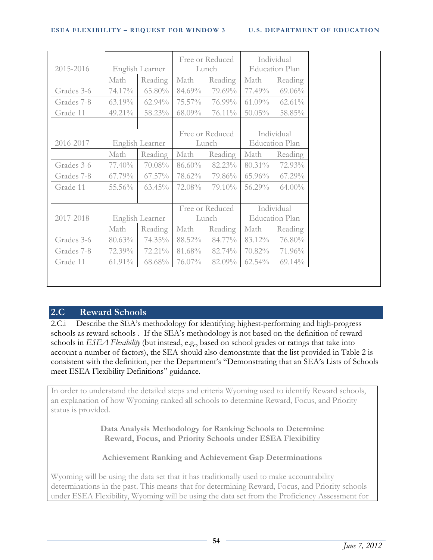| 2015-2016  |        | English Learner |                          | Free or Reduced<br>Lunch                    | Individual<br><b>Education Plan</b> |                                     |  |
|------------|--------|-----------------|--------------------------|---------------------------------------------|-------------------------------------|-------------------------------------|--|
|            | Math   | Reading         | Math                     | Reading                                     | Math                                | Reading                             |  |
| Grades 3-6 | 74.17% | 65.80%          | 84.69%                   | 79.69%                                      | 77.49%                              | 69.06%                              |  |
| Grades 7-8 | 63.19% | 62.94%          | 75.57%                   | 76.99%                                      | $61.09\%$                           | $62.61\%$                           |  |
| Grade 11   | 49.21% | 58.23%          | 68.09%                   | 76.11%                                      | $50.05\%$                           | 58.85%                              |  |
|            |        |                 |                          |                                             |                                     |                                     |  |
| 2016-2017  |        |                 |                          | Free or Reduced<br>English Learner<br>Lunch |                                     | Individual<br><b>Education Plan</b> |  |
|            | Math   | Reading         | Math                     | Reading                                     | Math                                | Reading                             |  |
| Grades 3-6 | 77.40% | 70.08%          | 86.60%                   | 82.23%                                      | 80.31%                              | 72.93%                              |  |
| Grades 7-8 | 67.79% | $67.57\%$       | 78.62%                   | 79.86%                                      | 65.96%                              | 67.29%                              |  |
| Grade 11   | 55.56% | 63.45%          | 72.08%                   | 79.10%                                      | 56.29%                              | $64.00\%$                           |  |
|            |        |                 |                          |                                             |                                     |                                     |  |
| 2017-2018  |        | English Learner | Free or Reduced<br>Lunch |                                             | Individual<br><b>Education Plan</b> |                                     |  |
|            | Math   | Reading         | Math                     | Reading                                     | Math                                | Reading                             |  |
| Grades 3-6 | 80.63% | 74.35%          | 88.52%                   | 84.77%                                      | 83.12%                              | 76.80%                              |  |
| Grades 7-8 | 72.39% | 72.21%          | 81.68%                   | 82.74%                                      | 70.82%                              | 71.96%                              |  |
| Grade 11   | 61.91% | 68.68%          | 76.07%                   | 82.09%                                      | 62.54%                              | $69.14\%$                           |  |

# **2.C Reward Schools**

2.C.i Describe the SEA's methodology for identifying highest-performing and high-progress schools as reward schools . If the SEA's methodology is not based on the definition of reward schools in *ESEA Flexibility* (but instead, e.g., based on school grades or ratings that take into account a number of factors), the SEA should also demonstrate that the list provided in Table 2 is consistent with the definition, per the Department's "Demonstrating that an SEA's Lists of Schools meet ESEA Flexibility Definitions" guidance.

In order to understand the detailed steps and criteria Wyoming used to identify Reward schools, an explanation of how Wyoming ranked all schools to determine Reward, Focus, and Priority status is provided.

> **Data Analysis Methodology for Ranking Schools to Determine Reward, Focus, and Priority Schools under ESEA Flexibility**

**Achievement Ranking and Achievement Gap Determinations**

Wyoming will be using the data set that it has traditionally used to make accountability determinations in the past. This means that for determining Reward, Focus, and Priority schools under ESEA Flexibility, Wyoming will be using the data set from the Proficiency Assessment for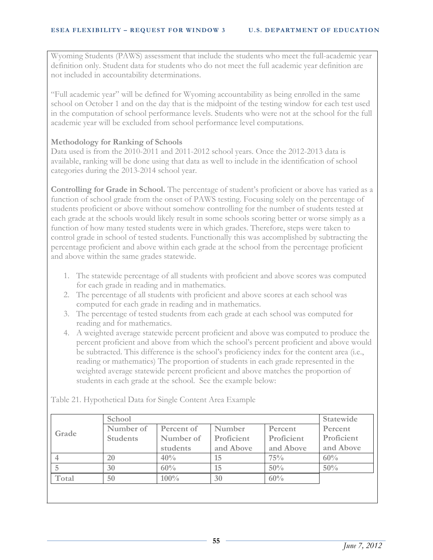Wyoming Students (PAWS) assessment that include the students who meet the full-academic year definition only. Student data for students who do not meet the full academic year definition are not included in accountability determinations.

"Full academic year" will be defined for Wyoming accountability as being enrolled in the same school on October 1 and on the day that is the midpoint of the testing window for each test used in the computation of school performance levels. Students who were not at the school for the full academic year will be excluded from school performance level computations.

## **Methodology for Ranking of Schools**

Data used is from the 2010-2011 and 2011-2012 school years. Once the 2012-2013 data is available, ranking will be done using that data as well to include in the identification of school categories during the 2013-2014 school year.

**Controlling for Grade in School.** The percentage of student's proficient or above has varied as a function of school grade from the onset of PAWS testing. Focusing solely on the percentage of students proficient or above without somehow controlling for the number of students tested at each grade at the schools would likely result in some schools scoring better or worse simply as a function of how many tested students were in which grades. Therefore, steps were taken to control grade in school of tested students. Functionally this was accomplished by subtracting the percentage proficient and above within each grade at the school from the percentage proficient and above within the same grades statewide.

- 1. The statewide percentage of all students with proficient and above scores was computed for each grade in reading and in mathematics.
- 2. The percentage of all students with proficient and above scores at each school was computed for each grade in reading and in mathematics.
- 3. The percentage of tested students from each grade at each school was computed for reading and for mathematics.
- 4. A weighted average statewide percent proficient and above was computed to produce the percent proficient and above from which the school's percent proficient and above would be subtracted. This difference is the school's proficiency index for the content area (i.e., reading or mathematics) The proportion of students in each grade represented in the weighted average statewide percent proficient and above matches the proportion of students in each grade at the school. See the example below:

| Grade | School          |            |            |            |            |  |
|-------|-----------------|------------|------------|------------|------------|--|
|       | Number of       | Percent of | Number     | Percent    | Percent    |  |
|       | <b>Students</b> | Number of  | Proficient | Proficient | Proficient |  |
|       |                 | students   | and Above  | and Above  | and Above  |  |
|       | 20              | 40%        | 15         | 75%        | 60%        |  |
|       | 30              | 60%        | 15         | 50%        | 50%        |  |
| Total | 50              | 100%       | 30         | 60%        |            |  |

Table 21. Hypothetical Data for Single Content Area Example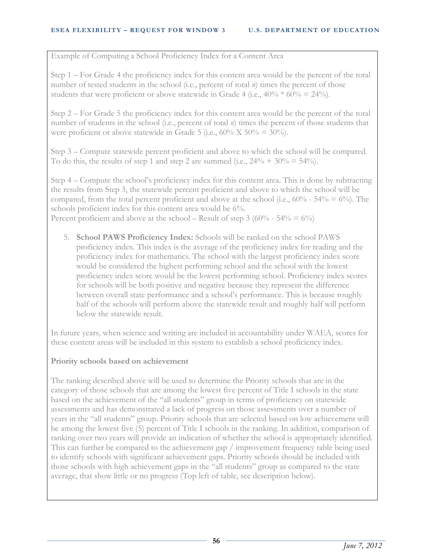Example of Computing a School Proficiency Index for a Content Area

Step 1 – For Grade 4 the proficiency index for this content area would be the percent of the total number of tested students in the school (i.e., percent of total *n*) times the percent of those students that were proficient or above statewide in Grade 4 (i.e.,  $40\% * 60\% = 24\%$ ).

Step 2 – For Grade 5 the proficiency index for this content area would be the percent of the total number of students in the school (i.e., percent of total *n*) times the percent of those students that were proficient or above statewide in Grade 5 (i.e.,  $60\%$  X  $50\%$  =  $30\%$ ).

Step 3 – Compute statewide percent proficient and above to which the school will be compared. To do this, the results of step 1 and step 2 are summed (i.e.,  $24\% + 30\% = 54\%$ ).

Step 4 – Compute the school's proficiency index for this content area. This is done by subtracting the results from Step 3, the statewide percent proficient and above to which the school will be compared, from the total percent proficient and above at the school (i.e.,  $60\%$  -  $54\% = 6\%$ ). The schools proficient index for this content area would be 6%. Percent proficient and above at the school – Result of step  $3 (60\% - 54\% = 6\%)$ 

5. **School PAWS Proficiency Index:** Schools will be ranked on the school PAWS proficiency index. This index is the average of the proficiency index for reading and the proficiency index for mathematics. The school with the largest proficiency index score would be considered the highest performing school and the school with the lowest proficiency index score would be the lowest performing school. Proficiency index scores for schools will be both positive and negative because they represent the difference between overall state performance and a school's performance. This is because roughly half of the schools will perform above the statewide result and roughly half will perform

In future years, when science and writing are included in accountability under WAEA, scores for these content areas will be included in this system to establish a school proficiency index.

## **Priority schools based on achievement**

below the statewide result.

The ranking described above will be used to determine the Priority schools that are in the category of those schools that are among the lowest five percent of Title I schools in the state based on the achievement of the "all students" group in terms of proficiency on statewide assessments and has demonstrated a lack of progress on those assessments over a number of years in the "all students" group. Priority schools that are selected based on low achievement will be among the lowest five (5) percent of Title I schools in the ranking. In addition, comparison of ranking over two years will provide an indication of whether the school is appropriately identified. This can further be compared to the achievement gap / improvement frequency table being used to identify schools with significant achievement gaps. Priority schools should be included with those schools with high achievement gaps in the "all students" group as compared to the state average, that show little or no progress (Top left of table, see description below).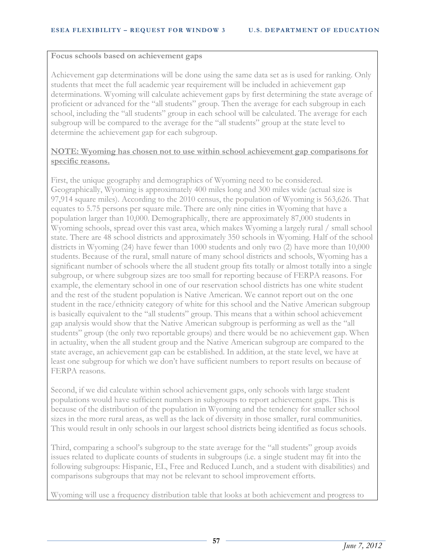#### **Focus schools based on achievement gaps**

Achievement gap determinations will be done using the same data set as is used for ranking. Only students that meet the full academic year requirement will be included in achievement gap determinations. Wyoming will calculate achievement gaps by first determining the state average of proficient or advanced for the "all students" group. Then the average for each subgroup in each school, including the "all students" group in each school will be calculated. The average for each subgroup will be compared to the average for the "all students" group at the state level to determine the achievement gap for each subgroup.

### **NOTE: Wyoming has chosen not to use within school achievement gap comparisons for specific reasons.**

First, the unique geography and demographics of Wyoming need to be considered. Geographically, Wyoming is approximately 400 miles long and 300 miles wide (actual size is 97,914 square miles). According to the 2010 census, the population of Wyoming is 563,626. That equates to 5.75 persons per square mile. There are only nine cities in Wyoming that have a population larger than 10,000. Demographically, there are approximately 87,000 students in Wyoming schools, spread over this vast area, which makes Wyoming a largely rural / small school state. There are 48 school districts and approximately 350 schools in Wyoming. Half of the school districts in Wyoming (24) have fewer than 1000 students and only two (2) have more than 10,000 students. Because of the rural, small nature of many school districts and schools, Wyoming has a significant number of schools where the all student group fits totally or almost totally into a single subgroup, or where subgroup sizes are too small for reporting because of FERPA reasons. For example, the elementary school in one of our reservation school districts has one white student and the rest of the student population is Native American. We cannot report out on the one student in the race/ethnicity category of white for this school and the Native American subgroup is basically equivalent to the "all students" group. This means that a within school achievement gap analysis would show that the Native American subgroup is performing as well as the "all students" group (the only two reportable groups) and there would be no achievement gap. When in actuality, when the all student group and the Native American subgroup are compared to the state average, an achievement gap can be established. In addition, at the state level, we have at least one subgroup for which we don't have sufficient numbers to report results on because of FERPA reasons.

Second, if we did calculate within school achievement gaps, only schools with large student populations would have sufficient numbers in subgroups to report achievement gaps. This is because of the distribution of the population in Wyoming and the tendency for smaller school sizes in the more rural areas, as well as the lack of diversity in those smaller, rural communities. This would result in only schools in our largest school districts being identified as focus schools.

Third, comparing a school's subgroup to the state average for the "all students" group avoids issues related to duplicate counts of students in subgroups (i.e. a single student may fit into the following subgroups: Hispanic, EL, Free and Reduced Lunch, and a student with disabilities) and comparisons subgroups that may not be relevant to school improvement efforts.

Wyoming will use a frequency distribution table that looks at both achievement and progress to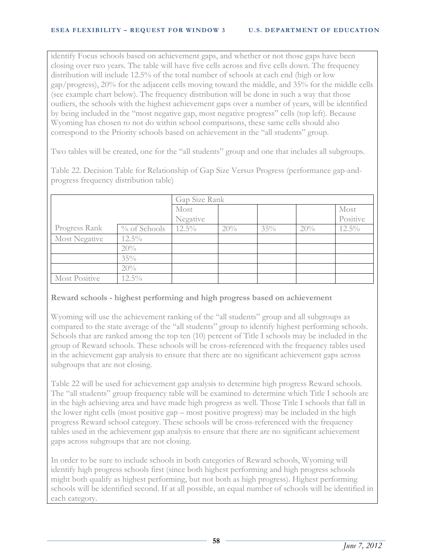identify Focus schools based on achievement gaps, and whether or not those gaps have been closing over two years. The table will have five cells across and five cells down. The frequency distribution will include 12.5% of the total number of schools at each end (high or low gap/progress), 20% for the adjacent cells moving toward the middle, and 35% for the middle cells (see example chart below). The frequency distribution will be done in such a way that those outliers, the schools with the highest achievement gaps over a number of years, will be identified by being included in the "most negative gap, most negative progress" cells (top left). Because Wyoming has chosen to not do within school comparisons, these same cells should also correspond to the Priority schools based on achievement in the "all students" group.

Two tables will be created, one for the "all students" group and one that includes all subgroups.

Table 22. Decision Table for Relationship of Gap Size Versus Progress (performance gap-andprogress frequency distribution table)

|                      |                 | Gap Size Rank |     |     |     |          |
|----------------------|-----------------|---------------|-----|-----|-----|----------|
|                      |                 | Most          |     |     |     | Most     |
|                      |                 | Negative      |     |     |     | Positive |
| Progress Rank        | $\%$ of Schools | $12.5\%$      | 20% | 35% | 20% | $12.5\%$ |
| <b>Most Negative</b> | $12.5\%$        |               |     |     |     |          |
|                      | 20%             |               |     |     |     |          |
|                      | 35%             |               |     |     |     |          |
|                      | 20%             |               |     |     |     |          |
| <b>Most Positive</b> | $12.5\%$        |               |     |     |     |          |

## **Reward schools - highest performing and high progress based on achievement**

Wyoming will use the achievement ranking of the "all students" group and all subgroups as compared to the state average of the "all students" group to identify highest performing schools. Schools that are ranked among the top ten (10) percent of Title I schools may be included in the group of Reward schools. These schools will be cross-referenced with the frequency tables used in the achievement gap analysis to ensure that there are no significant achievement gaps across subgroups that are not closing.

Table 22 will be used for achievement gap analysis to determine high progress Reward schools. The "all students" group frequency table will be examined to determine which Title I schools are in the high achieving area and have made high progress as well. Those Title I schools that fall in the lower right cells (most positive gap – most positive progress) may be included in the high progress Reward school category. These schools will be cross-referenced with the frequency tables used in the achievement gap analysis to ensure that there are no significant achievement gaps across subgroups that are not closing.

In order to be sure to include schools in both categories of Reward schools, Wyoming will identify high progress schools first (since both highest performing and high progress schools might both qualify as highest performing, but not both as high progress). Highest performing schools will be identified second. If at all possible, an equal number of schools will be identified in each category.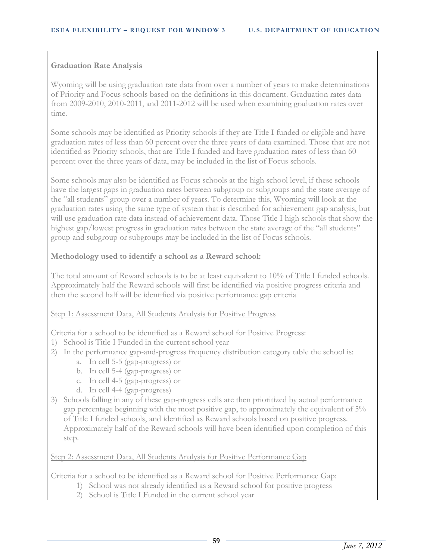### **Graduation Rate Analysis**

Wyoming will be using graduation rate data from over a number of years to make determinations of Priority and Focus schools based on the definitions in this document. Graduation rates data from 2009-2010, 2010-2011, and 2011-2012 will be used when examining graduation rates over time.

Some schools may be identified as Priority schools if they are Title I funded or eligible and have graduation rates of less than 60 percent over the three years of data examined. Those that are not identified as Priority schools, that are Title I funded and have graduation rates of less than 60 percent over the three years of data, may be included in the list of Focus schools.

Some schools may also be identified as Focus schools at the high school level, if these schools have the largest gaps in graduation rates between subgroup or subgroups and the state average of the "all students" group over a number of years. To determine this, Wyoming will look at the graduation rates using the same type of system that is described for achievement gap analysis, but will use graduation rate data instead of achievement data. Those Title I high schools that show the highest gap/lowest progress in graduation rates between the state average of the "all students" group and subgroup or subgroups may be included in the list of Focus schools.

### **Methodology used to identify a school as a Reward school:**

The total amount of Reward schools is to be at least equivalent to 10% of Title I funded schools. Approximately half the Reward schools will first be identified via positive progress criteria and then the second half will be identified via positive performance gap criteria

#### Step 1: Assessment Data, All Students Analysis for Positive Progress

Criteria for a school to be identified as a Reward school for Positive Progress:

- 1) School is Title I Funded in the current school year
- 2) In the performance gap-and-progress frequency distribution category table the school is:
	- a. In cell 5-5 (gap-progress) or
	- b. In cell 5-4 (gap-progress) or
	- c. In cell 4-5 (gap-progress) or
	- d. In cell 4-4 (gap-progress)
- 3) Schools falling in any of these gap-progress cells are then prioritized by actual performance gap percentage beginning with the most positive gap, to approximately the equivalent of 5% of Title I funded schools, and identified as Reward schools based on positive progress. Approximately half of the Reward schools will have been identified upon completion of this step.

Step 2: Assessment Data, All Students Analysis for Positive Performance Gap

Criteria for a school to be identified as a Reward school for Positive Performance Gap:

- 1) School was not already identified as a Reward school for positive progress
	- 2) School is Title I Funded in the current school year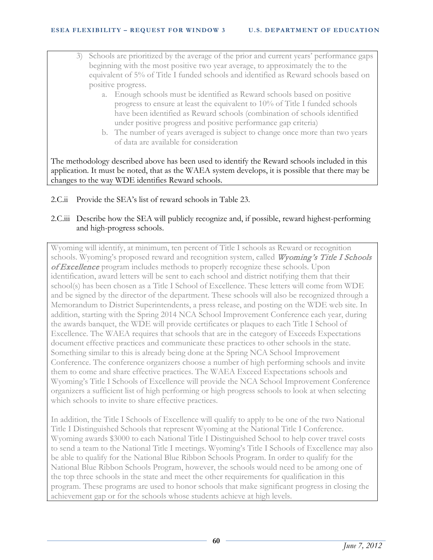- 3) Schools are prioritized by the average of the prior and current years' performance gaps beginning with the most positive two year average, to approximately the to the equivalent of 5% of Title I funded schools and identified as Reward schools based on positive progress.
	- a. Enough schools must be identified as Reward schools based on positive progress to ensure at least the equivalent to 10% of Title I funded schools have been identified as Reward schools (combination of schools identified under positive progress and positive performance gap criteria)
	- b. The number of years averaged is subject to change once more than two years of data are available for consideration

The methodology described above has been used to identify the Reward schools included in this application. It must be noted, that as the WAEA system develops, it is possible that there may be changes to the way WDE identifies Reward schools.

2.C.ii Provide the SEA's list of reward schools in Table 23.

## 2.C.iii Describe how the SEA will publicly recognize and, if possible, reward highest-performing and high-progress schools.

Wyoming will identify, at minimum, ten percent of Title I schools as Reward or recognition schools. Wyoming's proposed reward and recognition system, called Wyoming's Title I Schools of Excellence program includes methods to properly recognize these schools. Upon identification, award letters will be sent to each school and district notifying them that their school(s) has been chosen as a Title I School of Excellence. These letters will come from WDE and be signed by the director of the department. These schools will also be recognized through a Memorandum to District Superintendents, a press release, and posting on the WDE web site. In addition, starting with the Spring 2014 NCA School Improvement Conference each year, during the awards banquet, the WDE will provide certificates or plaques to each Title I School of Excellence. The WAEA requires that schools that are in the category of Exceeds Expectations document effective practices and communicate these practices to other schools in the state. Something similar to this is already being done at the Spring NCA School Improvement Conference. The conference organizers choose a number of high performing schools and invite them to come and share effective practices. The WAEA Exceed Expectations schools and Wyoming's Title I Schools of Excellence will provide the NCA School Improvement Conference organizers a sufficient list of high performing or high progress schools to look at when selecting which schools to invite to share effective practices.

In addition, the Title I Schools of Excellence will qualify to apply to be one of the two National Title I Distinguished Schools that represent Wyoming at the National Title I Conference. Wyoming awards \$3000 to each National Title I Distinguished School to help cover travel costs to send a team to the National Title I meetings. Wyoming's Title I Schools of Excellence may also be able to qualify for the National Blue Ribbon Schools Program. In order to qualify for the National Blue Ribbon Schools Program, however, the schools would need to be among one of the top three schools in the state and meet the other requirements for qualification in this program. These programs are used to honor schools that make significant progress in closing the achievement gap or for the schools whose students achieve at high levels.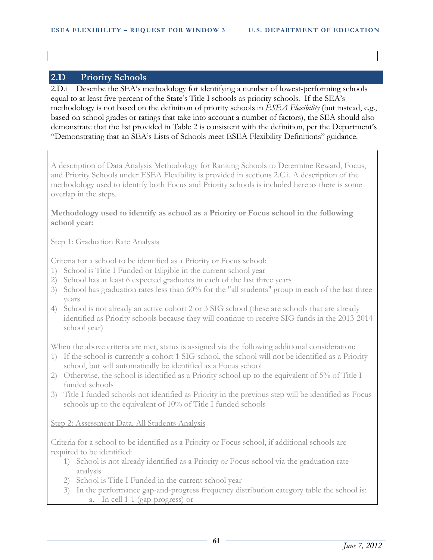## **2.D Priority Schools**

2.D.i Describe the SEA's methodology for identifying a number of lowest-performing schools equal to at least five percent of the State's Title I schools as priority schools. If the SEA's methodology is not based on the definition of priority schools in *ESEA Flexibility* (but instead, e.g., based on school grades or ratings that take into account a number of factors), the SEA should also demonstrate that the list provided in Table 2 is consistent with the definition, per the Department's "Demonstrating that an SEA's Lists of Schools meet ESEA Flexibility Definitions" guidance.

A description of Data Analysis Methodology for Ranking Schools to Determine Reward, Focus, and Priority Schools under ESEA Flexibility is provided in sections 2.C.i. A description of the methodology used to identify both Focus and Priority schools is included here as there is some overlap in the steps.

**Methodology used to identify as school as a Priority or Focus school in the following school year:**

#### Step 1: Graduation Rate Analysis

Criteria for a school to be identified as a Priority or Focus school:

- 1) School is Title I Funded or Eligible in the current school year
- 2) School has at least 6 expected graduates in each of the last three years
- 3) School has graduation rates less than 60% for the "all students" group in each of the last three years
- 4) School is not already an active cohort 2 or 3 SIG school (these are schools that are already identified as Priority schools because they will continue to receive SIG funds in the 2013-2014 school year)

When the above criteria are met, status is assigned via the following additional consideration:

- 1) If the school is currently a cohort 1 SIG school, the school will not be identified as a Priority school, but will automatically be identified as a Focus school
- 2) Otherwise, the school is identified as a Priority school up to the equivalent of 5% of Title I funded schools
- 3) Title I funded schools not identified as Priority in the previous step will be identified as Focus schools up to the equivalent of 10% of Title I funded schools

#### Step 2: Assessment Data, All Students Analysis

Criteria for a school to be identified as a Priority or Focus school, if additional schools are required to be identified:

- 1) School is not already identified as a Priority or Focus school via the graduation rate analysis
- 2) School is Title I Funded in the current school year
- 3) In the performance gap-and-progress frequency distribution category table the school is: a. In cell 1-1 (gap-progress) or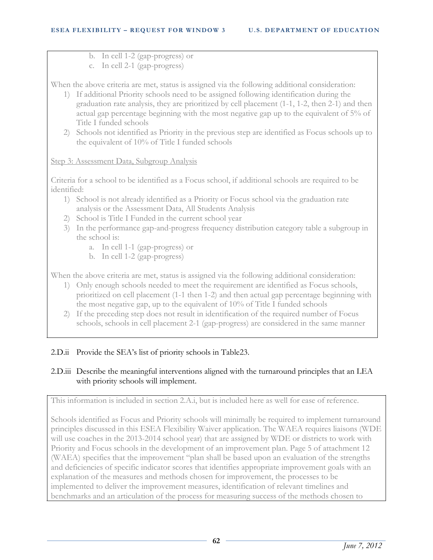- b. In cell 1-2 (gap-progress) or
- c. In cell 2-1 (gap-progress)

When the above criteria are met, status is assigned via the following additional consideration:

- 1) If additional Priority schools need to be assigned following identification during the graduation rate analysis, they are prioritized by cell placement (1-1, 1-2, then 2-1) and then actual gap percentage beginning with the most negative gap up to the equivalent of 5% of Title I funded schools
- 2) Schools not identified as Priority in the previous step are identified as Focus schools up to the equivalent of 10% of Title I funded schools

### Step 3: Assessment Data, Subgroup Analysis

Criteria for a school to be identified as a Focus school, if additional schools are required to be identified:

- 1) School is not already identified as a Priority or Focus school via the graduation rate analysis or the Assessment Data, All Students Analysis
- 2) School is Title I Funded in the current school year
- 3) In the performance gap-and-progress frequency distribution category table a subgroup in the school is:
	- a. In cell 1-1 (gap-progress) or
	- b. In cell 1-2 (gap-progress)

When the above criteria are met, status is assigned via the following additional consideration:

- 1) Only enough schools needed to meet the requirement are identified as Focus schools, prioritized on cell placement (1-1 then 1-2) and then actual gap percentage beginning with the most negative gap, up to the equivalent of 10% of Title I funded schools
- 2) If the preceding step does not result in identification of the required number of Focus schools, schools in cell placement 2-1 (gap-progress) are considered in the same manner

## 2.D.ii Provide the SEA's list of priority schools in Table23.

## 2.D.iii Describe the meaningful interventions aligned with the turnaround principles that an LEA with priority schools will implement.

This information is included in section 2.A.i, but is included here as well for ease of reference.

Schools identified as Focus and Priority schools will minimally be required to implement turnaround principles discussed in this ESEA Flexibility Waiver application. The WAEA requires liaisons (WDE will use coaches in the 2013-2014 school year) that are assigned by WDE or districts to work with Priority and Focus schools in the development of an improvement plan. Page 5 of attachment 12 (WAEA) specifies that the improvement "plan shall be based upon an evaluation of the strengths and deficiencies of specific indicator scores that identifies appropriate improvement goals with an explanation of the measures and methods chosen for improvement, the processes to be implemented to deliver the improvement measures, identification of relevant timelines and benchmarks and an articulation of the process for measuring success of the methods chosen to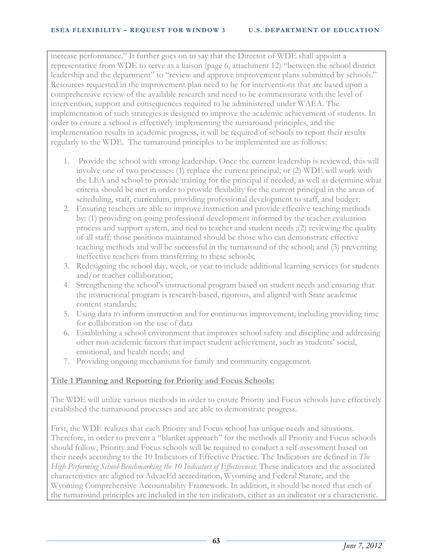increase performance." It further goes on to say that the Director of WDE shall appoint a representative from WDE to serve as a liaison (page 6, attachment 12) "between the school district leadership and the department" to "review and approve improvement plans submitted by schools." Resources requested in the improvement plan need to be for interventions that are based upon a comprehensive review of the available research and need to be commensurate with the level of intervention, support and consequences required to be administered under WAEA. The implementation of such strategies is designed to improve the academic achievement of students. In order to ensure a school is effectively implementing the turnaround principles, and the implementation results in academic progress, it will be required of schools to report their results regularly to the WDE. The turnaround principles to be implemented are as follows:

- 1. Provide the school with strong leadership. Once the current leadership is reviewed, this will involve one of two processes: (1) replace the current principal; or (2) WDE will work with the LEA and school to provide training for the principal if needed, as well as determine what criteria should be met in order to provide flexibility for the current principal in the areas of scheduling, staff, curriculum, providing professional development to staff, and budget;
- 2. Ensuring teachers are able to improve instruction and provide effective teaching methods by: (1) providing on-going professional development informed by the teacher evaluation process and support system, and tied to teacher and student needs ;(2) reviewing the quality of all staff; those positions maintained should be those who can demonstrate effective teaching methods and will be successful in the turnaround of the school; and (3) preventing ineffective teachers from transferring to these schools;
- 3. Redesigning the school day, week, or year to include additional learning services for students and/or teacher collaboration;
- 4. Strengthening the school's instructional program based on student needs and ensuring that the instructional program is research-based, rigorous, and aligned with State academic content standards;
- 5. Using data to inform instruction and for continuous improvement, including providing time for collaboration on the use of data
- 6. Establishing a school environment that improves school safety and discipline and addressing other non-academic factors that impact student achievement, such as students' social, emotional, and health needs; and
- 7. Providing ongoing mechanisms for family and community engagement.

## **Title 1 Planning and Reporting for Priority and Focus Schools:**

The WDE will utilize various methods in order to ensure Priority and Focus schools have effectively established the turnaround processes and are able to demonstrate progress.

First, the WDE realizes that each Priority and Focus school has unique needs and situations. Therefore, in order to prevent a "blanket approach" for the methods all Priority and Focus schools should follow, Priority and Focus schools will be required to conduct a self-assessment based on their needs according to the 10 Indicators of Effective Practice. The Indicators are defined in *The High Performing School-Benchmarking the 10 Indicators of Effectiveness*. These indicators and the associated characteristics are aligned to AdvacEd accreditation, Wyoming and Federal Statute, and the Wyoming Comprehensive Accountability Framework. In addition, it should be noted that each of the turnaround principles are included in the ten indicators, either as an indicator or a characteristic.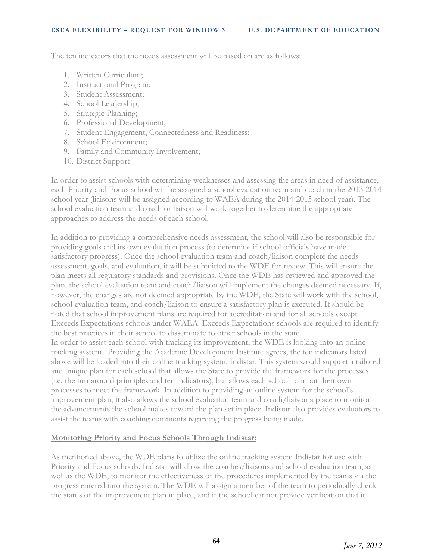The ten indicators that the needs assessment will be based on are as follows:

- 1. Written Curriculum;
- 2. Instructional Program;
- 3. Student Assessment;
- 4. School Leadership;
- 5. Strategic Planning;
- 6. Professional Development;
- 7. Student Engagement, Connectedness and Readiness;
- 8. School Environment;
- 9. Family and Community Involvement;
- 10. District Support

In order to assist schools with determining weaknesses and assessing the areas in need of assistance, each Priority and Focus school will be assigned a school evaluation team and coach in the 2013-2014 school year (liaisons will be assigned according to WAEA during the 2014-2015 school year). The school evaluation team and coach or liaison will work together to determine the appropriate approaches to address the needs of each school.

In addition to providing a comprehensive needs assessment, the school will also be responsible for providing goals and its own evaluation process (to determine if school officials have made satisfactory progress). Once the school evaluation team and coach/liaison complete the needs assessment, goals, and evaluation, it will be submitted to the WDE for review. This will ensure the plan meets all regulatory standards and provisions. Once the WDE has reviewed and approved the plan, the school evaluation team and coach/liaison will implement the changes deemed necessary. If, however, the changes are not deemed appropriate by the WDE, the State will work with the school, school evaluation team, and coach/liaison to ensure a satisfactory plan is executed. It should be noted that school improvement plans are required for accreditation and for all schools except Exceeds Expectations schools under WAEA. Exceeds Expectations schools are required to identify the best practices in their school to disseminate to other schools in the state. In order to assist each school with tracking its improvement, the WDE is looking into an online tracking system. Providing the Academic Development Institute agrees, the ten indicators listed above will be loaded into their online tracking system, Indistar. This system would support a tailored and unique plan for each school that allows the State to provide the framework for the processes (i.e. the turnaround principles and ten indicators), but allows each school to input their own processes to meet the framework. In addition to providing an online system for the school's improvement plan, it also allows the school evaluation team and coach/liaison a place to monitor the advancements the school makes toward the plan set in place. Indistar also provides evaluators to assist the teams with coaching comments regarding the progress being made.

## **Monitoring Priority and Focus Schools Through Indistar:**

As mentioned above, the WDE plans to utilize the online tracking system Indistar for use with Priority and Focus schools. Indistar will allow the coaches/liaisons and school evaluation team, as well as the WDE, to monitor the effectiveness of the procedures implemented by the teams via the progress entered into the system. The WDE will assign a member of the team to periodically check the status of the improvement plan in place, and if the school cannot provide verification that it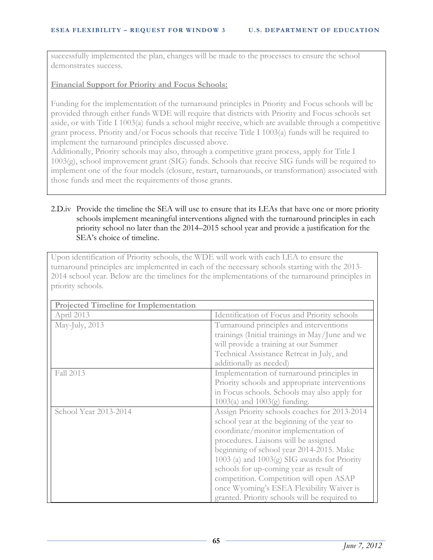successfully implemented the plan, changes will be made to the processes to ensure the school demonstrates success.

### **Financial Support for Priority and Focus Schools:**

Funding for the implementation of the turnaround principles in Priority and Focus schools will be provided through either funds WDE will require that districts with Priority and Focus schools set aside, or with Title I 1003(a) funds a school might receive, which are available through a competitive grant process. Priority and/or Focus schools that receive Title I 1003(a) funds will be required to implement the turnaround principles discussed above.

Additionally, Priority schools may also, through a competitive grant process, apply for Title I 1003(g), school improvement grant (SIG) funds. Schools that receive SIG funds will be required to implement one of the four models (closure, restart, turnarounds, or transformation) associated with those funds and meet the requirements of those grants.

## 2.D.iv Provide the timeline the SEA will use to ensure that its LEAs that have one or more priority schools implement meaningful interventions aligned with the turnaround principles in each priority school no later than the 2014–2015 school year and provide a justification for the SEA's choice of timeline.

Upon identification of Priority schools, the WDE will work with each LEA to ensure the turnaround principles are implemented in each of the necessary schools starting with the 2013- 2014 school year. Below are the timelines for the implementations of the turnaround principles in priority schools.

| <b>Projected Timeline for Implementation</b> |                                                 |
|----------------------------------------------|-------------------------------------------------|
| April 2013                                   | Identification of Focus and Priority schools    |
| May-July, 2013                               | Turnaround principles and interventions         |
|                                              | trainings (Initial trainings in May/June and we |
|                                              | will provide a training at our Summer           |
|                                              | Technical Assistance Retreat in July, and       |
|                                              | additionally as needed)                         |
| Fall 2013                                    | Implementation of turnaround principles in      |
|                                              | Priority schools and appropriate interventions  |
|                                              | in Focus schools. Schools may also apply for    |
|                                              | $1003(a)$ and $1003(g)$ funding.                |
| School Year 2013-2014                        | Assign Priority schools coaches for 2013-2014   |
|                                              | school year at the beginning of the year to     |
|                                              | coordinate/monitor implementation of            |
|                                              | procedures. Liaisons will be assigned           |
|                                              | beginning of school year 2014-2015. Make        |
|                                              | 1003 (a) and 1003(g) SIG awards for Priority    |
|                                              | schools for up-coming year as result of         |
|                                              | competition. Competition will open ASAP         |
|                                              | once Wyoming's ESEA Flexibility Waiver is       |
|                                              | granted. Priority schools will be required to   |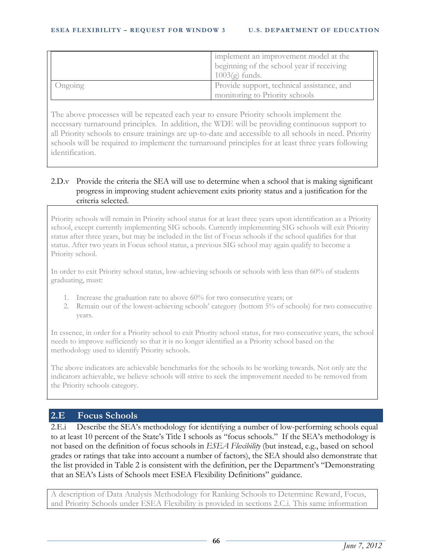|         | implement an improvement model at the<br>beginning of the school year if receiving<br>$1003(g)$ funds. |
|---------|--------------------------------------------------------------------------------------------------------|
| Ongoing | Provide support, technical assistance, and<br>monitoring to Priority schools                           |

The above processes will be repeated each year to ensure Priority schools implement the necessary turnaround principles. In addition, the WDE will be providing continuous support to all Priority schools to ensure trainings are up-to-date and accessible to all schools in need. Priority schools will be required to implement the turnaround principles for at least three years following identification.

## 2.D.v Provide the criteria the SEA will use to determine when a school that is making significant progress in improving student achievement exits priority status and a justification for the criteria selected.

Priority schools will remain in Priority school status for at least three years upon identification as a Priority school, except currently implementing SIG schools. Currently implementing SIG schools will exit Priority status after three years, but may be included in the list of Focus schools if the school qualifies for that status. After two years in Focus school status, a previous SIG school may again qualify to become a Priority school.

In order to exit Priority school status, low-achieving schools or schools with less than 60% of students graduating, must:

- 1. Increase the graduation rate to above 60% for two consecutive years; or
- 2. Remain out of the lowest-achieving schools' category (bottom 5% of schools) for two consecutive years.

In essence, in order for a Priority school to exit Priority school status, for two consecutive years, the school needs to improve sufficiently so that it is no longer identified as a Priority school based on the methodology used to identify Priority schools.

The above indicators are achievable benchmarks for the schools to be working towards. Not only are the indicators achievable, we believe schools will strive to seek the improvement needed to be removed from the Priority schools category.

# **2.E Focus Schools**

2.E.i Describe the SEA's methodology for identifying a number of low-performing schools equal to at least 10 percent of the State's Title I schools as "focus schools." If the SEA's methodology is not based on the definition of focus schools in *ESEA Flexibility* (but instead, e.g., based on school grades or ratings that take into account a number of factors), the SEA should also demonstrate that the list provided in Table 2 is consistent with the definition, per the Department's "Demonstrating that an SEA's Lists of Schools meet ESEA Flexibility Definitions" guidance.

A description of Data Analysis Methodology for Ranking Schools to Determine Reward, Focus, and Priority Schools under ESEA Flexibility is provided in sections 2.C.i. This same information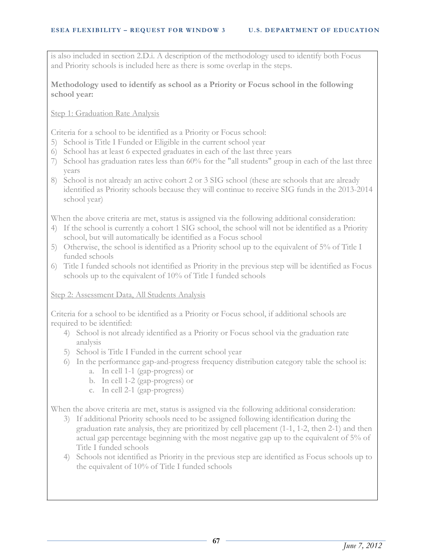is also included in section 2.D.i. A description of the methodology used to identify both Focus and Priority schools is included here as there is some overlap in the steps.

### **Methodology used to identify as school as a Priority or Focus school in the following school year:**

Step 1: Graduation Rate Analysis

Criteria for a school to be identified as a Priority or Focus school:

- 5) School is Title I Funded or Eligible in the current school year
- 6) School has at least 6 expected graduates in each of the last three years
- 7) School has graduation rates less than 60% for the "all students" group in each of the last three years
- 8) School is not already an active cohort 2 or 3 SIG school (these are schools that are already identified as Priority schools because they will continue to receive SIG funds in the 2013-2014 school year)

When the above criteria are met, status is assigned via the following additional consideration:

- 4) If the school is currently a cohort 1 SIG school, the school will not be identified as a Priority school, but will automatically be identified as a Focus school
- 5) Otherwise, the school is identified as a Priority school up to the equivalent of 5% of Title I funded schools
- 6) Title I funded schools not identified as Priority in the previous step will be identified as Focus schools up to the equivalent of 10% of Title I funded schools

# Step 2: Assessment Data, All Students Analysis

Criteria for a school to be identified as a Priority or Focus school, if additional schools are required to be identified:

- 4) School is not already identified as a Priority or Focus school via the graduation rate analysis
- 5) School is Title I Funded in the current school year
- 6) In the performance gap-and-progress frequency distribution category table the school is:
	- a. In cell 1-1 (gap-progress) or
	- b. In cell 1-2 (gap-progress) or
	- c. In cell 2-1 (gap-progress)

When the above criteria are met, status is assigned via the following additional consideration:

- 3) If additional Priority schools need to be assigned following identification during the graduation rate analysis, they are prioritized by cell placement (1-1, 1-2, then 2-1) and then actual gap percentage beginning with the most negative gap up to the equivalent of 5% of Title I funded schools
- 4) Schools not identified as Priority in the previous step are identified as Focus schools up to the equivalent of 10% of Title I funded schools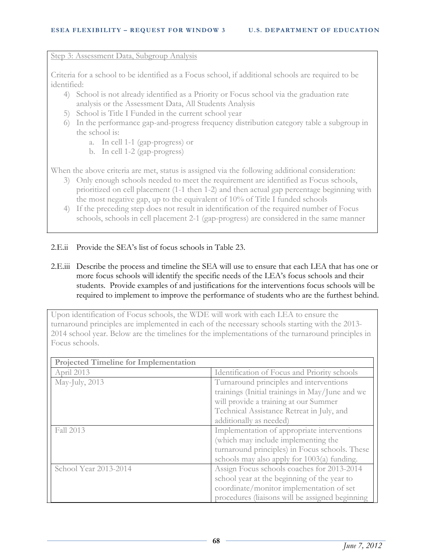#### Step 3: Assessment Data, Subgroup Analysis

Criteria for a school to be identified as a Focus school, if additional schools are required to be identified:

- 4) School is not already identified as a Priority or Focus school via the graduation rate analysis or the Assessment Data, All Students Analysis
- 5) School is Title I Funded in the current school year
- 6) In the performance gap-and-progress frequency distribution category table a subgroup in the school is:
	- a. In cell 1-1 (gap-progress) or
	- b. In cell 1-2 (gap-progress)

When the above criteria are met, status is assigned via the following additional consideration:

- 3) Only enough schools needed to meet the requirement are identified as Focus schools, prioritized on cell placement (1-1 then 1-2) and then actual gap percentage beginning with the most negative gap, up to the equivalent of 10% of Title I funded schools
- 4) If the preceding step does not result in identification of the required number of Focus schools, schools in cell placement 2-1 (gap-progress) are considered in the same manner

# 2.E.ii Provide the SEA's list of focus schools in Table 23.

2.E.iii Describe the process and timeline the SEA will use to ensure that each LEA that has one or more focus schools will identify the specific needs of the LEA's focus schools and their students. Provide examples of and justifications for the interventions focus schools will be required to implement to improve the performance of students who are the furthest behind.

Upon identification of Focus schools, the WDE will work with each LEA to ensure the turnaround principles are implemented in each of the necessary schools starting with the 2013- 2014 school year. Below are the timelines for the implementations of the turnaround principles in Focus schools.

| <b>Projected Timeline for Implementation</b> |                                                 |  |
|----------------------------------------------|-------------------------------------------------|--|
| April 2013                                   | Identification of Focus and Priority schools    |  |
| May-July, 2013                               | Turnaround principles and interventions         |  |
|                                              | trainings (Initial trainings in May/June and we |  |
|                                              | will provide a training at our Summer           |  |
|                                              | Technical Assistance Retreat in July, and       |  |
|                                              | additionally as needed)                         |  |
| Fall 2013                                    | Implementation of appropriate interventions     |  |
|                                              | (which may include implementing the             |  |
|                                              | turnaround principles) in Focus schools. These  |  |
|                                              | schools may also apply for $1003(a)$ funding.   |  |
| School Year 2013-2014                        | Assign Focus schools coaches for 2013-2014      |  |
|                                              | school year at the beginning of the year to     |  |
|                                              | coordinate/monitor implementation of set        |  |
|                                              | procedures (liaisons will be assigned beginning |  |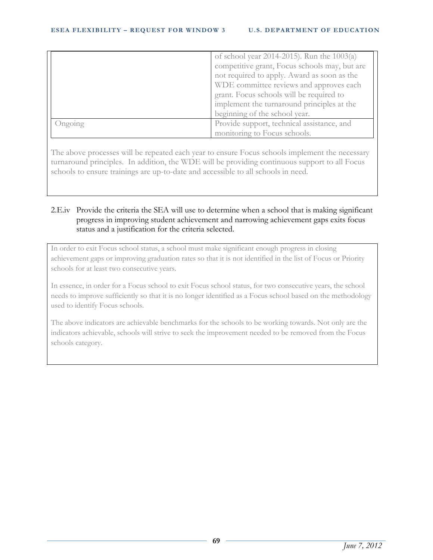|         | of school year 2014-2015). Run the 1003(a)    |
|---------|-----------------------------------------------|
|         | competitive grant, Focus schools may, but are |
|         | not required to apply. Award as soon as the   |
|         | WDE committee reviews and approves each       |
|         | grant. Focus schools will be required to      |
|         | implement the turnaround principles at the    |
|         | beginning of the school year.                 |
| Ongoing | Provide support, technical assistance, and    |
|         | monitoring to Focus schools.                  |

The above processes will be repeated each year to ensure Focus schools implement the necessary turnaround principles. In addition, the WDE will be providing continuous support to all Focus schools to ensure trainings are up-to-date and accessible to all schools in need.

# 2.E.iv Provide the criteria the SEA will use to determine when a school that is making significant progress in improving student achievement and narrowing achievement gaps exits focus status and a justification for the criteria selected.

In order to exit Focus school status, a school must make significant enough progress in closing achievement gaps or improving graduation rates so that it is not identified in the list of Focus or Priority schools for at least two consecutive years.

In essence, in order for a Focus school to exit Focus school status, for two consecutive years, the school needs to improve sufficiently so that it is no longer identified as a Focus school based on the methodology used to identify Focus schools.

The above indicators are achievable benchmarks for the schools to be working towards. Not only are the indicators achievable, schools will strive to seek the improvement needed to be removed from the Focus schools category.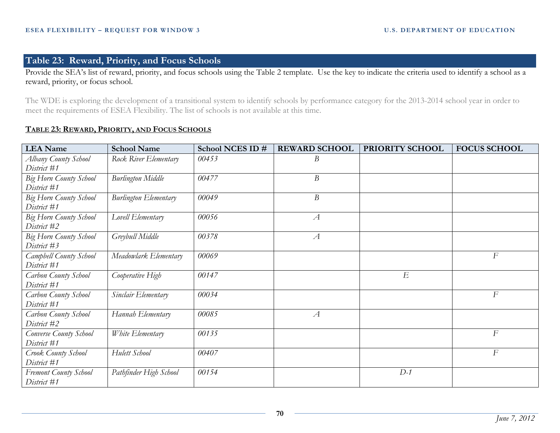# **Table 23: Reward, Priority, and Focus Schools**

Provide the SEA's list of reward, priority, and focus schools using the Table 2 template. Use the key to indicate the criteria used to identify a school as a reward, priority, or focus school.

The WDE is exploring the development of a transitional system to identify schools by performance category for the 2013-2014 school year in order to meet the requirements of ESEA Flexibility. The list of schools is not available at this time.

#### **TABLE 23: REWARD, PRIORITY, AND FOCUS SCHOOLS**

| <b>LEA</b> Name                              | <b>School Name</b>           | School NCES ID # | <b>REWARD SCHOOL</b> | PRIORITY SCHOOL | <b>FOCUS SCHOOL</b> |
|----------------------------------------------|------------------------------|------------------|----------------------|-----------------|---------------------|
| Albany County School<br>District #1          | Rock River Elementary        | 00453            | $\boldsymbol{B}$     |                 |                     |
| <b>Big Horn County School</b><br>District #1 | <b>Burlington Middle</b>     | 00477            | B                    |                 |                     |
| <b>Big Horn County School</b><br>District #1 | <b>Burlington Elementary</b> | 00049            | $\boldsymbol{B}$     |                 |                     |
| <b>Big Horn County School</b><br>District #2 | Lovell Elementary            | 00056            | $\overline{A}$       |                 |                     |
| Big Horn County School<br>District #3        | Greybull Middle              | 00378            | $\mathcal{A}$        |                 |                     |
| Campbell County School<br>District #1        | Meadowlark Elementary        | 00069            |                      |                 | $\overline{F}$      |
| Carbon County School<br>District #1          | Cooperative High             | 00147            |                      | E               |                     |
| Carbon County School<br>District #1          | Sinclair Elementary          | 00034            |                      |                 | $\overline{F}$      |
| Carbon County School<br>District #2          | Hannah Elementary            | 00085            | $\mathcal{A}$        |                 |                     |
| Converse County School<br>District #1        | White Elementary             | 00135            |                      |                 | $\overline{F}$      |
| Crook County School<br>District #1           | Hulett School                | 00407            |                      |                 | $\overline{F}$      |
| <b>Fremont County School</b><br>District #1  | Pathfinder High School       | 00154            |                      | $D-1$           |                     |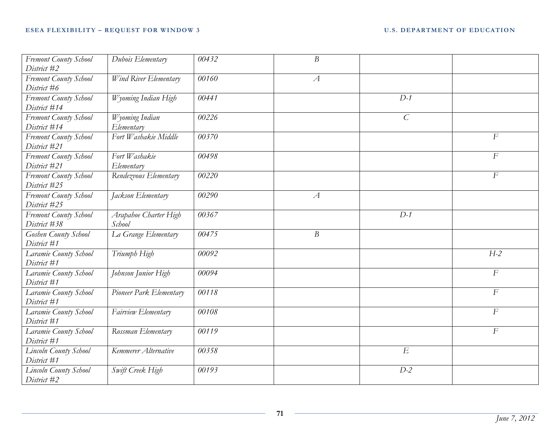| Fremont County School | Dubois Elementary       | 00432 | $\boldsymbol{B}$ |                  |                  |
|-----------------------|-------------------------|-------|------------------|------------------|------------------|
| District #2           |                         |       |                  |                  |                  |
| Fremont County School | Wind River Elementary   | 00160 | $\mathcal{A}$    |                  |                  |
| District #6           |                         |       |                  |                  |                  |
| Fremont County School | Wyoming Indian High     | 00441 |                  | $D-1$            |                  |
| District #14          |                         |       |                  |                  |                  |
| Fremont County School | Wyoming Indian          | 00226 |                  | $\mathcal{C}$    |                  |
| District #14          | Elementary              |       |                  |                  |                  |
| Fremont County School | Fort Washakie Middle    | 00370 |                  |                  | $\overline{F}$   |
| District #21          |                         |       |                  |                  |                  |
| Fremont County School | Fort Washakie           | 00498 |                  |                  | $\overline{F}$   |
| District #21          | Elementary              |       |                  |                  |                  |
| Fremont County School | Rendezvous Elementary   | 00220 |                  |                  | $\boldsymbol{F}$ |
| District #25          |                         |       |                  |                  |                  |
| Fremont County School | Jackson Elementary      | 00290 | $\mathcal{A}$    |                  |                  |
| District #25          |                         |       |                  |                  |                  |
| Fremont County School | Arapahoe Charter High   | 00367 |                  | $D-1$            |                  |
| District #38          | School                  |       |                  |                  |                  |
| Goshen County School  | La Grange Elementary    | 00475 | $\overline{B}$   |                  |                  |
| District #1           |                         |       |                  |                  |                  |
| Laramie County School | Triumph High            | 00092 |                  |                  | $H-2$            |
| District #1           |                         |       |                  |                  |                  |
| Laramie County School | Johnson Junior High     | 00094 |                  |                  | $\boldsymbol{F}$ |
| District #1           |                         |       |                  |                  |                  |
| Laramie County School | Pioneer Park Elementary | 00118 |                  |                  | $\overline{F}$   |
| District #1           |                         |       |                  |                  |                  |
| Laramie County School | Fairview Elementary     | 00108 |                  |                  | $\cal F$         |
| District #1           |                         |       |                  |                  |                  |
| Laramie County School | Rossman Elementary      | 00119 |                  |                  | $\overline{F}$   |
| District #1           |                         |       |                  |                  |                  |
| Lincoln County School | Kemmerer Alternative    | 00358 |                  | $\boldsymbol{E}$ |                  |
| District #1           |                         |       |                  |                  |                  |
| Lincoln County School | Swift Creek High        | 00193 |                  | $D-2$            |                  |
| District #2           |                         |       |                  |                  |                  |

<u> 1980 - Johann Barn, fransk politik (d. 1980)</u>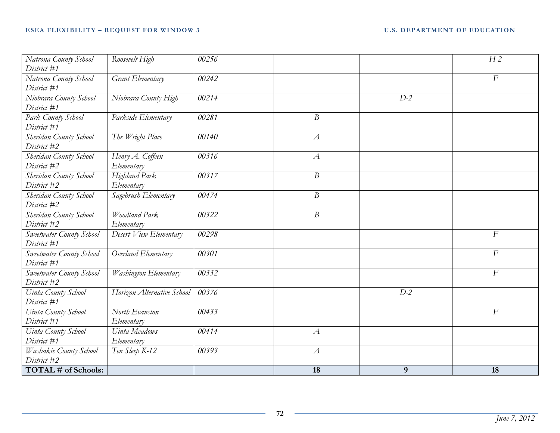| Natrona County School      | Roosevelt High             | 00256 |                  |       | $H-2$            |
|----------------------------|----------------------------|-------|------------------|-------|------------------|
| District #1                |                            |       |                  |       |                  |
| Natrona County School      | Grant Elementary           | 00242 |                  |       | $\overline{F}$   |
| District #1                |                            |       |                  |       |                  |
| Niobrara County School     | Niobrara County High       | 00214 |                  | $D-2$ |                  |
| District #1                |                            |       |                  |       |                  |
| Park County School         | Parkside Elementary        | 00281 | $\boldsymbol{B}$ |       |                  |
| District #1                |                            |       |                  |       |                  |
| Sheridan County School     | The Wright Place           | 00140 | $\mathcal{A}$    |       |                  |
| District #2                |                            |       |                  |       |                  |
| Sheridan County School     | Henry A. Coffeen           | 00316 | $\mathcal{A}$    |       |                  |
| District #2                | Elementary                 |       |                  |       |                  |
| Sheridan County School     | Highland Park              | 00317 | $\boldsymbol{B}$ |       |                  |
| District #2                | Elementary                 |       |                  |       |                  |
| Sheridan County School     | Sagebrush Elementary       | 00474 | $\boldsymbol{B}$ |       |                  |
| District #2                |                            |       |                  |       |                  |
| Sheridan County School     | Woodland Park              | 00322 | $\boldsymbol{B}$ |       |                  |
| District #2                | Elementary                 |       |                  |       |                  |
| Sweetwater County School   | Desert View Elementary     | 00298 |                  |       | $\cal F$         |
| District #1                |                            |       |                  |       |                  |
| Sweetwater County School   | Overland Elementary        | 00301 |                  |       | $\cal F$         |
| District #1                |                            |       |                  |       |                  |
| Sweetwater County School   | Washington Elementary      | 00332 |                  |       | $\boldsymbol{F}$ |
| District #2                |                            |       |                  |       |                  |
| Uinta County School        | Horizon Alternative School | 00376 |                  | $D-2$ |                  |
| District #1                |                            |       |                  |       |                  |
| Uinta County School        | North Evanston             | 00433 |                  |       | $\overline{F}$   |
| District #1                | Elementary                 |       |                  |       |                  |
| Uinta County School        | Uinta Meadows              | 00414 | $\mathcal{A}$    |       |                  |
| District #1                | Elementary                 |       |                  |       |                  |
| Washakie County School     | Ten Sleep K-12             | 00393 | $\mathcal{A}$    |       |                  |
| District #2                |                            |       |                  |       |                  |
| <b>TOTAL # of Schools:</b> |                            |       | 18               | 9     | 18               |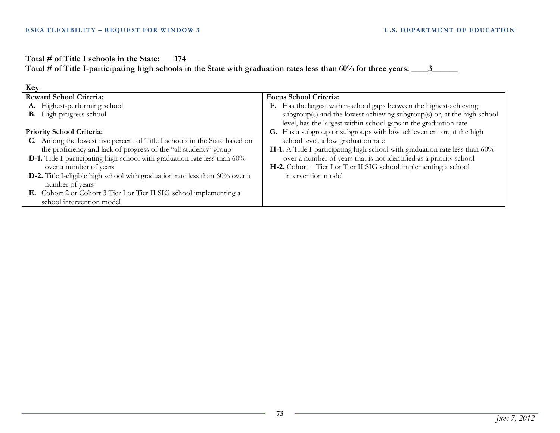**Total # of Title I schools in the State: \_\_\_174\_\_\_**

**Total # of Title I-participating high schools in the State with graduation rates less than 60% for three years: \_\_\_\_3\_\_\_\_\_\_** 

| Key                                                                                |                                                                             |  |  |
|------------------------------------------------------------------------------------|-----------------------------------------------------------------------------|--|--|
| <b>Reward School Criteria:</b>                                                     | <b>Focus School Criteria:</b>                                               |  |  |
| A. Highest-performing school                                                       | F. Has the largest within-school gaps between the highest-achieving         |  |  |
| <b>B.</b> High-progress school                                                     | subgroup(s) and the lowest-achieving subgroup(s) or, at the high school     |  |  |
|                                                                                    | level, has the largest within-school gaps in the graduation rate            |  |  |
| <b>Priority School Criteria:</b>                                                   | G. Has a subgroup or subgroups with low achievement or, at the high         |  |  |
| C. Among the lowest five percent of Title I schools in the State based on          | school level, a low graduation rate                                         |  |  |
| the proficiency and lack of progress of the "all students" group                   | H-1. A Title I-participating high school with graduation rate less than 60% |  |  |
| D-1. Title I-participating high school with graduation rate less than 60%          | over a number of years that is not identified as a priority school          |  |  |
| over a number of years                                                             | H-2. Cohort 1 Tier I or Tier II SIG school implementing a school            |  |  |
| <b>D-2.</b> Title I-eligible high school with graduation rate less than 60% over a | intervention model                                                          |  |  |
| number of years                                                                    |                                                                             |  |  |
| E. Cohort 2 or Cohort 3 Tier I or Tier II SIG school implementing a                |                                                                             |  |  |
| school intervention model                                                          |                                                                             |  |  |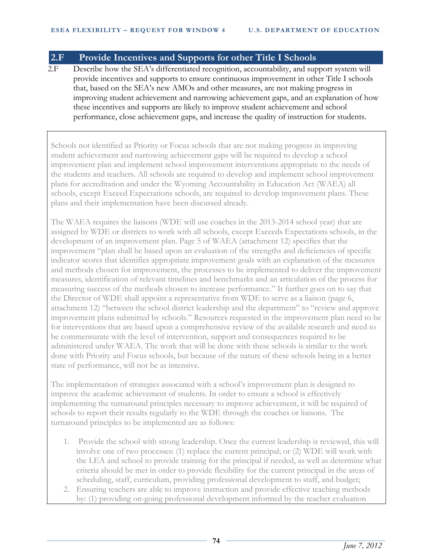### **2.F Provide Incentives and Supports for other Title I Schools**

2.F Describe how the SEA's differentiated recognition, accountability, and support system will provide incentives and supports to ensure continuous improvement in other Title I schools that, based on the SEA's new AMOs and other measures, are not making progress in improving student achievement and narrowing achievement gaps, and an explanation of how these incentives and supports are likely to improve student achievement and school performance, close achievement gaps, and increase the quality of instruction for students.

Schools not identified as Priority or Focus schools that are not making progress in improving student achievement and narrowing achievement gaps will be required to develop a school improvement plan and implement school improvement interventions appropriate to the needs of the students and teachers. All schools are required to develop and implement school improvement plans for accreditation and under the Wyoming Accountability in Education Act (WAEA) all schools, except Exceed Expectations schools, are required to develop improvement plans. These plans and their implementation have been discussed already.

The WAEA requires the liaisons (WDE will use coaches in the 2013-2014 school year) that are assigned by WDE or districts to work with all schools, except Exceeds Expectations schools, in the development of an improvement plan. Page 5 of WAEA (attachment 12) specifies that the improvement "plan shall be based upon an evaluation of the strengths and deficiencies of specific indicator scores that identifies appropriate improvement goals with an explanation of the measures and methods chosen for improvement, the processes to be implemented to deliver the improvement measures, identification of relevant timelines and benchmarks and an articulation of the process for measuring success of the methods chosen to increase performance." It further goes on to say that the Director of WDE shall appoint a representative from WDE to serve as a liaison (page 6, attachment 12) "between the school district leadership and the department" to "review and approve improvement plans submitted by schools." Resources requested in the improvement plan need to be for interventions that are based upon a comprehensive review of the available research and need to be commensurate with the level of intervention, support and consequences required to be administered under WAEA. The work that will be done with these schools is similar to the work done with Priority and Focus schools, but because of the nature of these schools being in a better state of performance, will not be as intensive.

The implementation of strategies associated with a school's improvement plan is designed to improve the academic achievement of students. In order to ensure a school is effectively implementing the turnaround principles necessary to improve achievement, it will be required of schools to report their results regularly to the WDE through the coaches or liaisons. The turnaround principles to be implemented are as follows:

- 1. Provide the school with strong leadership. Once the current leadership is reviewed, this will involve one of two processes: (1) replace the current principal; or (2) WDE will work with the LEA and school to provide training for the principal if needed, as well as determine what criteria should be met in order to provide flexibility for the current principal in the areas of scheduling, staff, curriculum, providing professional development to staff, and budget;
- 2. Ensuring teachers are able to improve instruction and provide effective teaching methods by: (1) providing on-going professional development informed by the teacher evaluation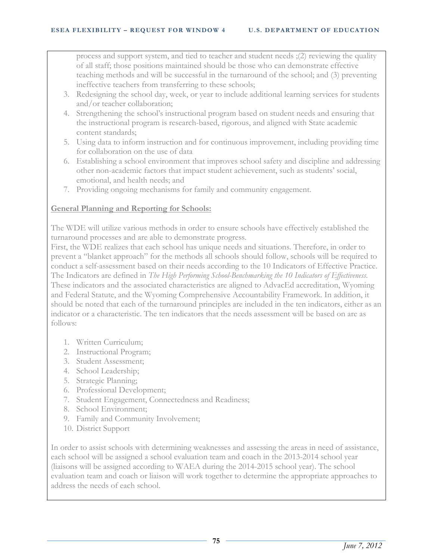process and support system, and tied to teacher and student needs ;(2) reviewing the quality of all staff; those positions maintained should be those who can demonstrate effective teaching methods and will be successful in the turnaround of the school; and (3) preventing ineffective teachers from transferring to these schools;

- 3. Redesigning the school day, week, or year to include additional learning services for students and/or teacher collaboration;
- 4. Strengthening the school's instructional program based on student needs and ensuring that the instructional program is research-based, rigorous, and aligned with State academic content standards;
- 5. Using data to inform instruction and for continuous improvement, including providing time for collaboration on the use of data
- 6. Establishing a school environment that improves school safety and discipline and addressing other non-academic factors that impact student achievement, such as students' social, emotional, and health needs; and
- 7. Providing ongoing mechanisms for family and community engagement.

### **General Planning and Reporting for Schools:**

The WDE will utilize various methods in order to ensure schools have effectively established the turnaround processes and are able to demonstrate progress.

First, the WDE realizes that each school has unique needs and situations. Therefore, in order to prevent a "blanket approach" for the methods all schools should follow, schools will be required to conduct a self-assessment based on their needs according to the 10 Indicators of Effective Practice. The Indicators are defined in *The High Performing School-Benchmarking the 10 Indicators of Effectiveness*. These indicators and the associated characteristics are aligned to AdvacEd accreditation, Wyoming and Federal Statute, and the Wyoming Comprehensive Accountability Framework. In addition, it should be noted that each of the turnaround principles are included in the ten indicators, either as an indicator or a characteristic. The ten indicators that the needs assessment will be based on are as follows:

- 1. Written Curriculum;
- 2. Instructional Program;
- 3. Student Assessment;
- 4. School Leadership;
- 5. Strategic Planning;
- 6. Professional Development;
- 7. Student Engagement, Connectedness and Readiness;
- 8. School Environment;
- 9. Family and Community Involvement;
- 10. District Support

In order to assist schools with determining weaknesses and assessing the areas in need of assistance, each school will be assigned a school evaluation team and coach in the 2013-2014 school year (liaisons will be assigned according to WAEA during the 2014-2015 school year). The school evaluation team and coach or liaison will work together to determine the appropriate approaches to address the needs of each school.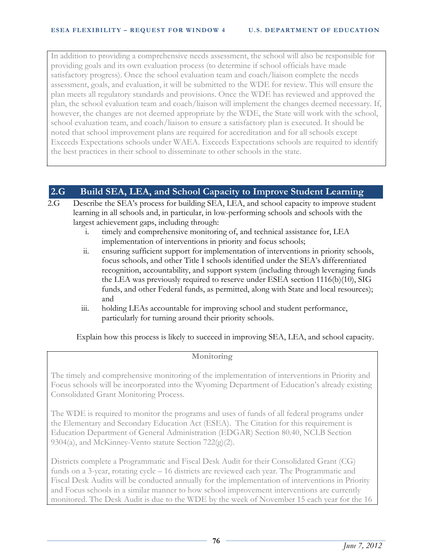In addition to providing a comprehensive needs assessment, the school will also be responsible for providing goals and its own evaluation process (to determine if school officials have made satisfactory progress). Once the school evaluation team and coach/liaison complete the needs assessment, goals, and evaluation, it will be submitted to the WDE for review. This will ensure the plan meets all regulatory standards and provisions. Once the WDE has reviewed and approved the plan, the school evaluation team and coach/liaison will implement the changes deemed necessary. If, however, the changes are not deemed appropriate by the WDE, the State will work with the school, school evaluation team, and coach/liaison to ensure a satisfactory plan is executed. It should be noted that school improvement plans are required for accreditation and for all schools except Exceeds Expectations schools under WAEA. Exceeds Expectations schools are required to identify the best practices in their school to disseminate to other schools in the state.

# **2.G Build SEA, LEA, and School Capacity to Improve Student Learning**

- 2.G Describe the SEA's process for building SEA, LEA, and school capacity to improve student learning in all schools and, in particular, in low-performing schools and schools with the largest achievement gaps, including through:
	- i. timely and comprehensive monitoring of, and technical assistance for, LEA implementation of interventions in priority and focus schools;
	- ii. ensuring sufficient support for implementation of interventions in priority schools, focus schools, and other Title I schools identified under the SEA's differentiated recognition, accountability, and support system (including through leveraging funds the LEA was previously required to reserve under ESEA section 1116(b)(10), SIG funds, and other Federal funds, as permitted, along with State and local resources); and
	- iii. holding LEAs accountable for improving school and student performance, particularly for turning around their priority schools.

Explain how this process is likely to succeed in improving SEA, LEA, and school capacity.

### **Monitoring**

The timely and comprehensive monitoring of the implementation of interventions in Priority and Focus schools will be incorporated into the Wyoming Department of Education's already existing Consolidated Grant Monitoring Process.

The WDE is required to monitor the programs and uses of funds of all federal programs under the Elementary and Secondary Education Act (ESEA). The Citation for this requirement is Education Department of General Administration (EDGAR) Section 80.40, NCLB Section 9304(a), and McKinney-Vento statute Section 722(g)(2).

Districts complete a Programmatic and Fiscal Desk Audit for their Consolidated Grant (CG) funds on a 3-year, rotating cycle – 16 districts are reviewed each year. The Programmatic and Fiscal Desk Audits will be conducted annually for the implementation of interventions in Priority and Focus schools in a similar manner to how school improvement interventions are currently monitored. The Desk Audit is due to the WDE by the week of November 15 each year for the 16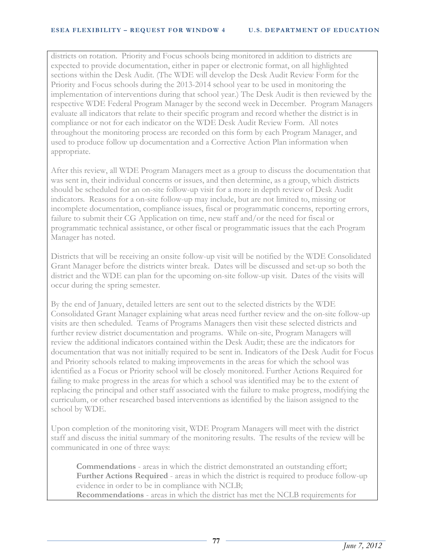districts on rotation. Priority and Focus schools being monitored in addition to districts are expected to provide documentation, either in paper or electronic format, on all highlighted sections within the Desk Audit. (The WDE will develop the Desk Audit Review Form for the Priority and Focus schools during the 2013-2014 school year to be used in monitoring the implementation of interventions during that school year.) The Desk Audit is then reviewed by the respective WDE Federal Program Manager by the second week in December. Program Managers evaluate all indicators that relate to their specific program and record whether the district is in compliance or not for each indicator on the WDE Desk Audit Review Form. All notes throughout the monitoring process are recorded on this form by each Program Manager, and used to produce follow up documentation and a Corrective Action Plan information when appropriate.

After this review, all WDE Program Managers meet as a group to discuss the documentation that was sent in, their individual concerns or issues, and then determine, as a group, which districts should be scheduled for an on-site follow-up visit for a more in depth review of Desk Audit indicators. Reasons for a on-site follow-up may include, but are not limited to, missing or incomplete documentation, compliance issues, fiscal or programmatic concerns, reporting errors, failure to submit their CG Application on time, new staff and/or the need for fiscal or programmatic technical assistance, or other fiscal or programmatic issues that the each Program Manager has noted.

Districts that will be receiving an onsite follow-up visit will be notified by the WDE Consolidated Grant Manager before the districts winter break. Dates will be discussed and set-up so both the district and the WDE can plan for the upcoming on-site follow-up visit. Dates of the visits will occur during the spring semester.

By the end of January, detailed letters are sent out to the selected districts by the WDE Consolidated Grant Manager explaining what areas need further review and the on-site follow-up visits are then scheduled. Teams of Programs Managers then visit these selected districts and further review district documentation and programs. While on-site, Program Managers will review the additional indicators contained within the Desk Audit; these are the indicators for documentation that was not initially required to be sent in. Indicators of the Desk Audit for Focus and Priority schools related to making improvements in the areas for which the school was identified as a Focus or Priority school will be closely monitored. Further Actions Required for failing to make progress in the areas for which a school was identified may be to the extent of replacing the principal and other staff associated with the failure to make progress, modifying the curriculum, or other researched based interventions as identified by the liaison assigned to the school by WDE.

Upon completion of the monitoring visit, WDE Program Managers will meet with the district staff and discuss the initial summary of the monitoring results. The results of the review will be communicated in one of three ways:

**Commendations** - areas in which the district demonstrated an outstanding effort; **Further Actions Required** - areas in which the district is required to produce follow-up evidence in order to be in compliance with NCLB; **Recommendations** - areas in which the district has met the NCLB requirements for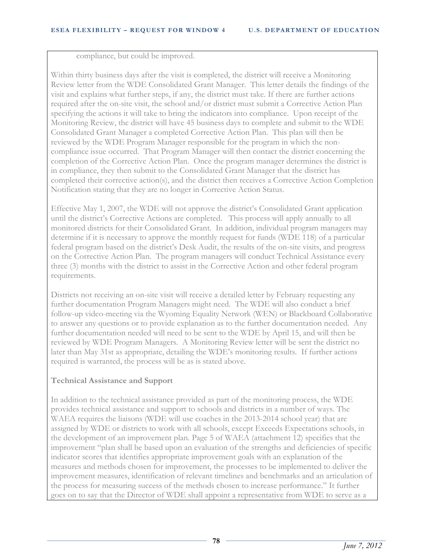compliance, but could be improved.

Within thirty business days after the visit is completed, the district will receive a Monitoring Review letter from the WDE Consolidated Grant Manager. This letter details the findings of the visit and explains what further steps, if any, the district must take. If there are further actions required after the on-site visit, the school and/or district must submit a Corrective Action Plan specifying the actions it will take to bring the indicators into compliance. Upon receipt of the Monitoring Review, the district will have 45 business days to complete and submit to the WDE Consolidated Grant Manager a completed Corrective Action Plan. This plan will then be reviewed by the WDE Program Manager responsible for the program in which the noncompliance issue occurred. That Program Manager will then contact the district concerning the completion of the Corrective Action Plan. Once the program manager determines the district is in compliance, they then submit to the Consolidated Grant Manager that the district has completed their corrective action(s), and the district then receives a Corrective Action Completion Notification stating that they are no longer in Corrective Action Status.

Effective May 1, 2007, the WDE will not approve the district's Consolidated Grant application until the district's Corrective Actions are completed. This process will apply annually to all monitored districts for their Consolidated Grant. In addition, individual program managers may determine if it is necessary to approve the monthly request for funds (WDE 118) of a particular federal program based on the district's Desk Audit, the results of the on-site visits, and progress on the Corrective Action Plan. The program managers will conduct Technical Assistance every three (3) months with the district to assist in the Corrective Action and other federal program requirements.

Districts not receiving an on-site visit will receive a detailed letter by February requesting any further documentation Program Managers might need. The WDE will also conduct a brief follow-up video-meeting via the Wyoming Equality Network (WEN) or Blackboard Collaborative to answer any questions or to provide explanation as to the further documentation needed. Any further documentation needed will need to be sent to the WDE by April 15, and will then be reviewed by WDE Program Managers. A Monitoring Review letter will be sent the district no later than May 31st as appropriate, detailing the WDE's monitoring results. If further actions required is warranted, the process will be as is stated above.

### **Technical Assistance and Support**

In addition to the technical assistance provided as part of the monitoring process, the WDE provides technical assistance and support to schools and districts in a number of ways. The WAEA requires the liaisons (WDE will use coaches in the 2013-2014 school year) that are assigned by WDE or districts to work with all schools, except Exceeds Expectations schools, in the development of an improvement plan. Page 5 of WAEA (attachment 12) specifies that the improvement "plan shall be based upon an evaluation of the strengths and deficiencies of specific indicator scores that identifies appropriate improvement goals with an explanation of the measures and methods chosen for improvement, the processes to be implemented to deliver the improvement measures, identification of relevant timelines and benchmarks and an articulation of the process for measuring success of the methods chosen to increase performance." It further goes on to say that the Director of WDE shall appoint a representative from WDE to serve as a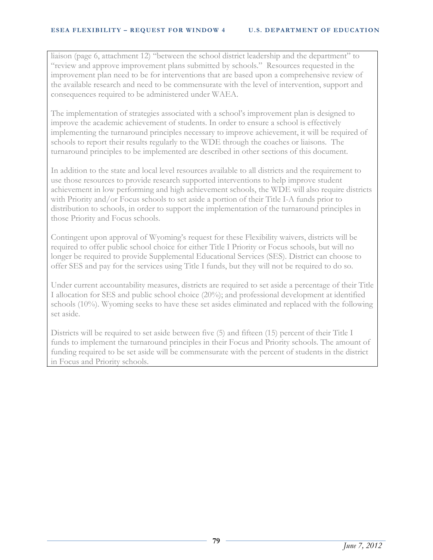liaison (page 6, attachment 12) "between the school district leadership and the department" to "review and approve improvement plans submitted by schools." Resources requested in the improvement plan need to be for interventions that are based upon a comprehensive review of the available research and need to be commensurate with the level of intervention, support and consequences required to be administered under WAEA.

The implementation of strategies associated with a school's improvement plan is designed to improve the academic achievement of students. In order to ensure a school is effectively implementing the turnaround principles necessary to improve achievement, it will be required of schools to report their results regularly to the WDE through the coaches or liaisons. The turnaround principles to be implemented are described in other sections of this document.

In addition to the state and local level resources available to all districts and the requirement to use those resources to provide research supported interventions to help improve student achievement in low performing and high achievement schools, the WDE will also require districts with Priority and/or Focus schools to set aside a portion of their Title I-A funds prior to distribution to schools, in order to support the implementation of the turnaround principles in those Priority and Focus schools.

Contingent upon approval of Wyoming's request for these Flexibility waivers, districts will be required to offer public school choice for either Title I Priority or Focus schools, but will no longer be required to provide Supplemental Educational Services (SES). District can choose to offer SES and pay for the services using Title I funds, but they will not be required to do so.

Under current accountability measures, districts are required to set aside a percentage of their Title I allocation for SES and public school choice (20%); and professional development at identified schools (10%). Wyoming seeks to have these set asides eliminated and replaced with the following set aside.

Districts will be required to set aside between five (5) and fifteen (15) percent of their Title I funds to implement the turnaround principles in their Focus and Priority schools. The amount of funding required to be set aside will be commensurate with the percent of students in the district in Focus and Priority schools.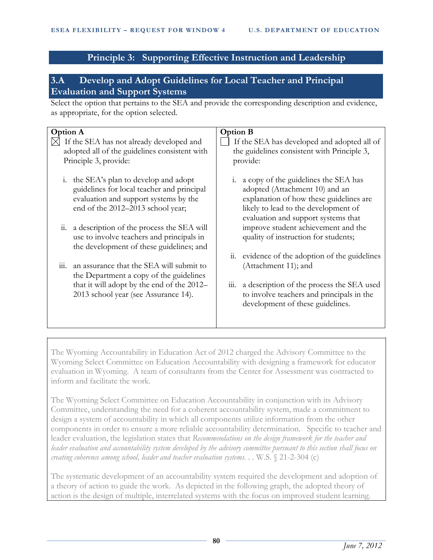# **Principle 3: Supporting Effective Instruction and Leadership**

# **3.A Develop and Adopt Guidelines for Local Teacher and Principal Evaluation and Support Systems**

Select the option that pertains to the SEA and provide the corresponding description and evidence, as appropriate, for the option selected.

| <b>Option A</b>                                                                           |                                                                                                                                                                    | <b>Option B</b>                                                                            |                                                                                                                                                                                                  |  |
|-------------------------------------------------------------------------------------------|--------------------------------------------------------------------------------------------------------------------------------------------------------------------|--------------------------------------------------------------------------------------------|--------------------------------------------------------------------------------------------------------------------------------------------------------------------------------------------------|--|
| If the SEA has not already developed and<br>adopted all of the guidelines consistent with |                                                                                                                                                                    | If the SEA has developed and adopted all of<br>the guidelines consistent with Principle 3, |                                                                                                                                                                                                  |  |
|                                                                                           | Principle 3, provide:                                                                                                                                              |                                                                                            | provide:                                                                                                                                                                                         |  |
|                                                                                           | i. the SEA's plan to develop and adopt<br>guidelines for local teacher and principal<br>evaluation and support systems by the<br>end of the 2012-2013 school year; | 1.                                                                                         | a copy of the guidelines the SEA has<br>adopted (Attachment 10) and an<br>explanation of how these guidelines are<br>likely to lead to the development of<br>evaluation and support systems that |  |
|                                                                                           | ii. a description of the process the SEA will<br>use to involve teachers and principals in<br>the development of these guidelines; and                             |                                                                                            | improve student achievement and the<br>quality of instruction for students;                                                                                                                      |  |
| 111.                                                                                      | an assurance that the SEA will submit to<br>the Department a copy of the guidelines                                                                                |                                                                                            | ii. evidence of the adoption of the guidelines<br>(Attachment 11); and                                                                                                                           |  |
|                                                                                           | that it will adopt by the end of the 2012–<br>2013 school year (see Assurance 14).                                                                                 | 111.                                                                                       | a description of the process the SEA used<br>to involve teachers and principals in the<br>development of these guidelines.                                                                       |  |

The Wyoming Accountability in Education Act of 2012 charged the Advisory Committee to the Wyoming Select Committee on Education Accountability with designing a framework for educator evaluation in Wyoming. A team of consultants from the Center for Assessment was contracted to inform and facilitate the work.

The Wyoming Select Committee on Education Accountability in conjunction with its Advisory Committee, understanding the need for a coherent accountability system, made a commitment to design a system of accountability in which all components utilize information from the other components in order to ensure a more reliable accountability determination. Specific to teacher and leader evaluation, the legislation states that *Recommendations on the design framework for the teacher and leader evaluation and accountability system developed by the advisory committee pursuant to this section shall focus on creating coherence among school, leader and teacher evaluation systems. . .* W.S. § 21-2-304 (c)

The systematic development of an accountability system required the development and adoption of a theory of action to guide the work. As depicted in the following graph, the adopted theory of action is the design of multiple, interrelated systems with the focus on improved student learning.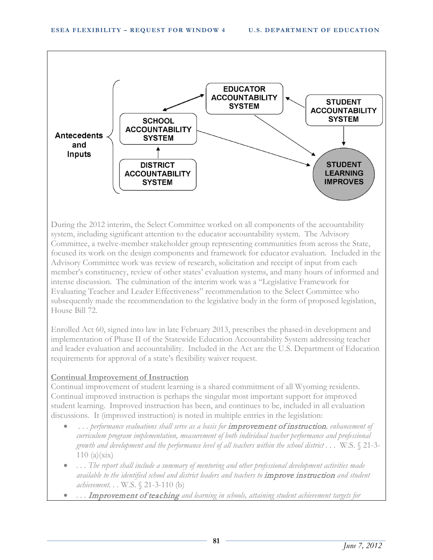

During the 2012 interim, the Select Committee worked on all components of the accountability system, including significant attention to the educator accountability system. The Advisory Committee, a twelve-member stakeholder group representing communities from across the State, focused its work on the design components and framework for educator evaluation. Included in the Advisory Committee work was review of research, solicitation and receipt of input from each member's constituency, review of other states' evaluation systems, and many hours of informed and intense discussion. The culmination of the interim work was a "Legislative Framework for Evaluating Teacher and Leader Effectiveness" recommendation to the Select Committee who subsequently made the recommendation to the legislative body in the form of proposed legislation, House Bill 72.

Enrolled Act 60, signed into law in late February 2013, prescribes the phased-in development and implementation of Phase II of the Statewide Education Accountability System addressing teacher and leader evaluation and accountability. Included in the Act are the U.S. Department of Education requirements for approval of a state's flexibility waiver request.

# **Continual Improvement of Instruction**

Continual improvement of student learning is a shared commitment of all Wyoming residents. Continual improved instruction is perhaps the singular most important support for improved student learning. Improved instruction has been, and continues to be, included in all evaluation discussions. It (improved instruction) is noted in multiple entries in the legislation:

- *. . . performance evaluations shall serve as a basis for* improvement of instruction*, enhancement of curriculum program implementation, measurement of both individual teacher performance and professional growth and development and the performance level of all teachers within the school district . . .* W.S. § 21-3-  $110$  (a)(xix)
- *. . . The report shall include a summary of mentoring and other professional development activities made available to the identified school and district leaders and teachers to* improve instruction *and student achievement. . .* W.S. § 21-3-110 (b)
- *. . .* Improvement of teaching *and learning in schools, attaining student achievement targets for*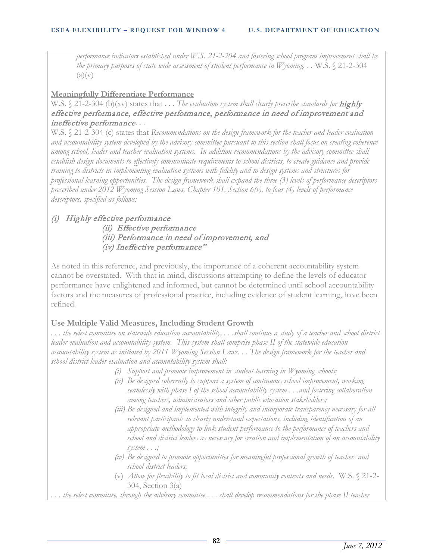*performance indicators established under W.S. 21-2-204 and fostering school program improvement shall be the primary purposes of state wide assessment of student performance in Wyoming...* W.S. § 21-2-304  $(a)(v)$ 

### **Meaningfully Differentiate Performance**

W.S. § 21-2-304 (b)(xv) states that . . . The evaluation system shall clearly prescribe standards for **highly** effective performance, effective performance, performance in need of improvement and ineffective performance*. . .*

W.S. § 21-2-304 (c) states that *Recommendations on the design framework for the teacher and leader evaluation and accountability system developed by the advisory committee pursuant to this section shall focus on creating coherence among school, leader and teacher evaluation systems. In addition recommendations by the advisory committee shall establish design documents to effectively communicate requirements to school districts, to create guidance and provide training to districts in implementing evaluation systems with fidelity and to design systems and structures for professional learning opportunities. The design framework shall expand the three (3) levels of performance descriptors prescribed under 2012 Wyoming Session Laws, Chapter 101, Section 6(v), to four (4) levels of performance descriptors, specified as follows:* 

### (i) Highly effective performance

 (ii) Effective performance (iii) Performance in need of improvement, and (iv) Ineffective performance"

As noted in this reference, and previously, the importance of a coherent accountability system cannot be overstated. With that in mind, discussions attempting to define the levels of educator performance have enlightened and informed, but cannot be determined until school accountability factors and the measures of professional practice, including evidence of student learning, have been refined.

# **Use Multiple Valid Measures, Including Student Growth**

*. . . the select committee on statewide education accountability, . . .shall continue a study of a teacher and school district leader evaluation and accountability system. This system shall comprise phase II of the statewide education accountability system as initiated by 2011 Wyoming Session Laws. . . The design framework for the teacher and school district leader evaluation and accountability system shall:*

- *(i) Support and promote improvement in student learning in Wyoming schools;*
- *(ii) Be designed coherently to support a system of continuous school improvement, working seamlessly with phase I of the school accountability system . . .and fostering collaboration among teachers, administrators and other public education stakeholders;*
- *(iii) Be designed and implemented with integrity and incorporate transparency necessary for all relevant participants to clearly understand expectations, including identification of an appropriate methodology to link student performance to the performance of teachers and school and district leaders as necessary for creation and implementation of an accountability system . . .;*
- *(iv) Be designed to promote opportunities for meaningful professional growth of teachers and school district leaders;*
- (v) *Allow for flexibility to fit local district and community contexts and needs.* W.S. § 21-2- 304, Section 3(a)

*. . . the select committee, through the advisory committee . . . shall develop recommendations for the phase II teacher*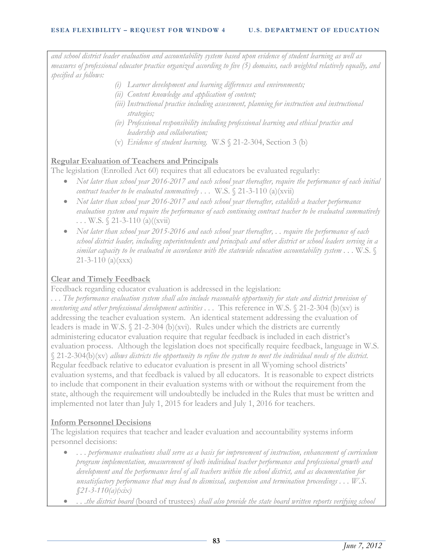*and school district leader evaluation and accountability system based upon evidence of student learning as well as measures of professional educator practice organized according to five (5) domains, each weighted relatively equally, and specified as follows:*

- *(i) Learner development and learning differences and environments;*
- *(ii) Content knowledge and application of content;*
- *(iii) Instructional practice including assessment, planning for instruction and instructional strategies;*
- *(iv) Professional responsibility including professional learning and ethical practice and leadership and collaboration;*
- (v) *Evidence of student learning.* W.S § 21-2-304, Section 3 (b)

# **Regular Evaluation of Teachers and Principals**

The legislation (Enrolled Act 60) requires that all educators be evaluated regularly:

- *Not later than school year 2016-2017 and each school year thereafter, require the performance of each initial contract teacher to be evaluated summatively ...* W.S. § 21-3-110 (a)(xvii)
- *Not later than school year 2016-2017 and each school year thereafter, establish a teacher performance evaluation system and require the performance of each continuing contract teacher to be evaluated summatively . . .* W.S. § 21-3-110 (a)((xvii)
- *Not later than school year 2015-2016 and each school year thereafter, . . require the performance of each school district leader, including superintendents and principals and other district or school leaders serving in a similar capacity to be evaluated in accordance with the statewide education accountability system . . .* W.S. § 21-3-110 (a)(xxx)

# **Clear and Timely Feedback**

Feedback regarding educator evaluation is addressed in the legislation:

*. . . The performance evaluation system shall also include reasonable opportunity for state and district provision of mentoring and other professional development activities ...* This reference in W.S. § 21-2-304 (b)(xv) is addressing the teacher evaluation system. An identical statement addressing the evaluation of leaders is made in W.S. § 21-2-304 (b)(xvi). Rules under which the districts are currently administering educator evaluation require that regular feedback is included in each district's evaluation process. Although the legislation does not specifically require feedback, language in W.S. § 21-2-304(b)(xv) *allows districts the opportunity to refine the system to meet the individual needs of the district.* Regular feedback relative to educator evaluation is present in all Wyoming school districts' evaluation systems, and that feedback is valued by all educators. It is reasonable to expect districts to include that component in their evaluation systems with or without the requirement from the state, although the requirement will undoubtedly be included in the Rules that must be written and implemented not later than July 1, 2015 for leaders and July 1, 2016 for teachers.

# **Inform Personnel Decisions**

The legislation requires that teacher and leader evaluation and accountability systems inform personnel decisions:

- *. . . performance evaluations shall serve as a basis for improvement of instruction, enhancement of curriculum program implementation, measurement of both individual teacher performance and professional growth and development and the performance level of all teachers within the school district, and as documentation for unsatisfactory performance that may lead to dismissal, suspension and termination proceedings . . . W.S. §21-3-110(a)(xix)*
- *. . .the district board* (board of trustees) *shall also provide the state board written reports verifying school*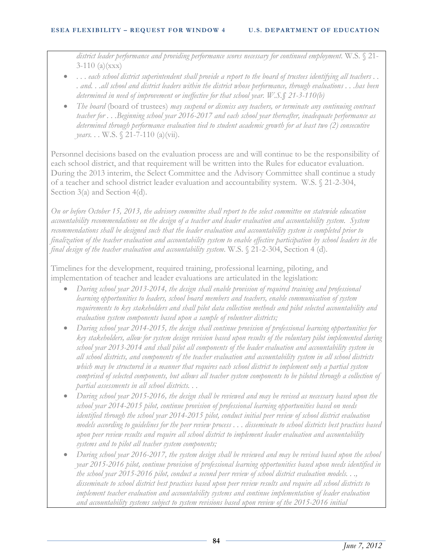*district leader performance and providing performance scores necessary for continued employment.* W.S. § 21-  $3-110$  (a)(xxx)

- . . . *each school district superintendent shall provide a report to the board of trustees identifying all teachers . . . and. . .all school and district leaders within the district whose performance, through evaluations . . .has been determined in need of improvement or ineffective for that school year. W.S.§ 21-3-110(b)*
- *The board* (board of trustees) *may suspend or dismiss any teachers, or terminate any continuing contract teacher for . . .Beginning school year 2016-2017 and each school year thereafter, inadequate performance as determined through performance evaluation tied to student academic growth for at least two (2) consecutive years...* W.S. § 21-7-110 (a)(vii).

Personnel decisions based on the evaluation process are and will continue to be the responsibility of each school district, and that requirement will be written into the Rules for educator evaluation. During the 2013 interim, the Select Committee and the Advisory Committee shall continue a study of a teacher and school district leader evaluation and accountability system. W.S. § 21-2-304, Section 3(a) and Section 4(d).

*On or before October 15, 2013, the advisory committee shall report to the select committee on statewide education accountability recommendations on the design of a teacher and leader evaluation and accountability system. System recommendations shall be designed such that the leader evaluation and accountability system is completed prior to finalization of the teacher evaluation and accountability system to enable effective participation by school leaders in the final design of the teacher evaluation and accountability system.* W.S. § 21-2-304, Section 4 (d).

Timelines for the development, required training, professional learning, piloting, and implementation of teacher and leader evaluations are articulated in the legislation:

- *During school year 2013-2014, the design shall enable provision of required training and professional learning opportunities to leaders, school board members and teachers, enable communication of system requirements to key stakeholders and shall pilot data collection methods and pilot selected accountability and evaluation system components based upon a sample of volunteer districts;*
- *During school year 2014-2015, the design shall continue provision of professional learning opportunities for key stakeholders, allow for system design revision based upon results of the voluntary pilot implemented during school year 2013-2014 and shall pilot all components of the leader evaluation and accountability system in all school districts, and components of the teacher evaluation and accountability system in all school districts which may be structured in a manner that requires each school district to implement only a partial system*  comprised of selected components, but allows all teacher system components to be piloted through a collection of *partial assessments in all school districts. . .*
- *During school year 2015-2016, the design shall be reviewed and may be revised as necessary based upon the school year 2014-2015 pilot, continue provision of professional learning opportunities based on needs identified through the school year 2014-2015 pilot, conduct initial peer review of school district evaluation models according to guidelines for the peer review process . . . disseminate to school districts best practices based upon peer review results and require all school district to implement leader evaluation and accountability systems and to pilot all teacher system components;*
- *During school year 2016-2017, the system design shall be reviewed and may be revised based upon the school year 2015-2016 pilot, continue provision of professional learning opportunities based upon needs identified in the school year 2015-2016 pilot, conduct a second peer review of school district evaluation models. . ., disseminate to school district best practices based upon peer review results and require all school districts to implement teacher evaluation and accountability systems and continue implementation of leader evaluation and accountability systems subject to system revisions based upon review of the 2015-2016 initial*